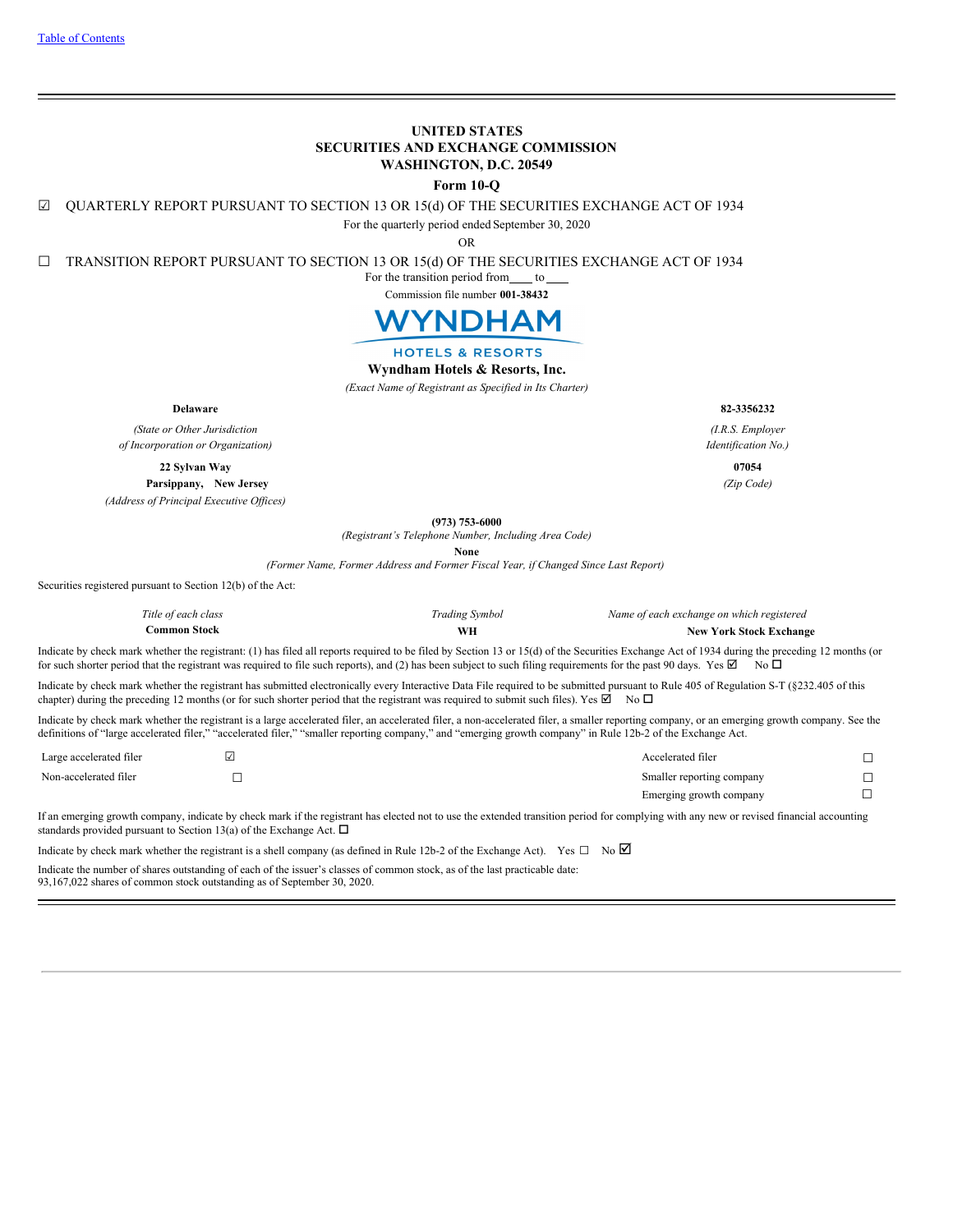## **UNITED STATES SECURITIES AND EXCHANGE COMMISSION WASHINGTON, D.C. 20549**

**Form 10-Q**

☑ QUARTERLY REPORT PURSUANT TO SECTION 13 OR 15(d) OF THE SECURITIES EXCHANGE ACT OF 1934

For the quarterly period ended September 30, 2020

OR

☐ TRANSITION REPORT PURSUANT TO SECTION 13 OR 15(d) OF THE SECURITIES EXCHANGE ACT OF 1934

For the transition period from  $_$ to



# **HOTELS & RESORTS**

## **Wyndham Hotels & Resorts, Inc.**

*(Exact Name of Registrant as Specified in Its Charter)*

**Delaware 82-3356232**

*(State or Other Jurisdiction of Incorporation or Organization)*

**22 Sylvan Way 07054**

**Parsippany, New Jersey** *(Zip Code) (Address of Principal Executive Of ices)*

**(973) 753-6000**

*(Registrant's Telephone Number, Including Area Code)*

**None**

*(Former Name, Former Address and Former Fiscal Year, if Changed Since Last Report)*

Securities registered pursuant to Section 12(b) of the Act:

| Title of each class | <b>Trading Symbol</b> | Name of each exchange on which registered |
|---------------------|-----------------------|-------------------------------------------|
| <b>Common Stock</b> |                       | <b>New York Stock Exchange</b>            |

Indicate by check mark whether the registrant: (1) has filed all reports required to be filed by Section 13 or 15(d) of the Securities Exchange Act of 1934 during the preceding 12 months (or for such shorter period that the registrant was required to file such reports), and (2) has been subject to such filing requirements for the past 90 days. Yes  $\boxtimes$  No  $\Box$ 

Indicate by check mark whether the registrant has submitted electronically every Interactive Data File required to be submitted pursuant to Rule 405 of Regulation S-T (§232.405 of this chapter) during the preceding 12 months (or for such shorter period that the registrant was required to submit such files). Yes  $\boxtimes$  No  $\Box$ 

Indicate by check mark whether the registrant is a large accelerated filer, an accelerated filer, a non-accelerated filer, a smaller reporting company, or an emerging growth company. See the definitions of "large accelerated filer," "accelerated filer," "smaller reporting company," and "emerging growth company" in Rule 12b-2 of the Exchange Act.

| Large accelerated filer | Accelerated filer         |  |
|-------------------------|---------------------------|--|
| Non-accelerated filer   | Smaller reporting company |  |
|                         | Emerging growth company   |  |

If an emerging growth company, indicate by check mark if the registrant has elected not to use the extended transition period for complying with any new or revised financial accounting standards provided pursuant to Section 13(a) of the Exchange Act.  $\Box$ 

Indicate by check mark whether the registrant is a shell company (as defined in Rule 12b-2 of the Exchange Act). Yes  $\Box$  No  $\Box$ Indicate the number of shares outstanding of each of the issuer's classes of common stock, as of the last practicable date:

<span id="page-0-0"></span>93,167,022 shares of common stock outstanding as of September 30, 2020.

*(I.R.S. Employer Identification No.)*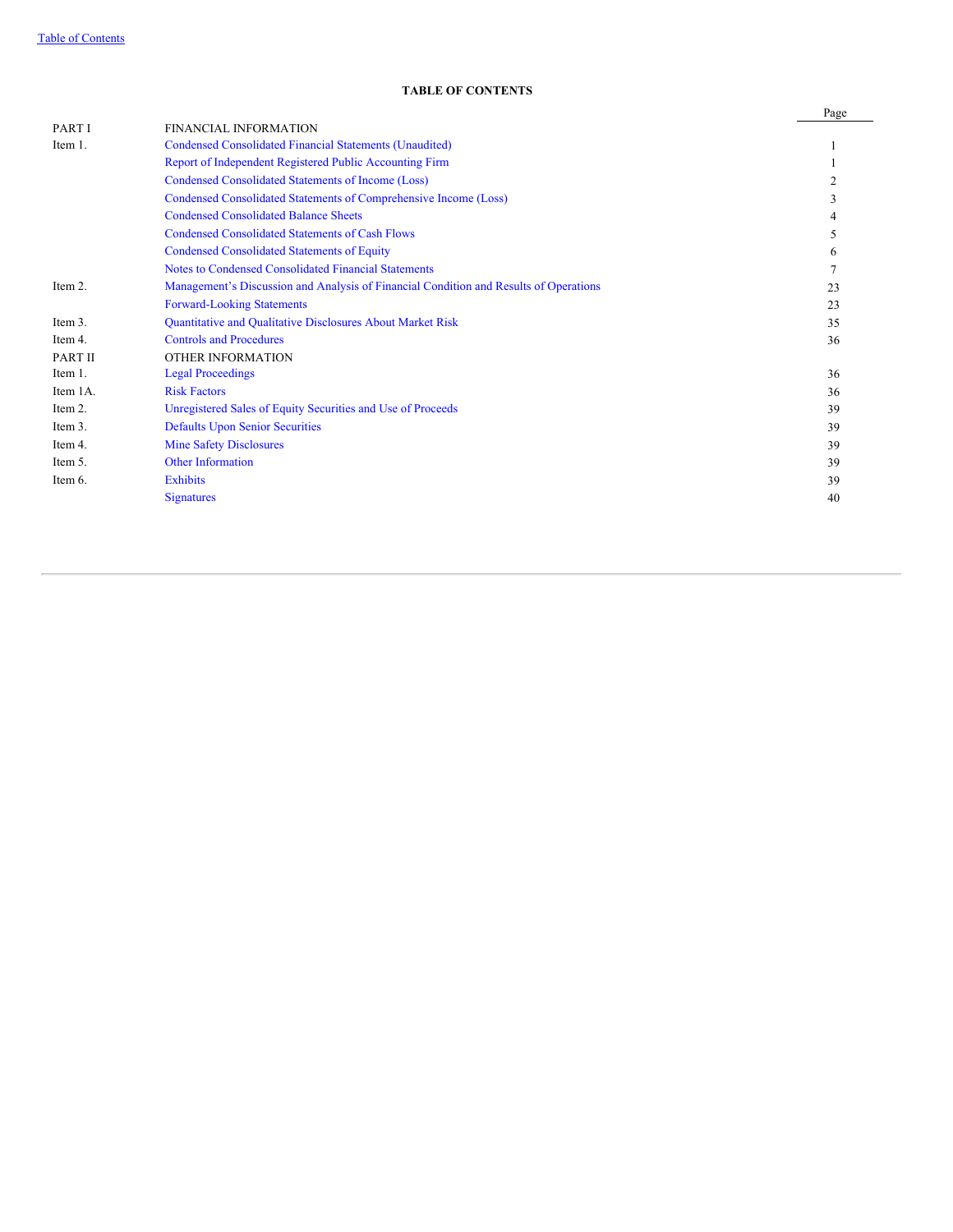## **TABLE OF CONTENTS**

|          |                                                                                       | Page |
|----------|---------------------------------------------------------------------------------------|------|
| PART I   | <b>FINANCIAL INFORMATION</b>                                                          |      |
| Item 1.  | Condensed Consolidated Financial Statements (Unaudited)                               |      |
|          | Report of Independent Registered Public Accounting Firm                               |      |
|          | Condensed Consolidated Statements of Income (Loss)                                    | 2    |
|          | Condensed Consolidated Statements of Comprehensive Income (Loss)                      |      |
|          | <b>Condensed Consolidated Balance Sheets</b>                                          |      |
|          | <b>Condensed Consolidated Statements of Cash Flows</b>                                | 5    |
|          | <b>Condensed Consolidated Statements of Equity</b>                                    | 6    |
|          | Notes to Condensed Consolidated Financial Statements                                  |      |
| Item 2.  | Management's Discussion and Analysis of Financial Condition and Results of Operations | 23   |
|          | <b>Forward-Looking Statements</b>                                                     | 23   |
| Item 3.  | Quantitative and Qualitative Disclosures About Market Risk                            | 35   |
| Item 4.  | <b>Controls and Procedures</b>                                                        | 36   |
| PART II  | OTHER INFORMATION                                                                     |      |
| Item 1.  | <b>Legal Proceedings</b>                                                              | 36   |
| Item 1A. | <b>Risk Factors</b>                                                                   | 36   |
| Item 2.  | Unregistered Sales of Equity Securities and Use of Proceeds                           | 39   |
| Item 3.  | <b>Defaults Upon Senior Securities</b>                                                | 39   |
| Item 4.  | <b>Mine Safety Disclosures</b>                                                        | 39   |
| Item 5.  | <b>Other Information</b>                                                              | 39   |
| Item 6.  | <b>Exhibits</b>                                                                       | 39   |
|          | <b>Signatures</b>                                                                     | 40   |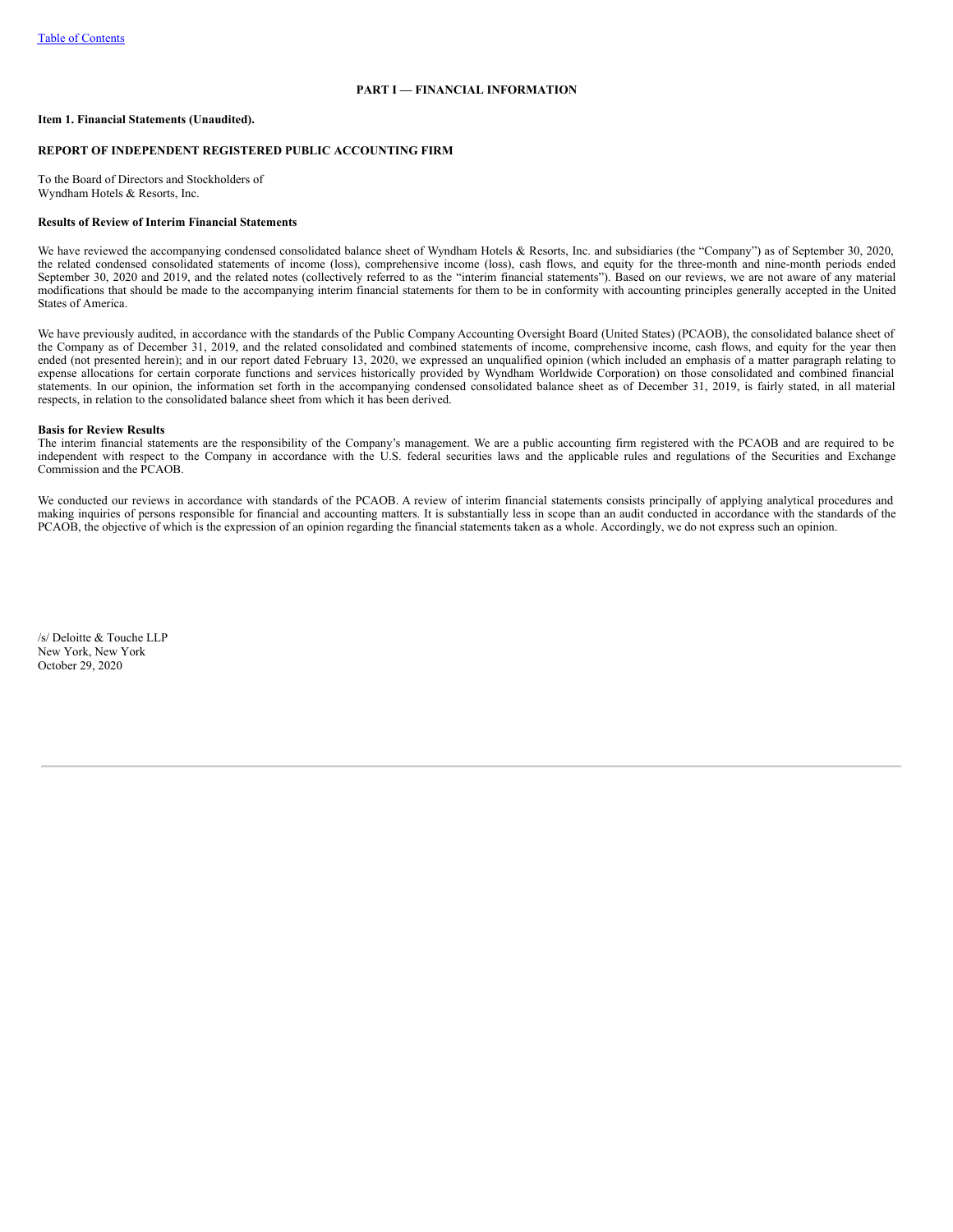## **PART I — FINANCIAL INFORMATION**

## <span id="page-2-1"></span><span id="page-2-0"></span>**Item 1. Financial Statements (Unaudited).**

## **REPORT OF INDEPENDENT REGISTERED PUBLIC ACCOUNTING FIRM**

To the Board of Directors and Stockholders of Wyndham Hotels & Resorts, Inc.

### **Results of Review of Interim Financial Statements**

We have reviewed the accompanying condensed consolidated balance sheet of Wyndham Hotels & Resorts, Inc. and subsidiaries (the "Company") as of September 30, 2020, the related condensed consolidated statements of income (loss), comprehensive income (loss), cash flows, and equity for the three-month and nine-month periods ended September 30, 2020 and 2019, and the related notes (collectively referred to as the "interim financial statements"). Based on our reviews, we are not aware of any material modifications that should be made to the accompanying interim financial statements for them to be in conformity with accounting principles generally accepted in the United States of America.

We have previously audited, in accordance with the standards of the Public Company Accounting Oversight Board (United States) (PCAOB), the consolidated balance sheet of the Company as of December 31, 2019, and the related consolidated and combined statements of income, comprehensive income, cash flows, and equity for the year then ended (not presented herein); and in our report dated February 13, 2020, we expressed an unqualified opinion (which included an emphasis of a matter paragraph relating to expense allocations for certain corporate functions and services historically provided by Wyndham Worldwide Corporation) on those consolidated and combined financial statements. In our opinion, the information set forth in the accompanying condensed consolidated balance sheet as of December 31, 2019, is fairly stated, in all material respects, in relation to the consolidated balance sheet from which it has been derived.

#### **Basis for Review Results**

The interim financial statements are the responsibility of the Company's management. We are a public accounting firm registered with the PCAOB and are required to be independent with respect to the Company in accordance with the U.S. federal securities laws and the applicable rules and regulations of the Securities and Exchange Commission and the PCAOB.

We conducted our reviews in accordance with standards of the PCAOB. A review of interim financial statements consists principally of applying analytical procedures and making inquiries of persons responsible for financial and accounting matters. It is substantially less in scope than an audit conducted in accordance with the standards of the PCAOB, the objective of which is the expression of an opinion regarding the financial statements taken as a whole. Accordingly, we do not express such an opinion.

<span id="page-2-2"></span>/s/ Deloitte & Touche LLP New York, New York October 29, 2020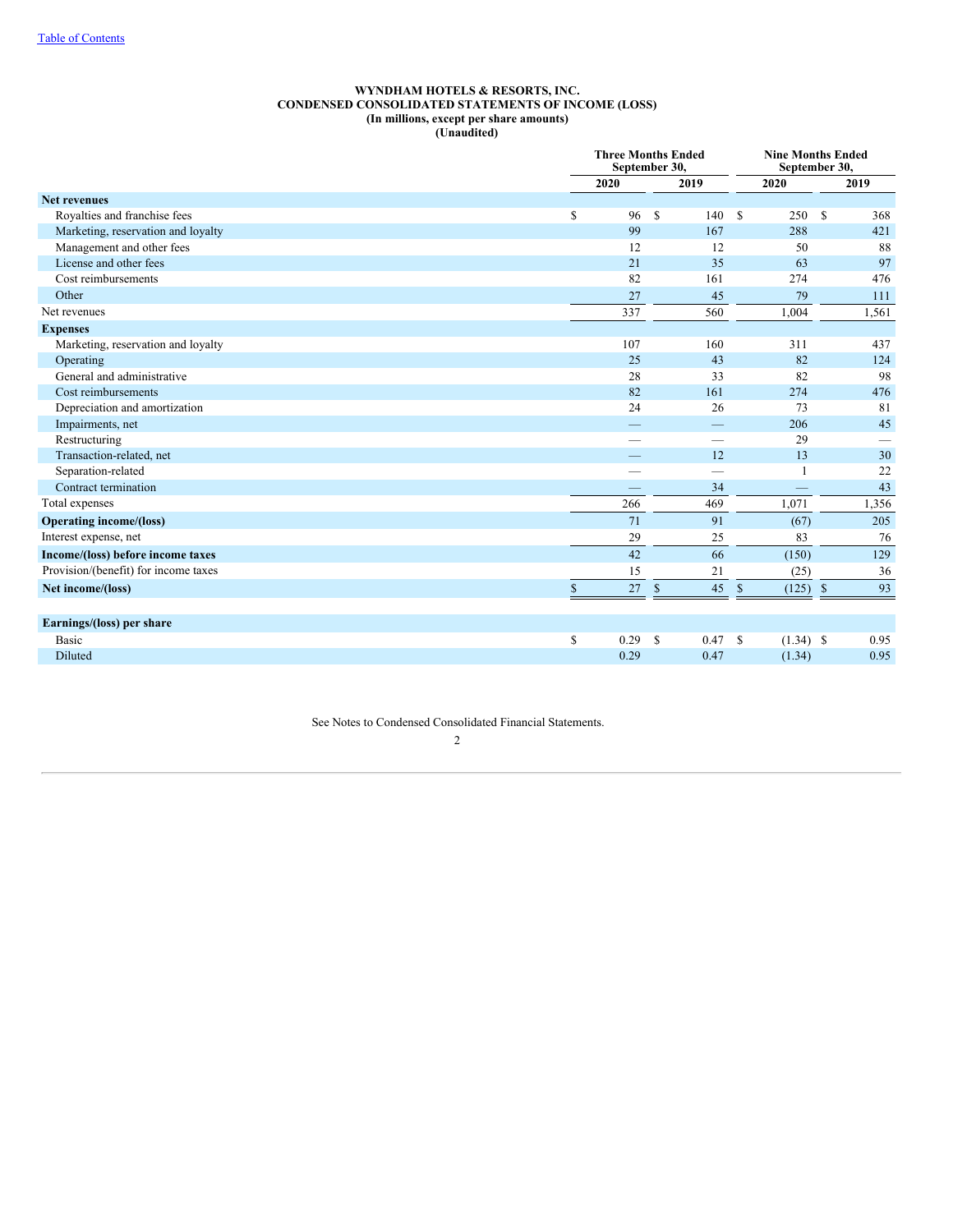### **WYNDHAM HOTELS & RESORTS, INC. CONDENSED CONSOLIDATED STATEMENTS OF INCOME (LOSS) (In millions, except per share amounts) (Unaudited)**

|                                      | <b>Three Months Ended</b><br>September 30, |              |               |      |              | <b>Nine Months Ended</b><br>September 30, |              |      |  |
|--------------------------------------|--------------------------------------------|--------------|---------------|------|--------------|-------------------------------------------|--------------|------|--|
|                                      |                                            | 2020<br>2019 |               |      |              | 2020                                      | 2019         |      |  |
| <b>Net revenues</b>                  |                                            |              |               |      |              |                                           |              |      |  |
| Royalties and franchise fees         | \$                                         | 96           | <sup>S</sup>  | 140  | S            | 250                                       | S            | 368  |  |
| Marketing, reservation and loyalty   |                                            | 99           |               | 167  |              | 288                                       |              | 421  |  |
| Management and other fees            |                                            | 12           |               | 12   |              | 50                                        |              | 88   |  |
| License and other fees               |                                            | 21           |               | 35   |              | 63                                        |              | 97   |  |
| Cost reimbursements                  |                                            | 82           |               | 161  |              | 274                                       |              | 476  |  |
| Other                                |                                            | 27           |               | 45   |              | 79                                        |              | 111  |  |
| Net revenues                         |                                            | 337          |               | 560  |              | 1,004                                     | 1,561        |      |  |
| <b>Expenses</b>                      |                                            |              |               |      |              |                                           |              |      |  |
| Marketing, reservation and loyalty   |                                            | 107          |               | 160  |              | 311                                       |              | 437  |  |
| Operating                            |                                            | 25           |               | 43   |              | 82                                        |              | 124  |  |
| General and administrative           |                                            | 28           |               | 33   |              | 82                                        |              | 98   |  |
| Cost reimbursements                  |                                            | 82           |               | 161  |              | 274                                       |              | 476  |  |
| Depreciation and amortization        |                                            | 24           |               | 26   |              | 73                                        |              | 81   |  |
| Impairments, net                     |                                            |              |               |      |              | 206                                       |              | 45   |  |
| Restructuring                        |                                            |              |               |      |              | 29                                        |              |      |  |
| Transaction-related, net             |                                            |              |               | 12   |              | 13                                        |              | 30   |  |
| Separation-related                   |                                            |              |               | -    |              |                                           |              | 22   |  |
| Contract termination                 |                                            |              |               | 34   |              | $\qquad \qquad$                           |              | 43   |  |
| Total expenses                       |                                            | 266          |               | 469  |              | 1.071                                     | 1,356        |      |  |
| <b>Operating income/(loss)</b>       |                                            | 71           |               | 91   |              | (67)                                      |              | 205  |  |
| Interest expense, net                |                                            | 29           |               | 25   |              | 83                                        |              | 76   |  |
| Income/(loss) before income taxes    |                                            | 42           |               | 66   |              | (150)                                     |              | 129  |  |
| Provision/(benefit) for income taxes |                                            | 15           |               | 21   |              | (25)                                      |              | 36   |  |
| Net income/(loss)                    | $\mathbb{S}$                               | 27           | $\mathcal{S}$ | 45   | $\mathbb{S}$ | (125)                                     | $\mathbb{S}$ | 93   |  |
| Earnings/(loss) per share            |                                            |              |               |      |              |                                           |              |      |  |
| <b>Basic</b>                         | \$                                         | 0.29         | -S            | 0.47 | S            | $(1.34)$ \$                               |              | 0.95 |  |
| Diluted                              |                                            | 0.29         |               | 0.47 |              | (1.34)                                    |              | 0.95 |  |

<span id="page-3-0"></span>See Notes to Condensed Consolidated Financial Statements.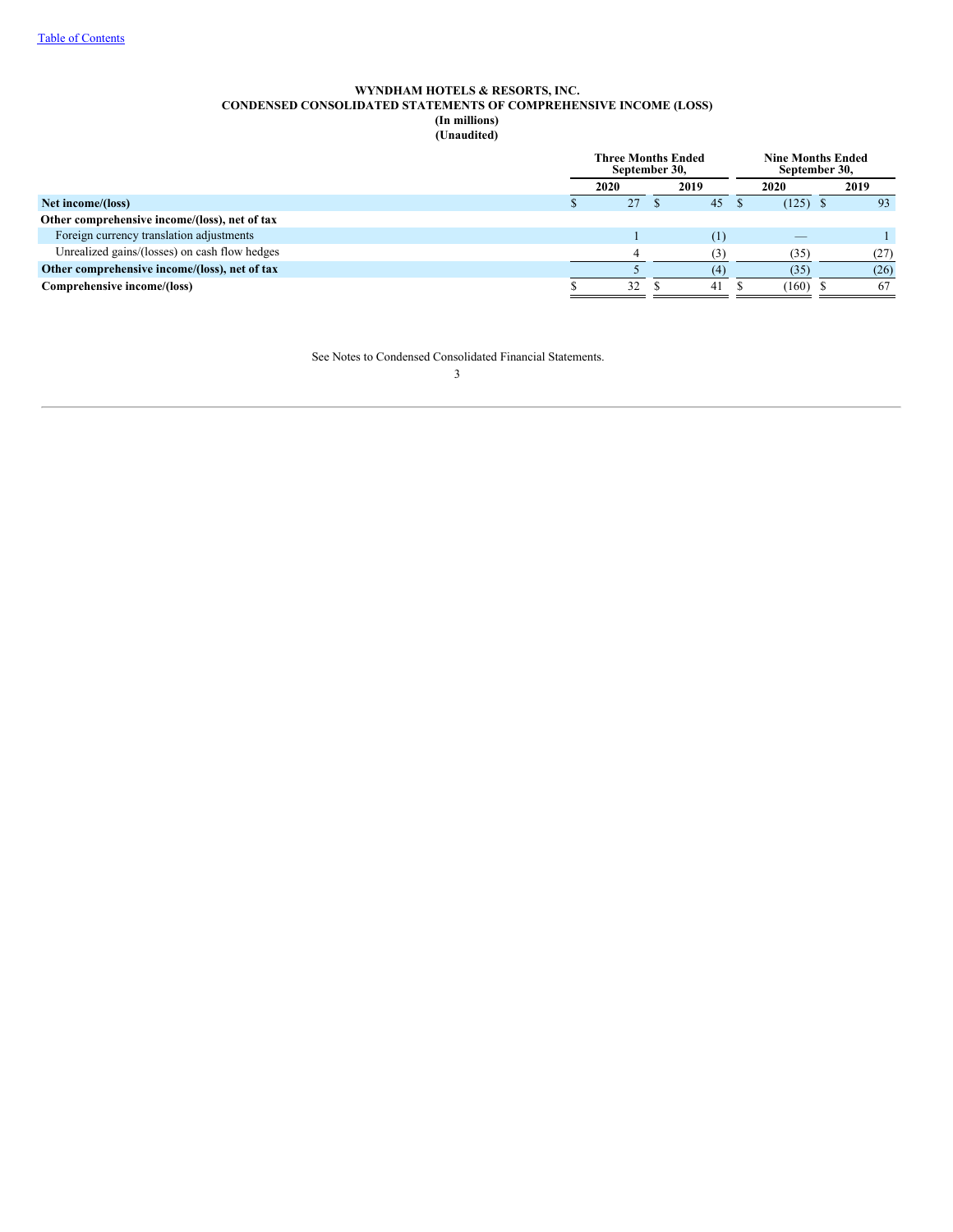## **WYNDHAM HOTELS & RESORTS, INC. CONDENSED CONSOLIDATED STATEMENTS OF COMPREHENSIVE INCOME (LOSS) (In millions) (Unaudited)**

<span id="page-4-0"></span>

|                                               | <b>Three Months Ended</b><br>September 30, |      |  |      |      | <b>Nine Months Ended</b><br>September 30, |  |      |
|-----------------------------------------------|--------------------------------------------|------|--|------|------|-------------------------------------------|--|------|
|                                               |                                            | 2020 |  | 2019 | 2020 |                                           |  | 2019 |
| Net income/(loss)                             |                                            | 27   |  | 45   |      | $(125)$ \$                                |  | 93   |
| Other comprehensive income/(loss), net of tax |                                            |      |  |      |      |                                           |  |      |
| Foreign currency translation adjustments      |                                            |      |  | (1)  |      | $\overline{\phantom{a}}$                  |  |      |
| Unrealized gains/(losses) on cash flow hedges |                                            |      |  | (3)  |      | (35)                                      |  | (27) |
| Other comprehensive income/(loss), net of tax |                                            |      |  | (4)  |      | (35)                                      |  | (26) |
| Comprehensive income/(loss)                   |                                            | 32   |  | 41   |      | (160)                                     |  | 67   |

See Notes to Condensed Consolidated Financial Statements.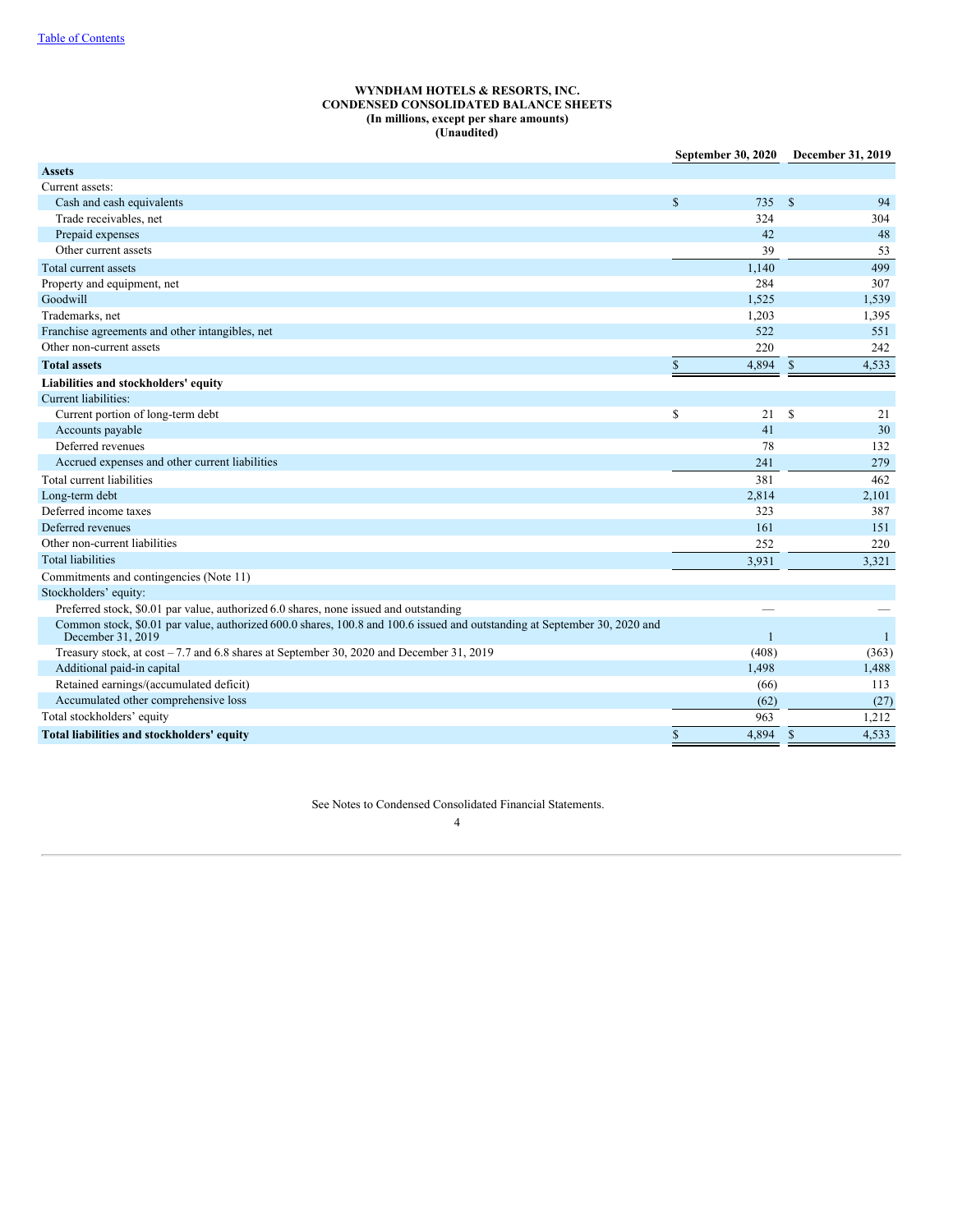## **WYNDHAM HOTELS & RESORTS, INC. CONDENSED CONSOLIDATED BALANCE SHEETS (In millions, except per share amounts) (Unaudited)**

|                                                                                                                                                | September 30, 2020    | December 31, 2019        |
|------------------------------------------------------------------------------------------------------------------------------------------------|-----------------------|--------------------------|
| <b>Assets</b>                                                                                                                                  |                       |                          |
| Current assets:                                                                                                                                |                       |                          |
| Cash and cash equivalents                                                                                                                      | $\mathbf S$<br>735    | $\mathbf{\hat{s}}$<br>94 |
| Trade receivables, net                                                                                                                         | 324                   | 304                      |
| Prepaid expenses                                                                                                                               | 42                    | 48                       |
| Other current assets                                                                                                                           | 39                    | 53                       |
| Total current assets                                                                                                                           | 1,140                 | 499                      |
| Property and equipment, net                                                                                                                    | 284                   | 307                      |
| Goodwill                                                                                                                                       | 1.525                 | 1,539                    |
| Trademarks, net                                                                                                                                | 1,203                 | 1,395                    |
| Franchise agreements and other intangibles, net                                                                                                | 522                   | 551                      |
| Other non-current assets                                                                                                                       | 220                   | 242                      |
| <b>Total assets</b>                                                                                                                            | $\mathbb{S}$<br>4,894 | $\mathbf S$<br>4.533     |
| Liabilities and stockholders' equity                                                                                                           |                       |                          |
| Current liabilities:                                                                                                                           |                       |                          |
| Current portion of long-term debt                                                                                                              | \$<br>21              | <sup>S</sup><br>21       |
| Accounts payable                                                                                                                               | 41                    | 30                       |
| Deferred revenues                                                                                                                              | 78                    | 132                      |
| Accrued expenses and other current liabilities                                                                                                 | 241                   | 279                      |
| Total current liabilities                                                                                                                      | 381                   | 462                      |
| Long-term debt                                                                                                                                 | 2,814                 | 2,101                    |
| Deferred income taxes                                                                                                                          | 323                   | 387                      |
| Deferred revenues                                                                                                                              | 161                   | 151                      |
| Other non-current liabilities                                                                                                                  | 252                   | 220                      |
| <b>Total liabilities</b>                                                                                                                       | 3,931                 | 3,321                    |
| Commitments and contingencies (Note 11)                                                                                                        |                       |                          |
| Stockholders' equity:                                                                                                                          |                       |                          |
| Preferred stock, \$0.01 par value, authorized 6.0 shares, none issued and outstanding                                                          |                       |                          |
| Common stock, \$0.01 par value, authorized 600.0 shares, 100.8 and 100.6 issued and outstanding at September 30, 2020 and<br>December 31, 2019 | $\mathbf{1}$          | 1                        |
| Treasury stock, at cost -7.7 and 6.8 shares at September 30, 2020 and December 31, 2019                                                        | (408)                 | (363)                    |
| Additional paid-in capital                                                                                                                     | 1,498                 | 1,488                    |
| Retained earnings/(accumulated deficit)                                                                                                        | (66)                  | 113                      |
| Accumulated other comprehensive loss                                                                                                           | (62)                  | (27)                     |
| Total stockholders' equity                                                                                                                     | 963                   | 1,212                    |
| Total liabilities and stockholders' equity                                                                                                     | $\mathbb{S}$<br>4.894 | $\mathbf S$<br>4.533     |

<span id="page-5-0"></span>See Notes to Condensed Consolidated Financial Statements.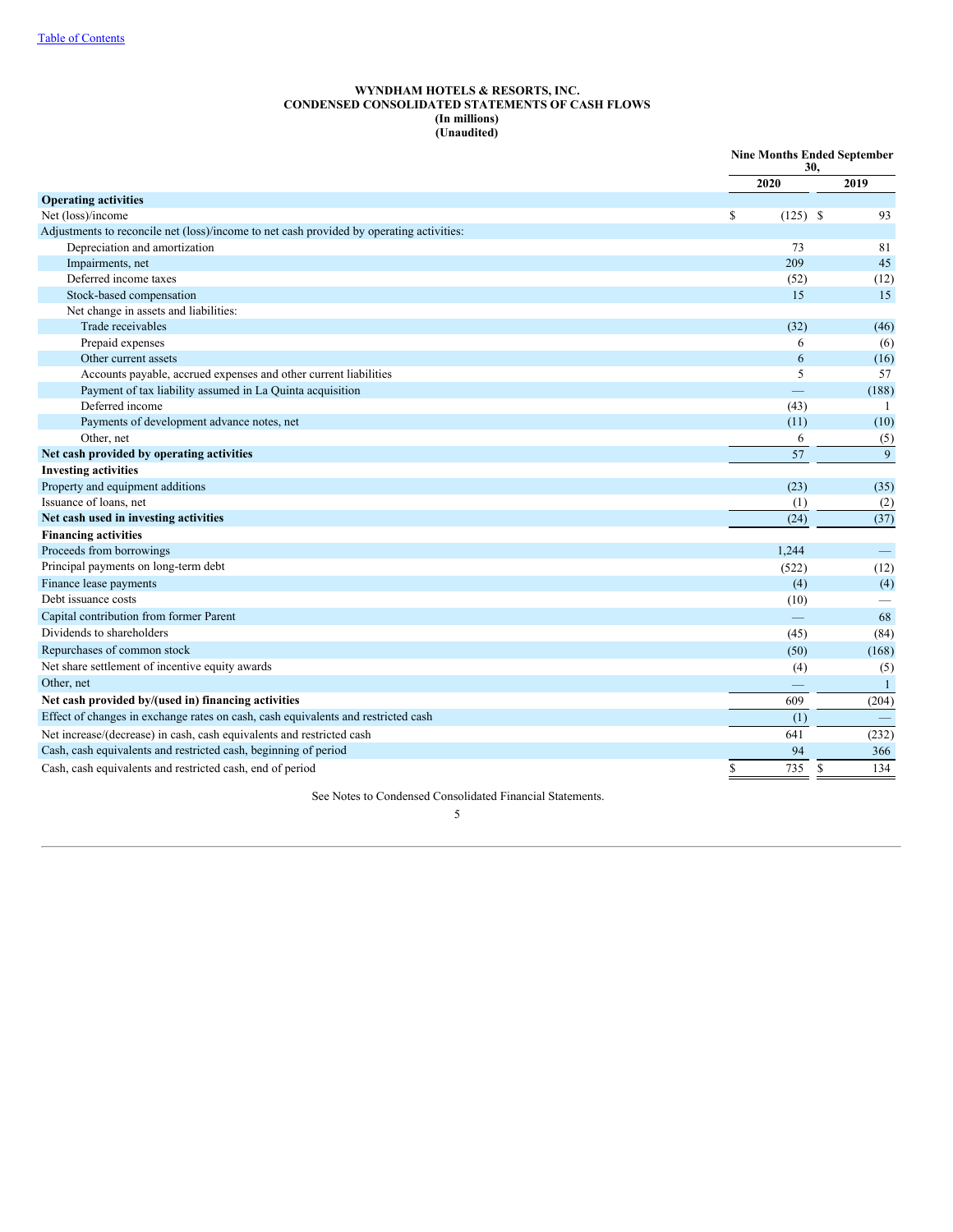## **WYNDHAM HOTELS & RESORTS, INC. CONDENSED CONSOLIDATED STATEMENTS OF CASH FLOWS (In millions) (Unaudited)**

|                                                                                          |                  | 30,           | <b>Nine Months Ended September</b> |  |
|------------------------------------------------------------------------------------------|------------------|---------------|------------------------------------|--|
|                                                                                          | 2020             |               | 2019                               |  |
| <b>Operating activities</b>                                                              |                  |               |                                    |  |
| Net (loss)/income                                                                        | \$<br>$(125)$ \$ |               | 93                                 |  |
| Adjustments to reconcile net (loss)/income to net cash provided by operating activities: |                  |               |                                    |  |
| Depreciation and amortization                                                            | 73               |               | 81                                 |  |
| Impairments, net                                                                         | 209              |               | 45                                 |  |
| Deferred income taxes                                                                    | (52)             |               | (12)                               |  |
| Stock-based compensation                                                                 | 15               |               | 15                                 |  |
| Net change in assets and liabilities:                                                    |                  |               |                                    |  |
| Trade receivables                                                                        | (32)             |               | (46)                               |  |
| Prepaid expenses                                                                         | 6                |               | (6)                                |  |
| Other current assets                                                                     | 6                |               | (16)                               |  |
| Accounts payable, accrued expenses and other current liabilities                         | 5                |               | 57                                 |  |
| Payment of tax liability assumed in La Quinta acquisition                                |                  |               | (188)                              |  |
| Deferred income                                                                          | (43)             |               | 1                                  |  |
| Payments of development advance notes, net                                               | (11)             |               | (10)                               |  |
| Other, net                                                                               | 6                |               | (5)                                |  |
| Net cash provided by operating activities                                                | 57               |               | 9                                  |  |
| <b>Investing activities</b>                                                              |                  |               |                                    |  |
| Property and equipment additions                                                         | (23)             |               | (35)                               |  |
| Issuance of loans, net                                                                   | (1)              |               | (2)                                |  |
| Net cash used in investing activities                                                    | (24)             |               | (37)                               |  |
| <b>Financing activities</b>                                                              |                  |               |                                    |  |
| Proceeds from borrowings                                                                 | 1,244            |               | $\qquad \qquad -$                  |  |
| Principal payments on long-term debt                                                     | (522)            |               | (12)                               |  |
| Finance lease payments                                                                   | (4)              |               | (4)                                |  |
| Debt issuance costs                                                                      | (10)             |               |                                    |  |
| Capital contribution from former Parent                                                  |                  |               | 68                                 |  |
| Dividends to shareholders                                                                | (45)             |               | (84)                               |  |
| Repurchases of common stock                                                              | (50)             |               | (168)                              |  |
| Net share settlement of incentive equity awards                                          | (4)              |               | (5)                                |  |
| Other, net                                                                               |                  |               | $\mathbf{1}$                       |  |
| Net cash provided by/(used in) financing activities                                      | 609              |               | (204)                              |  |
| Effect of changes in exchange rates on cash, cash equivalents and restricted cash        | (1)              |               |                                    |  |
| Net increase/(decrease) in cash, cash equivalents and restricted cash                    | 641              |               | (232)                              |  |
| Cash, cash equivalents and restricted cash, beginning of period                          | 94               |               | 366                                |  |
| Cash, cash equivalents and restricted cash, end of period                                | \$<br>735        | <sup>\$</sup> | 134                                |  |

<span id="page-6-0"></span>See Notes to Condensed Consolidated Financial Statements.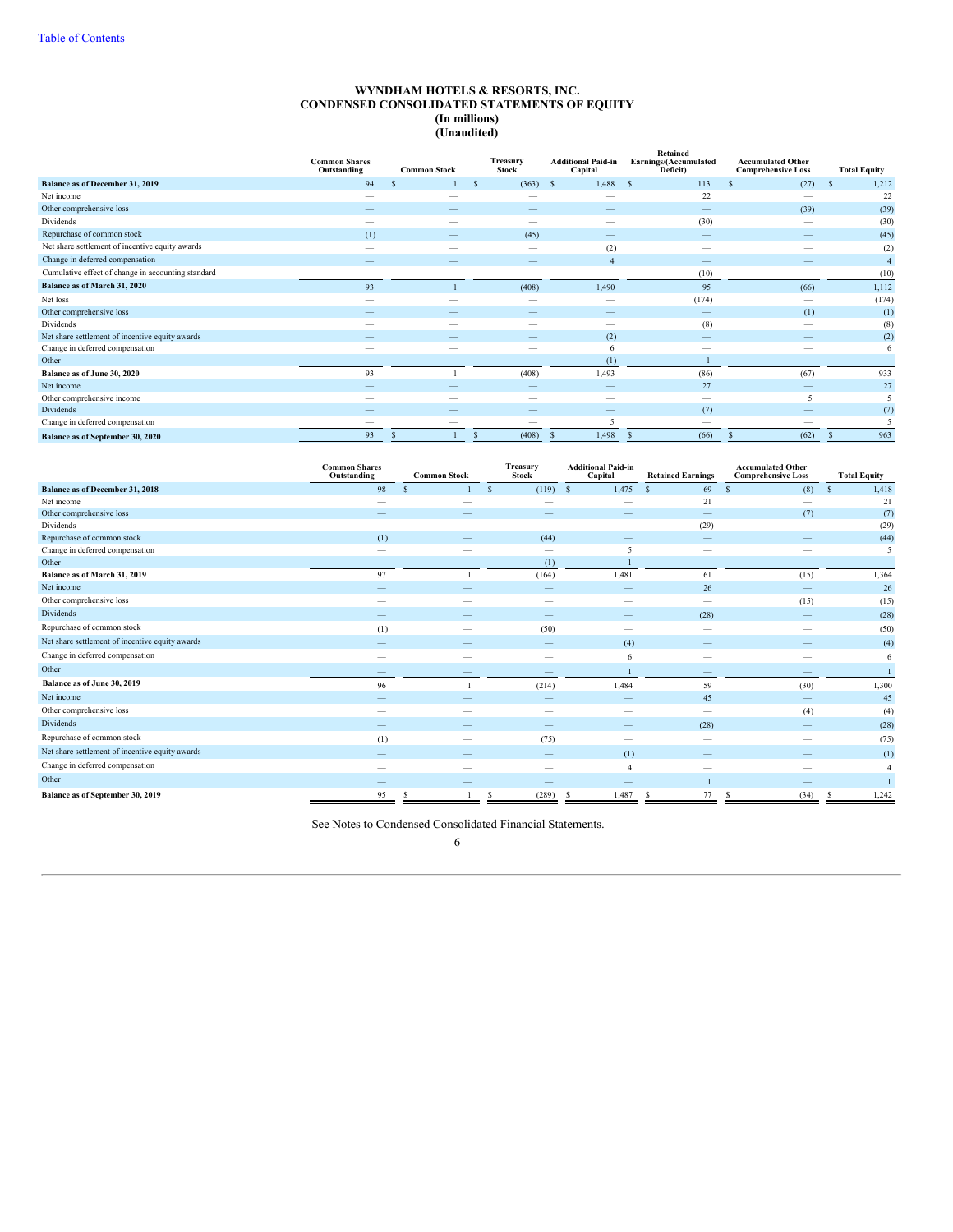### **WYNDHAM HOTELS & RESORTS, INC. CONDENSED CONSOLIDATED STATEMENTS OF EQUITY (In millions) (Unaudited)**

|                                                    | <b>Common Shares</b><br>Outstanding<br><b>Common Stock</b> |                          | <b>Treasury</b><br><b>Additional Paid-in</b><br><b>Stock</b><br>Capital |                          | Retained<br>Earnings/(Accumulated<br>Deficit) | <b>Accumulated Other</b><br><b>Comprehensive Loss</b> | <b>Total Equity</b>    |
|----------------------------------------------------|------------------------------------------------------------|--------------------------|-------------------------------------------------------------------------|--------------------------|-----------------------------------------------|-------------------------------------------------------|------------------------|
| Balance as of December 31, 2019                    | 94                                                         |                          | $(363)$ \$                                                              | 1,488                    | 113<br><sub>S</sub>                           | (27)                                                  | 1,212<br><sup>\$</sup> |
| Net income                                         | $\overline{\phantom{a}}$                                   |                          |                                                                         | $\overline{\phantom{a}}$ | 22                                            |                                                       | 22                     |
| Other comprehensive loss                           |                                                            |                          |                                                                         |                          |                                               | (39)                                                  | (39)                   |
| Dividends                                          |                                                            | $\overline{\phantom{a}}$ | -                                                                       | $\overline{\phantom{a}}$ | (30)                                          | -                                                     | (30)                   |
| Repurchase of common stock                         | (1)                                                        |                          | (45)                                                                    |                          | $\qquad \qquad \overline{\qquad \qquad }$     |                                                       | (45)                   |
| Net share settlement of incentive equity awards    |                                                            |                          |                                                                         | (2)                      |                                               |                                                       | (2)                    |
| Change in deferred compensation                    |                                                            |                          |                                                                         | $\overline{4}$           | $\sim$                                        |                                                       | $\overline{4}$         |
| Cumulative effect of change in accounting standard | $\overline{\phantom{a}}$                                   | $\sim$                   |                                                                         | $\overline{\phantom{a}}$ | (10)                                          |                                                       | (10)                   |
| Balance as of March 31, 2020                       | 93                                                         |                          | (408)                                                                   | 1,490                    | 95                                            | (66)                                                  | 1,112                  |
| Net loss                                           |                                                            |                          |                                                                         |                          | (174)                                         |                                                       | (174)                  |
| Other comprehensive loss                           |                                                            |                          |                                                                         |                          | $\qquad \qquad \longleftarrow$                | (1)                                                   | (1)                    |
| Dividends                                          |                                                            |                          |                                                                         | -                        | (8)                                           |                                                       | (8)                    |
| Net share settlement of incentive equity awards    |                                                            |                          |                                                                         | (2)                      | $\overline{\phantom{a}}$                      |                                                       | (2)                    |
| Change in deferred compensation                    | -                                                          | $\overline{\phantom{a}}$ |                                                                         | 6                        | $\hspace{0.05cm}$                             |                                                       | 6                      |
| Other                                              |                                                            |                          |                                                                         | (1)                      |                                               |                                                       |                        |
| Balance as of June 30, 2020                        | 93                                                         |                          | (408)                                                                   | 1,493                    | (86)                                          | (67)                                                  | 933                    |
| Net income                                         |                                                            |                          |                                                                         |                          | 27                                            |                                                       | 27                     |
| Other comprehensive income                         |                                                            |                          |                                                                         |                          | $\overline{\phantom{a}}$                      | 5                                                     |                        |
| Dividends                                          |                                                            |                          |                                                                         |                          | (7)                                           |                                                       | (7)                    |
| Change in deferred compensation                    |                                                            |                          |                                                                         |                          |                                               |                                                       | $\tilde{\mathcal{L}}$  |
| Balance as of September 30, 2020                   | 93                                                         |                          | (408)                                                                   | 1,498                    | (66)                                          | (62)                                                  | 963                    |

|                                                 | <b>Common Shares</b><br>Outstanding | <b>Common Stock</b>      | Treasury<br><b>Stock</b>   | <b>Additional Paid-in</b><br>Capital | <b>Retained Earnings</b>        | <b>Accumulated Other</b><br><b>Comprehensive Loss</b> | <b>Total Equity</b>   |
|-------------------------------------------------|-------------------------------------|--------------------------|----------------------------|--------------------------------------|---------------------------------|-------------------------------------------------------|-----------------------|
| <b>Balance as of December 31, 2018</b>          | 98                                  |                          | $(119)$ \$<br>$\mathbb{S}$ | 1,475                                | 69<br><sup>S</sup>              | (8)<br><sup>\$</sup>                                  | 1,418<br>$\mathbf{s}$ |
| Net income                                      |                                     |                          |                            |                                      | 21                              |                                                       | 21                    |
| Other comprehensive loss                        |                                     |                          |                            |                                      |                                 | (7)                                                   | (7)                   |
| Dividends                                       |                                     |                          |                            |                                      | (29)                            |                                                       | (29)                  |
| Repurchase of common stock                      | (1)                                 |                          | (44)                       |                                      | $\sim$                          |                                                       | (44)                  |
| Change in deferred compensation                 |                                     | -                        |                            | 5                                    | $\sim$                          |                                                       | 5                     |
| Other                                           |                                     |                          | (1)                        |                                      |                                 |                                                       |                       |
| Balance as of March 31, 2019                    | 97                                  |                          | (164)                      | 1,481                                | 61                              | (15)                                                  | 1,364                 |
| Net income                                      |                                     |                          | -                          |                                      | 26                              |                                                       | 26                    |
| Other comprehensive loss                        |                                     | -                        | $\hspace{0.05cm}$          | $\hspace{0.05cm}$                    | $\hspace{0.1mm}-\hspace{0.1mm}$ | (15)                                                  | (15)                  |
| <b>Dividends</b>                                |                                     |                          |                            |                                      | (28)                            |                                                       | (28)                  |
| Repurchase of common stock                      | (1)                                 | -                        | (50)                       | $\overline{\phantom{0}}$             | $\hspace{0.05cm}$               |                                                       | (50)                  |
| Net share settlement of incentive equity awards |                                     |                          |                            | (4)                                  |                                 |                                                       | (4)                   |
| Change in deferred compensation                 | -                                   | $\overline{\phantom{a}}$ | $\hspace{0.05cm}$          | 6                                    | $\sim$                          | $\overline{\phantom{a}}$                              | 6                     |
| Other                                           |                                     |                          |                            |                                      | $\overline{\phantom{a}}$        |                                                       |                       |
| Balance as of June 30, 2019                     | 96                                  |                          | (214)                      | 1,484                                | 59                              | (30)                                                  | 1,300                 |
| Net income                                      |                                     |                          |                            |                                      | 45                              |                                                       | 45                    |
| Other comprehensive loss                        | -                                   |                          | -                          |                                      | $\hspace{0.05cm}$               | (4)                                                   | (4)                   |
| <b>Dividends</b>                                |                                     |                          |                            |                                      | (28)                            |                                                       | (28)                  |
| Repurchase of common stock                      | (1)                                 |                          | (75)                       | $\hspace{0.05cm}$                    | $\overline{\phantom{a}}$        |                                                       | (75)                  |
| Net share settlement of incentive equity awards |                                     |                          |                            | (1)                                  |                                 |                                                       | (1)                   |
| Change in deferred compensation                 |                                     | -                        |                            | $\overline{4}$                       | $\hspace{0.05cm}$               |                                                       |                       |
| Other                                           |                                     |                          |                            |                                      |                                 |                                                       |                       |
| Balance as of September 30, 2019                | 95                                  | S                        | (289)<br>S                 | 1,487<br>-8                          | 77<br>s                         | (34)<br>s.                                            | 1,242                 |

<span id="page-7-0"></span>See Notes to Condensed Consolidated Financial Statements.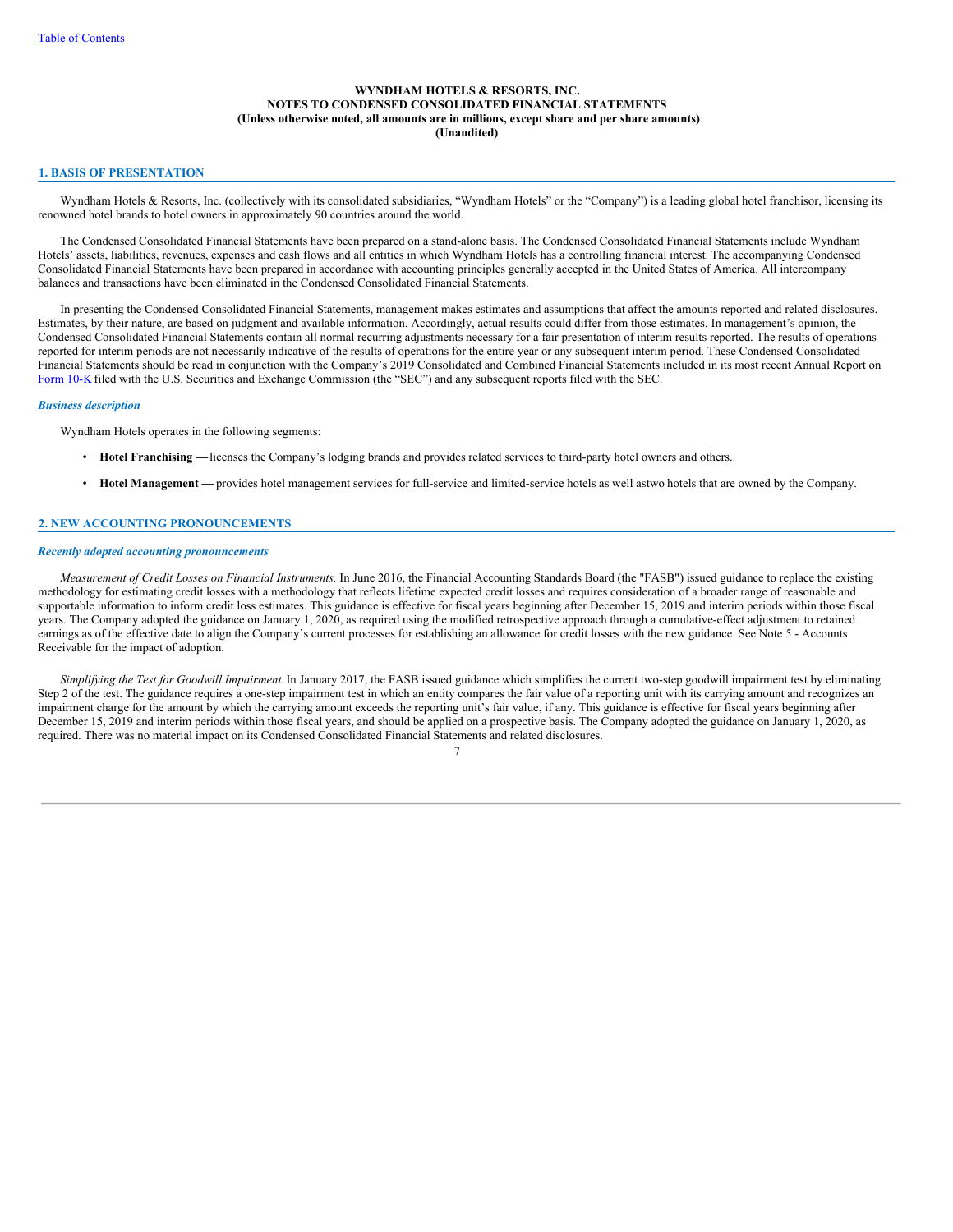## **WYNDHAM HOTELS & RESORTS, INC. NOTES TO CONDENSED CONSOLIDATED FINANCIAL STATEMENTS (Unless otherwise noted, all amounts are in millions, except share and per share amounts) (Unaudited)**

## **1. BASIS OF PRESENTATION**

Wyndham Hotels & Resorts, Inc. (collectively with its consolidated subsidiaries, "Wyndham Hotels" or the "Company") is a leading global hotel franchisor, licensing its renowned hotel brands to hotel owners in approximately 90 countries around the world.

The Condensed Consolidated Financial Statements have been prepared on a stand-alone basis. The Condensed Consolidated Financial Statements include Wyndham Hotels' assets, liabilities, revenues, expenses and cash flows and all entities in which Wyndham Hotels has a controlling financial interest. The accompanying Condensed Consolidated Financial Statements have been prepared in accordance with accounting principles generally accepted in the United States of America. All intercompany balances and transactions have been eliminated in the Condensed Consolidated Financial Statements.

In presenting the Condensed Consolidated Financial Statements, management makes estimates and assumptions that affect the amounts reported and related disclosures. Estimates, by their nature, are based on judgment and available information. Accordingly, actual results could differ from those estimates. In management's opinion, the Condensed Consolidated Financial Statements contain all normal recurring adjustments necessary for a fair presentation of interim results reported. The results of operations reported for interim periods are not necessarily indicative of the results of operations for the entire year or any subsequent interim period. These Condensed Consolidated Financial Statements should be read in conjunction with the Company's 2019 Consolidated and Combined Financial Statements included in its most recent Annual Report on [Form](http://www.sec.gov/Archives/edgar/data/1722684/000172268420000007/wh-20191231x10k.htm) 10-K filed with the U.S. Securities and Exchange Commission (the "SEC") and any subsequent reports filed with the SEC.

### *Business description*

Wyndham Hotels operates in the following segments:

- **Hotel Franchising —**licenses the Company's lodging brands and provides related services to third-party hotel owners and others.
- **Hotel Management —** provides hotel management services for full-service and limited-service hotels as well astwo hotels that are owned by the Company.

## **2. NEW ACCOUNTING PRONOUNCEMENTS**

#### *Recently adopted accounting pronouncements*

*Measurement of Credit Losses on Financial Instruments.* In June 2016, the Financial Accounting Standards Board (the "FASB") issued guidance to replace the existing methodology for estimating credit losses with a methodology that reflects lifetime expected credit losses and requires consideration of a broader range of reasonable and supportable information to inform credit loss estimates. This guidance is effective for fiscal years beginning after December 15, 2019 and interim periods within those fiscal years. The Company adopted the guidance on January 1, 2020, as required using the modified retrospective approach through a cumulative-effect adjustment to retained earnings as of the effective date to align the Company's current processes for establishing an allowance for credit losses with the new guidance. See Note 5 - Accounts Receivable for the impact of adoption.

*Simplifying the Test for Goodwill Impairment.*In January 2017, the FASB issued guidance which simplifies the current two-step goodwill impairment test by eliminating Step 2 of the test. The guidance requires a one-step impairment test in which an entity compares the fair value of a reporting unit with its carrying amount and recognizes an impairment charge for the amount by which the carrying amount exceeds the reporting unit's fair value, if any. This guidance is effective for fiscal years beginning after December 15, 2019 and interim periods within those fiscal years, and should be applied on a prospective basis. The Company adopted the guidance on January 1, 2020, as required. There was no material impact on its Condensed Consolidated Financial Statements and related disclosures.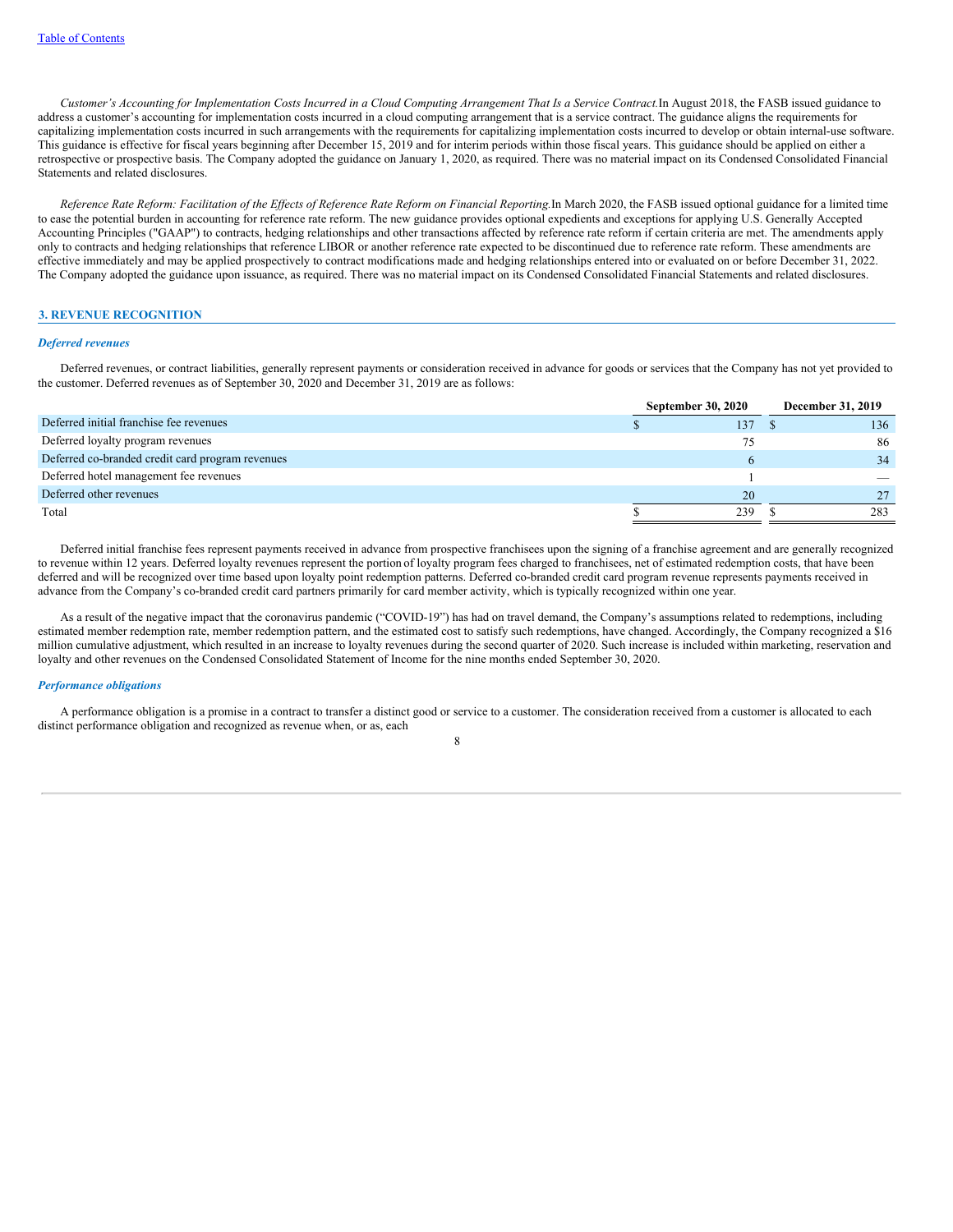Customer's Accounting for Implementation Costs Incurred in a Cloud Computing Arrangement That Is a Service Contract. In August 2018, the FASB issued guidance to address a customer's accounting for implementation costs incurred in a cloud computing arrangement that is a service contract. The guidance aligns the requirements for capitalizing implementation costs incurred in such arrangements with the requirements for capitalizing implementation costs incurred to develop or obtain internal-use software. This guidance is effective for fiscal years beginning after December 15, 2019 and for interim periods within those fiscal years. This guidance should be applied on either a retrospective or prospective basis. The Company adopted the guidance on January 1, 2020, as required. There was no material impact on its Condensed Consolidated Financial Statements and related disclosures.

Reference Rate Reform: Facilitation of the Effects of Reference Rate Reform on Financial Reporting.In March 2020, the FASB issued optional guidance for a limited time to ease the potential burden in accounting for reference rate reform. The new guidance provides optional expedients and exceptions for applying U.S. Generally Accepted Accounting Principles ("GAAP") to contracts, hedging relationships and other transactions affected by reference rate reform if certain criteria are met. The amendments apply only to contracts and hedging relationships that reference LIBOR or another reference rate expected to be discontinued due to reference rate reform. These amendments are effective immediately and may be applied prospectively to contract modifications made and hedging relationships entered into or evaluated on or before December 31, 2022. The Company adopted the guidance upon issuance, as required. There was no material impact on its Condensed Consolidated Financial Statements and related disclosures.

### **3. REVENUE RECOGNITION**

### *Deferred revenues*

Deferred revenues, or contract liabilities, generally represent payments or consideration received in advance for goods or services that the Company has not yet provided to the customer. Deferred revenues as of September 30, 2020 and December 31, 2019 are as follows:

|                                                  | <b>September 30, 2020</b> |     |  | December 31, 2019 |
|--------------------------------------------------|---------------------------|-----|--|-------------------|
| Deferred initial franchise fee revenues          |                           | 137 |  | 136               |
| Deferred loyalty program revenues                |                           | 75  |  | 86                |
| Deferred co-branded credit card program revenues |                           |     |  | 34                |
| Deferred hotel management fee revenues           |                           |     |  |                   |
| Deferred other revenues                          |                           | 20  |  |                   |
| Total                                            | 239                       |     |  | 283               |
|                                                  |                           |     |  |                   |

Deferred initial franchise fees represent payments received in advance from prospective franchisees upon the signing of a franchise agreement and are generally recognized to revenue within 12 years. Deferred loyalty revenues represent the portion of loyalty program fees charged to franchisees, net of estimated redemption costs, that have been deferred and will be recognized over time based upon loyalty point redemption patterns. Deferred co-branded credit card program revenue represents payments received in advance from the Company's co-branded credit card partners primarily for card member activity, which is typically recognized within one year.

As a result of the negative impact that the coronavirus pandemic ("COVID-19") has had on travel demand, the Company's assumptions related to redemptions, including estimated member redemption rate, member redemption pattern, and the estimated cost to satisfy such redemptions, have changed. Accordingly, the Company recognized a \$16 million cumulative adjustment, which resulted in an increase to loyalty revenues during the second quarter of 2020. Such increase is included within marketing, reservation and loyalty and other revenues on the Condensed Consolidated Statement of Income for the nine months ended September 30, 2020.

## *Performance obligations*

A performance obligation is a promise in a contract to transfer a distinct good or service to a customer. The consideration received from a customer is allocated to each distinct performance obligation and recognized as revenue when, or as, each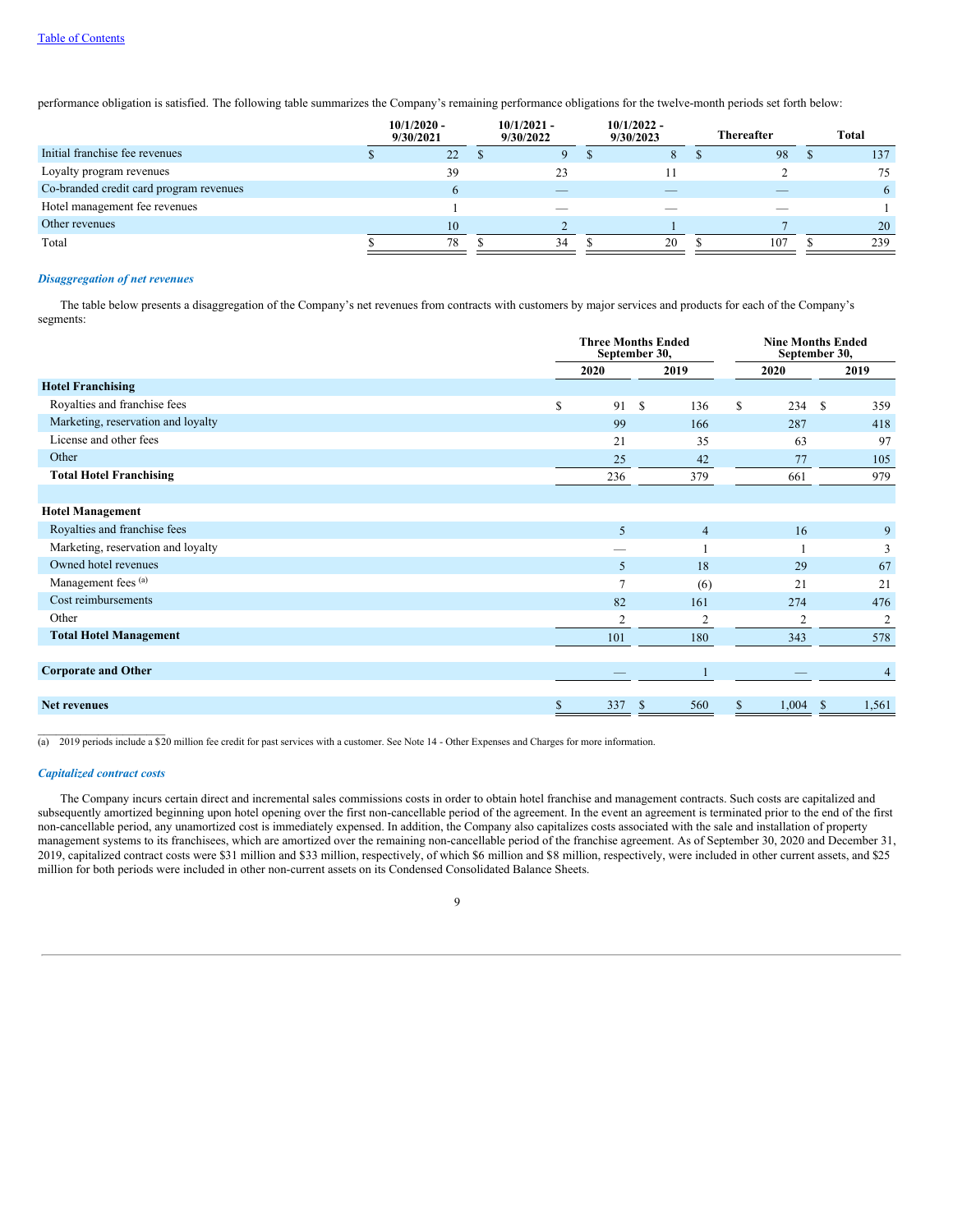## Table of [Contents](#page-0-0)

performance obligation is satisfied. The following table summarizes the Company's remaining performance obligations for the twelve-month periods set forth below:

|                                         | $10/1/2020 -$<br>9/30/2021 |                | $10/1/2021 -$<br>9/30/2022 | $10/1/2022 -$<br>9/30/2023 | <b>Thereafter</b> | <b>Total</b> |
|-----------------------------------------|----------------------------|----------------|----------------------------|----------------------------|-------------------|--------------|
| Initial franchise fee revenues          |                            | 22             |                            | 8                          | 98                | 137          |
| Loyalty program revenues                |                            | 39             | 23                         |                            |                   | 75           |
| Co-branded credit card program revenues |                            | $\mathfrak{h}$ | $-$                        |                            |                   | 6            |
| Hotel management fee revenues           |                            |                | _                          |                            |                   |              |
| Other revenues                          |                            | 10             |                            |                            |                   | 20           |
| Total                                   |                            | 78             | 34                         | 20                         | 107               | 239          |

## *Disaggregation of net revenues*

The table below presents a disaggregation of the Company's net revenues from contracts with customers by major services and products for each of the Company's segments:

|                                    | <b>Three Months Ended</b><br>September 30, |     |              |                |    | <b>Nine Months Ended</b><br>September 30, |              |                |
|------------------------------------|--------------------------------------------|-----|--------------|----------------|----|-------------------------------------------|--------------|----------------|
|                                    | 2019<br>2020                               |     | 2020         |                |    | 2019                                      |              |                |
| <b>Hotel Franchising</b>           |                                            |     |              |                |    |                                           |              |                |
| Royalties and franchise fees       | \$                                         | 91  | <sup>S</sup> | 136            | \$ | 234                                       | $\mathbb{S}$ | 359            |
| Marketing, reservation and loyalty |                                            | 99  |              | 166            |    | 287                                       |              | 418            |
| License and other fees             |                                            | 21  |              | 35             |    | 63                                        |              | 97             |
| Other                              |                                            | 25  |              | 42             |    | 77                                        |              | 105            |
| <b>Total Hotel Franchising</b>     |                                            | 236 |              | 379            |    | 661                                       |              | 979            |
|                                    |                                            |     |              |                |    |                                           |              |                |
| <b>Hotel Management</b>            |                                            |     |              |                |    |                                           |              |                |
| Royalties and franchise fees       |                                            | 5   |              | $\overline{4}$ |    | 16                                        |              | 9              |
| Marketing, reservation and loyalty |                                            |     |              |                |    |                                           |              | 3              |
| Owned hotel revenues               |                                            | 5   |              | 18             |    | 29                                        |              | 67             |
| Management fees (a)                |                                            |     |              | (6)            |    | 21                                        |              | 21             |
| Cost reimbursements                |                                            | 82  |              | 161            |    | 274                                       |              | 476            |
| Other                              |                                            | 2   |              | 2              |    | $\overline{2}$                            |              | 2              |
| <b>Total Hotel Management</b>      |                                            | 101 |              | 180            |    | 343                                       |              | 578            |
|                                    |                                            |     |              |                |    |                                           |              |                |
| <b>Corporate and Other</b>         |                                            |     |              |                |    |                                           |              | $\overline{4}$ |
|                                    |                                            |     |              |                |    |                                           |              |                |
| <b>Net revenues</b>                | \$                                         | 337 | S            | 560            |    | 1,004                                     | S            | 1,561          |

 $\frac{1}{10}$  2019 periods include a \$20 million fee credit for past services with a customer. See Note 14 - Other Expenses and Charges for more information.

## *Capitalized contract costs*

The Company incurs certain direct and incremental sales commissions costs in order to obtain hotel franchise and management contracts. Such costs are capitalized and subsequently amortized beginning upon hotel opening over the first non-cancellable period of the agreement. In the event an agreement is terminated prior to the end of the first non-cancellable period, any unamortized cost is immediately expensed. In addition, the Company also capitalizes costs associated with the sale and installation of property management systems to its franchisees, which are amortized over the remaining non-cancellable period of the franchise agreement. As of September 30, 2020 and December 31, 2019, capitalized contract costs were \$31 million and \$33 million, respectively, of which \$6 million and \$8 million, respectively, were included in other current assets, and \$25 million for both periods were included in other non-current assets on its Condensed Consolidated Balance Sheets.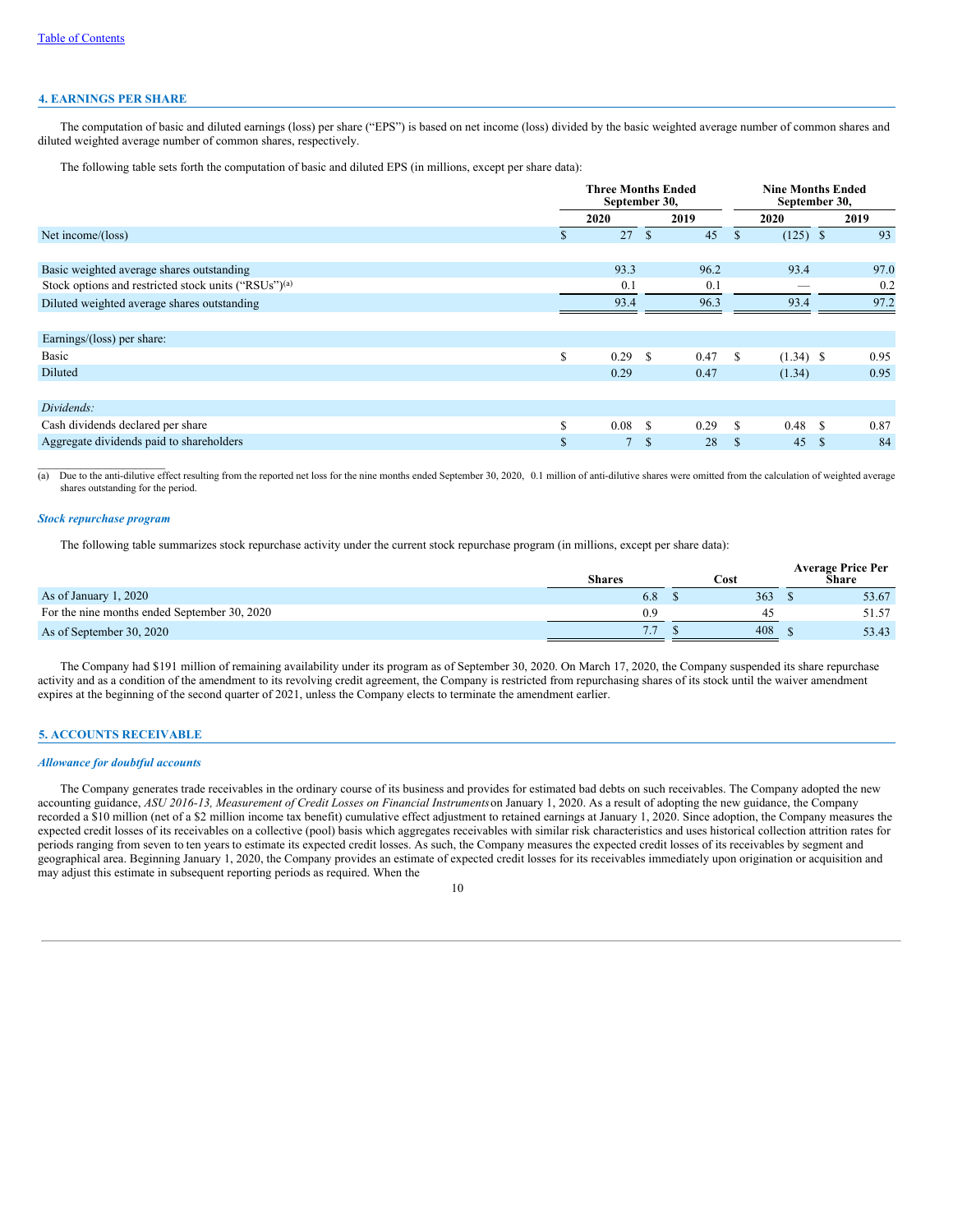#### **4. EARNINGS PER SHARE**

The computation of basic and diluted earnings (loss) per share ("EPS") is based on net income (loss) divided by the basic weighted average number of common shares and diluted weighted average number of common shares, respectively.

The following table sets forth the computation of basic and diluted EPS (in millions, except per share data):

|                                                                  |              | <b>Three Months Ended</b><br>September 30, |               |      | <b>Nine Months Ended</b><br>September 30, |                |   |      |
|------------------------------------------------------------------|--------------|--------------------------------------------|---------------|------|-------------------------------------------|----------------|---|------|
|                                                                  |              | 2020                                       |               | 2019 |                                           | 2020           |   | 2019 |
| Net income/(loss)                                                | S.           | 27                                         | <sup>\$</sup> | 45   | <sup>\$</sup>                             | $(125)$ \$     |   | 93   |
|                                                                  |              |                                            |               |      |                                           |                |   |      |
| Basic weighted average shares outstanding                        |              | 93.3                                       |               | 96.2 |                                           | 93.4           |   | 97.0 |
| Stock options and restricted stock units ("RSUs") <sup>(a)</sup> |              | 0.1                                        |               | 0.1  |                                           |                |   | 0.2  |
| Diluted weighted average shares outstanding                      |              | 93.4                                       |               | 96.3 |                                           | 93.4           |   | 97.2 |
|                                                                  |              |                                            |               |      |                                           |                |   |      |
| Earnings/(loss) per share:                                       |              |                                            |               |      |                                           |                |   |      |
| <b>Basic</b>                                                     | \$           | 0.29                                       | <sup>\$</sup> | 0.47 | \$.                                       | $(1.34)$ \$    |   | 0.95 |
| Diluted                                                          |              | 0.29                                       |               | 0.47 |                                           | (1.34)         |   | 0.95 |
|                                                                  |              |                                            |               |      |                                           |                |   |      |
| Dividends:                                                       |              |                                            |               |      |                                           |                |   |      |
| Cash dividends declared per share                                | \$           | 0.08                                       | <sup>\$</sup> | 0.29 | -S                                        | $0.48 \quad S$ |   | 0.87 |
| Aggregate dividends paid to shareholders                         | $\mathbb{S}$ |                                            | <sup>\$</sup> | 28   | -S                                        | 45             | S | 84   |

(a) Due to the anti-dilutive effect resulting from the reported net loss for the nine months ended September 30, 2020, 0.1 million of anti-dilutive shares were omitted from the calculation of weighted average shares outstanding for the period.

### *Stock repurchase program*

 $\mathcal{L}_\text{max}$ 

The following table summarizes stock repurchase activity under the current stock repurchase program (in millions, except per share data):

|                                              | <b>Shares</b> | Cost | <b>Average Price Per</b><br>Share |
|----------------------------------------------|---------------|------|-----------------------------------|
| As of January 1, 2020                        | 6.8           | 363  | 53.67                             |
| For the nine months ended September 30, 2020 | 0.9           | 4.   | 51.57                             |
| As of September 30, 2020                     | 7.7           | 408  | 53.43                             |

The Company had \$191 million of remaining availability under its program as of September 30, 2020. On March 17, 2020, the Company suspended its share repurchase activity and as a condition of the amendment to its revolving credit agreement, the Company is restricted from repurchasing shares of its stock until the waiver amendment expires at the beginning of the second quarter of 2021, unless the Company elects to terminate the amendment earlier.

### **5. ACCOUNTS RECEIVABLE**

#### *Allowance for doubtful accounts*

The Company generates trade receivables in the ordinary course of its business and provides for estimated bad debts on such receivables. The Company adopted the new accounting guidance, *ASU 2016-13, Measurement of Credit Losses on Financial Instruments*on January 1, 2020. As a result of adopting the new guidance, the Company recorded a \$10 million (net of a \$2 million income tax benefit) cumulative effect adjustment to retained earnings at January 1, 2020. Since adoption, the Company measures the expected credit losses of its receivables on a collective (pool) basis which aggregates receivables with similar risk characteristics and uses historical collection attrition rates for periods ranging from seven to ten years to estimate its expected credit losses. As such, the Company measures the expected credit losses of its receivables by segment and geographical area. Beginning January 1, 2020, the Company provides an estimate of expected credit losses for its receivables immediately upon origination or acquisition and may adjust this estimate in subsequent reporting periods as required. When the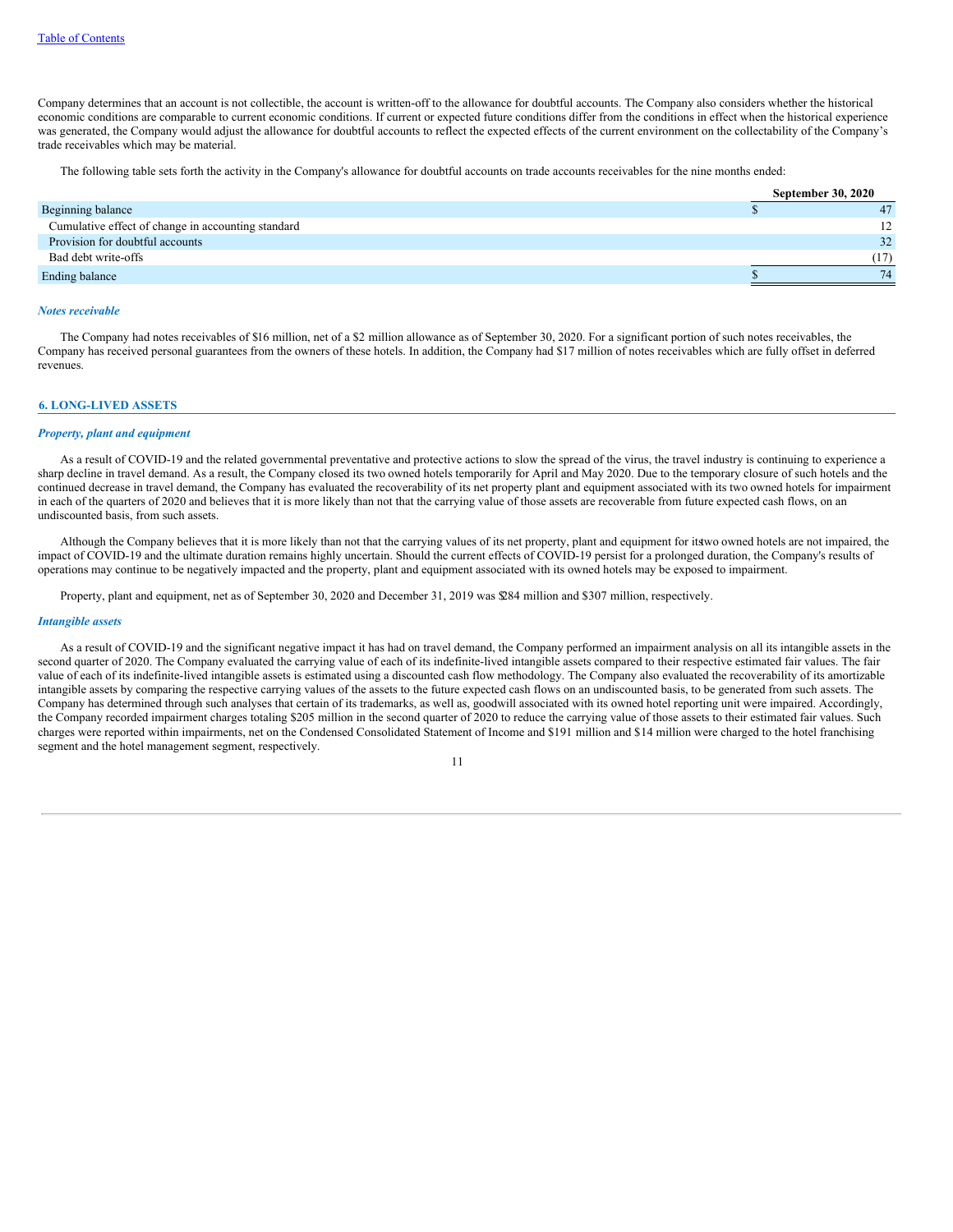Company determines that an account is not collectible, the account is written-off to the allowance for doubtful accounts. The Company also considers whether the historical economic conditions are comparable to current economic conditions. If current or expected future conditions differ from the conditions in effect when the historical experience was generated, the Company would adjust the allowance for doubtful accounts to reflect the expected effects of the current environment on the collectability of the Company's trade receivables which may be material.

The following table sets forth the activity in the Company's allowance for doubtful accounts on trade accounts receivables for the nine months ended:

|                                                    | <b>September 30, 2020</b> |
|----------------------------------------------------|---------------------------|
| Beginning balance                                  | 47                        |
| Cumulative effect of change in accounting standard |                           |
| Provision for doubtful accounts                    | 32 <sup>2</sup>           |
| Bad debt write-offs                                | (17)                      |
| Ending balance                                     | 74                        |

#### *Notes receivable*

The Company had notes receivables of \$16 million, net of a \$2 million allowance as of September 30, 2020. For a significant portion of such notes receivables, the Company has received personal guarantees from the owners of these hotels. In addition, the Company had \$17 million of notes receivables which are fully offset in deferred revenues.

#### **6. LONG-LIVED ASSETS**

#### *Property, plant and equipment*

As a result of COVID-19 and the related governmental preventative and protective actions to slow the spread of the virus, the travel industry is continuing to experience a sharp decline in travel demand. As a result, the Company closed its two owned hotels temporarily for April and May 2020. Due to the temporary closure of such hotels and the continued decrease in travel demand, the Company has evaluated the recoverability of its net property plant and equipment associated with its two owned hotels for impairment in each of the quarters of 2020 and believes that it is more likely than not that the carrying value of those assets are recoverable from future expected cash flows, on an undiscounted basis, from such assets.

Although the Company believes that it is more likely than not that the carrying values of its net property, plant and equipment for itstwo owned hotels are not impaired, the impact of COVID-19 and the ultimate duration remains highly uncertain. Should the current effects of COVID-19 persist for a prolonged duration, the Company's results of operations may continue to be negatively impacted and the property, plant and equipment associated with its owned hotels may be exposed to impairment.

Property, plant and equipment, net as of September 30, 2020 and December 31, 2019 was \$284 million and \$307 million, respectively.

#### *Intangible assets*

As a result of COVID-19 and the significant negative impact it has had on travel demand, the Company performed an impairment analysis on all its intangible assets in the second quarter of 2020. The Company evaluated the carrying value of each of its indefinite-lived intangible assets compared to their respective estimated fair values. The fair value of each of its indefinite-lived intangible assets is estimated using a discounted cash flow methodology. The Company also evaluated the recoverability of its amortizable intangible assets by comparing the respective carrying values of the assets to the future expected cash flows on an undiscounted basis, to be generated from such assets. The Company has determined through such analyses that certain of its trademarks, as well as, goodwill associated with its owned hotel reporting unit were impaired. Accordingly, the Company recorded impairment charges totaling \$205 million in the second quarter of 2020 to reduce the carrying value of those assets to their estimated fair values. Such charges were reported within impairments, net on the Condensed Consolidated Statement of Income and \$191 million and \$14 million were charged to the hotel franchising segment and the hotel management segment, respectively.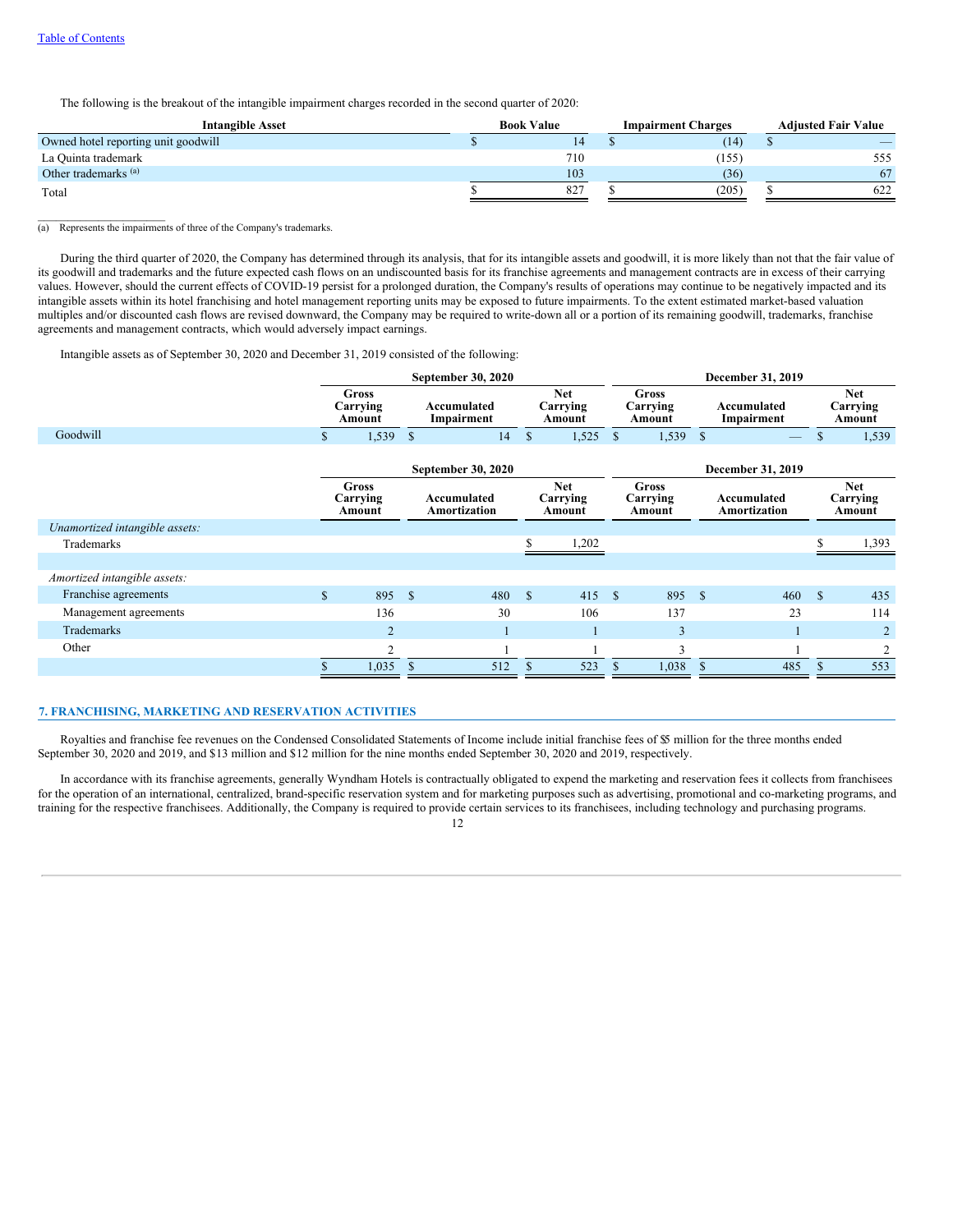$\mathcal{L}=\mathcal{L}^{\mathcal{L}}$  , where  $\mathcal{L}^{\mathcal{L}}$  , we have the set of the set of the set of the set of the set of the set of the set of the set of the set of the set of the set of the set of the set of the set of the set of

The following is the breakout of the intangible impairment charges recorded in the second quarter of 2020:

| <b>Intangible Asset</b>             | <b>Book Value</b> | <b>Impairment Charges</b> | <b>Adiusted Fair Value</b> |  |  |
|-------------------------------------|-------------------|---------------------------|----------------------------|--|--|
| Owned hotel reporting unit goodwill |                   | (14)                      |                            |  |  |
| La Quinta trademark                 | 710               | (155)                     | 555                        |  |  |
| Other trademarks <sup>(a)</sup>     | 103               | (36)                      | 67                         |  |  |
| Total                               | 827               | (205)                     | 622                        |  |  |

#### (a) Represents the impairments of three of the Company's trademarks.

During the third quarter of 2020, the Company has determined through its analysis, that for its intangible assets and goodwill, it is more likely than not that the fair value of its goodwill and trademarks and the future expected cash flows on an undiscounted basis for its franchise agreements and management contracts are in excess of their carrying values. However, should the current effects of COVID-19 persist for a prolonged duration, the Company's results of operations may continue to be negatively impacted and its intangible assets within its hotel franchising and hotel management reporting units may be exposed to future impairments. To the extent estimated market-based valuation multiples and/or discounted cash flows are revised downward, the Company may be required to write-down all or a portion of its remaining goodwill, trademarks, franchise agreements and management contracts, which would adversely impact earnings.

Intangible assets as of September 30, 2020 and December 31, 2019 consisted of the following:

|                                |               |                                    |              | <b>September 30, 2020</b>   |                                  |                                  |               |                                    |              | December 31, 2019           |                                                                 |                                  |  |  |  |                                  |
|--------------------------------|---------------|------------------------------------|--------------|-----------------------------|----------------------------------|----------------------------------|---------------|------------------------------------|--------------|-----------------------------|-----------------------------------------------------------------|----------------------------------|--|--|--|----------------------------------|
|                                |               | <b>Gross</b><br>Carrying<br>Amount |              | Accumulated<br>Impairment   | <b>Net</b><br>Carrying<br>Amount |                                  |               |                                    |              |                             | <b>Gross</b><br>Accumulated<br>Carrying<br>Impairment<br>Amount |                                  |  |  |  | <b>Net</b><br>Carrying<br>Amount |
| Goodwill                       | $\mathbb{S}$  | 1,539                              | $\mathbb{S}$ | 14                          | $\mathbb{S}$                     | 1,525                            | $\mathbb{S}$  | 1,539                              | <sup>S</sup> |                             | \$                                                              | 1,539                            |  |  |  |                                  |
|                                |               |                                    |              | September 30, 2020          |                                  |                                  |               |                                    |              | December 31, 2019           |                                                                 |                                  |  |  |  |                                  |
|                                |               | <b>Gross</b><br>Carrying<br>Amount |              | Accumulated<br>Amortization |                                  | <b>Net</b><br>Carrying<br>Amount |               | <b>Gross</b><br>Carrying<br>Amount |              | Accumulated<br>Amortization |                                                                 | <b>Net</b><br>Carrying<br>Amount |  |  |  |                                  |
| Unamortized intangible assets: |               |                                    |              |                             |                                  |                                  |               |                                    |              |                             |                                                                 |                                  |  |  |  |                                  |
| Trademarks                     |               |                                    |              |                             |                                  | 1,202                            |               |                                    |              |                             | S.                                                              | 1,393                            |  |  |  |                                  |
|                                |               |                                    |              |                             |                                  |                                  |               |                                    |              |                             |                                                                 |                                  |  |  |  |                                  |
| Amortized intangible assets:   |               |                                    |              |                             |                                  |                                  |               |                                    |              |                             |                                                                 |                                  |  |  |  |                                  |
| Franchise agreements           | $\mathcal{S}$ | 895                                | $\mathbb{S}$ | 480                         | <sup>S</sup>                     | 415S                             |               | 895                                | $\mathbf{s}$ | 460                         | $\mathbb{S}$                                                    | 435                              |  |  |  |                                  |
| Management agreements          |               | 136                                |              | 30                          |                                  | 106                              |               | 137                                |              | 23                          |                                                                 | 114                              |  |  |  |                                  |
| Trademarks                     |               | $\overline{2}$                     |              |                             |                                  |                                  |               | 3                                  |              |                             |                                                                 | $\overline{2}$                   |  |  |  |                                  |
| Other                          |               | $\overline{2}$                     |              |                             |                                  |                                  |               | 3                                  |              |                             |                                                                 | $\overline{2}$                   |  |  |  |                                  |
|                                | S             | 1,035                              | $\mathbb{S}$ | 512                         | <sup>\$</sup>                    | 523                              | <sup>\$</sup> | 1,038                              | S            | 485                         | \$                                                              | 553                              |  |  |  |                                  |

### **7. FRANCHISING, MARKETING AND RESERVATION ACTIVITIES**

Royalties and franchise fee revenues on the Condensed Consolidated Statements of Income include initial franchise fees of \$5 million for the three months ended September 30, 2020 and 2019, and \$13 million and \$12 million for the nine months ended September 30, 2020 and 2019, respectively.

In accordance with its franchise agreements, generally Wyndham Hotels is contractually obligated to expend the marketing and reservation fees it collects from franchisees for the operation of an international, centralized, brand-specific reservation system and for marketing purposes such as advertising, promotional and co-marketing programs, and training for the respective franchisees. Additionally, the Company is required to provide certain services to its franchisees, including technology and purchasing programs.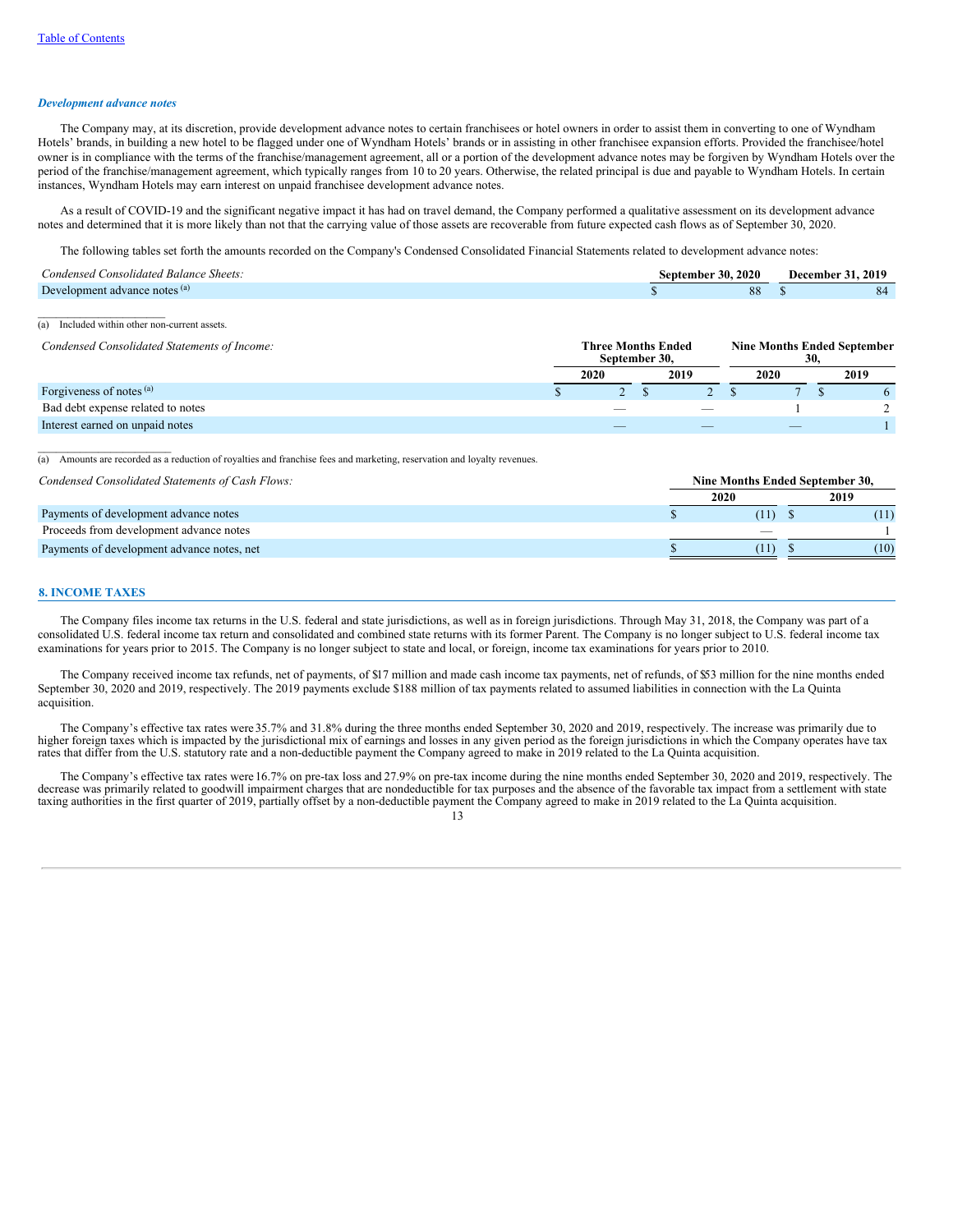#### *Development advance notes*

The Company may, at its discretion, provide development advance notes to certain franchisees or hotel owners in order to assist them in converting to one of Wyndham Hotels' brands, in building a new hotel to be flagged under one of Wyndham Hotels' brands or in assisting in other franchisee expansion efforts. Provided the franchisee/hotel owner is in compliance with the terms of the franchise/management agreement, all or a portion of the development advance notes may be forgiven by Wyndham Hotels over the period of the franchise/management agreement, which typically ranges from 10 to 20 years. Otherwise, the related principal is due and payable to Wyndham Hotels. In certain instances, Wyndham Hotels may earn interest on unpaid franchisee development advance notes.

As a result of COVID-19 and the significant negative impact it has had on travel demand, the Company performed a qualitative assessment on its development advance notes and determined that it is more likely than not that the carrying value of those assets are recoverable from future expected cash flows as of September 30, 2020.

The following tables set forth the amounts recorded on the Company's Condensed Consolidated Financial Statements related to development advance notes:

| $Condensed$ .<br>$\sim$<br>consolidated Balance<br>Sheets. | 2020<br>30. J<br>sentemher |    | 2019<br>December |
|------------------------------------------------------------|----------------------------|----|------------------|
| Development advance notes (a)                              |                            | δŏ | 84               |

 $\overline{(a)}$  Included within other non-current assets.

| Condensed Consolidated Statements of Income: |  | <b>Three Months Ended</b><br>September 30, | <b>Nine Months Ended September</b><br>30. |  |      |  |      |  |
|----------------------------------------------|--|--------------------------------------------|-------------------------------------------|--|------|--|------|--|
|                                              |  | 2020                                       | 2019                                      |  | 2020 |  | 2019 |  |
| Forgiveness of notes (a)                     |  |                                            |                                           |  |      |  |      |  |
| Bad debt expense related to notes            |  |                                            |                                           |  |      |  |      |  |
| Interest earned on unpaid notes              |  |                                            |                                           |  |      |  |      |  |

 $\overline{(a)}$  Amounts are recorded as a reduction of royalties and franchise fees and marketing, reservation and loyalty revenues.

*Condensed Consolidated Statements of Cash Flows:* **Nine Months Ended September 30,**

| Controllocu Comoontuuren bittichiin of Cubit I fondi |      |      |      |
|------------------------------------------------------|------|------|------|
|                                                      | 2020 |      | 2019 |
| Payments of development advance notes                |      | (11) | (11) |
| Proceeds from development advance notes              |      |      |      |
| Payments of development advance notes, net           |      | (11) | (10) |
|                                                      |      |      |      |

#### **8. INCOME TAXES**

 $\mathcal{L}=\mathcal{L}=\mathcal{L}=\mathcal{L}=\mathcal{L}=\mathcal{L}=\mathcal{L}=\mathcal{L}=\mathcal{L}=\mathcal{L}=\mathcal{L}=\mathcal{L}=\mathcal{L}=\mathcal{L}=\mathcal{L}=\mathcal{L}=\mathcal{L}=\mathcal{L}=\mathcal{L}=\mathcal{L}=\mathcal{L}=\mathcal{L}=\mathcal{L}=\mathcal{L}=\mathcal{L}=\mathcal{L}=\mathcal{L}=\mathcal{L}=\mathcal{L}=\mathcal{L}=\mathcal{L}=\mathcal{L}=\mathcal{L}=\mathcal{L}=\mathcal{L}=\mathcal{L}=\mathcal{$ 

The Company files income tax returns in the U.S. federal and state jurisdictions, as well as in foreign jurisdictions. Through May 31, 2018, the Company was part of a consolidated U.S. federal income tax return and consolidated and combined state returns with its former Parent. The Company is no longer subject to U.S. federal income tax examinations for years prior to 2015. The Company is no longer subject to state and local, or foreign, income tax examinations for years prior to 2010.

The Company received income tax refunds, net of payments, of \$17 million and made cash income tax payments, net of refunds, of \$53 million for the nine months ended September 30, 2020 and 2019, respectively. The 2019 payments exclude \$188 million of tax payments related to assumed liabilities in connection with the La Quinta acquisition.

The Company's effective tax rates were 35.7% and 31.8% during the three months ended September 30, 2020 and 2019, respectively. The increase was primarily due to higher foreign taxes which is impacted by the jurisdictional mix of earnings and losses in any given period as the foreign jurisdictions in which the Company operates have tax rates that differ from the U.S. statutory rate

The Company's effective tax rates were 16.7% on pre-tax loss and 27.9% on pre-tax income during the nine months ended September 30, 2020 and 2019, respectively. The decrease was primarily related to goodwill impairment charges that are nondeductible for tax purposes and the absence of the favorable tax impact from a settlement with state taxing authorities in the first quarter of 2019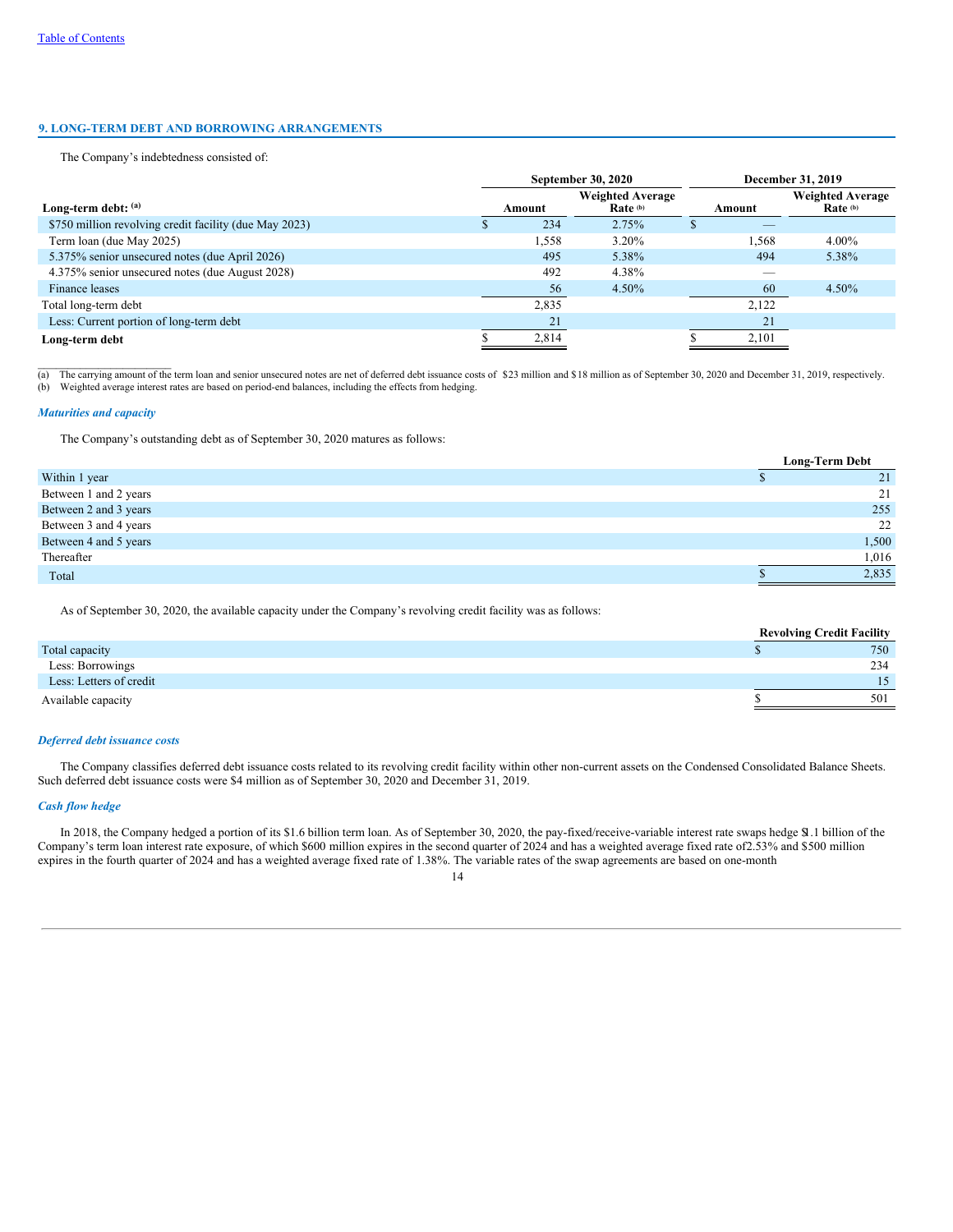## **9. LONG-TERM DEBT AND BORROWING ARRANGEMENTS**

The Company's indebtedness consisted of:

|                                                        | <b>September 30, 2020</b> |        |                                     |        | December 31, 2019                   |
|--------------------------------------------------------|---------------------------|--------|-------------------------------------|--------|-------------------------------------|
| Long-term debt: (a)                                    |                           | Amount | <b>Weighted Average</b><br>Rate (b) | Amount | <b>Weighted Average</b><br>Rate (b) |
| \$750 million revolving credit facility (due May 2023) |                           | 234    | 2.75%                               |        |                                     |
| Term loan (due May 2025)                               |                           | 1,558  | 3.20%                               | 1,568  | $4.00\%$                            |
| 5.375% senior unsecured notes (due April 2026)         |                           | 495    | 5.38%                               | 494    | 5.38%                               |
| 4.375% senior unsecured notes (due August 2028)        |                           | 492    | 4.38%                               |        |                                     |
| Finance leases                                         |                           | 56     | 4.50%                               | 60     | 4.50%                               |
| Total long-term debt                                   |                           | 2,835  |                                     | 2,122  |                                     |
| Less: Current portion of long-term debt                |                           | 21     |                                     | 21     |                                     |
| Long-term debt                                         |                           | 2,814  |                                     | 2,101  |                                     |

\_\_\_\_\_\_\_\_\_\_\_\_\_\_\_\_\_\_\_\_\_\_ (a) The carrying amount of the term loan and senior unsecured notes are net of deferred debt issuance costs of \$23 million and \$18 million as of September 30, 2020 and December 31, 2019, respectively. (b) Weighted average interest rates are based on period-end balances, including the effects from hedging.

### *Maturities and capacity*

The Company's outstanding debt as of September 30, 2020 matures as follows:

|                       | <b>Long-Term Debt</b> |
|-----------------------|-----------------------|
| Within 1 year         | 21                    |
| Between 1 and 2 years | 21                    |
| Between 2 and 3 years | 255                   |
| Between 3 and 4 years | 22                    |
| Between 4 and 5 years | 1,500                 |
| Thereafter            | 1,016                 |
| Total                 | 2,835                 |

As of September 30, 2020, the available capacity under the Company's revolving credit facility was as follows:

|                         | <b>Revolving Credit Facility</b> |
|-------------------------|----------------------------------|
| Total capacity          | 750                              |
| Less: Borrowings        | 234                              |
| Less: Letters of credit |                                  |
| Available capacity      | 501                              |

#### *Deferred debt issuance costs*

The Company classifies deferred debt issuance costs related to its revolving credit facility within other non-current assets on the Condensed Consolidated Balance Sheets. Such deferred debt issuance costs were \$4 million as of September 30, 2020 and December 31, 2019.

#### *Cash flow hedge*

In 2018, the Company hedged a portion of its \$1.6 billion term loan. As of September 30, 2020, the pay-fixed/receive-variable interest rate swaps hedge \$1.1 billion of the Company's term loan interest rate exposure, of which \$600 million expires in the second quarter of 2024 and has a weighted average fixed rate of2.53% and \$500 million expires in the fourth quarter of 2024 and has a weighted average fixed rate of 1.38%. The variable rates of the swap agreements are based on one-month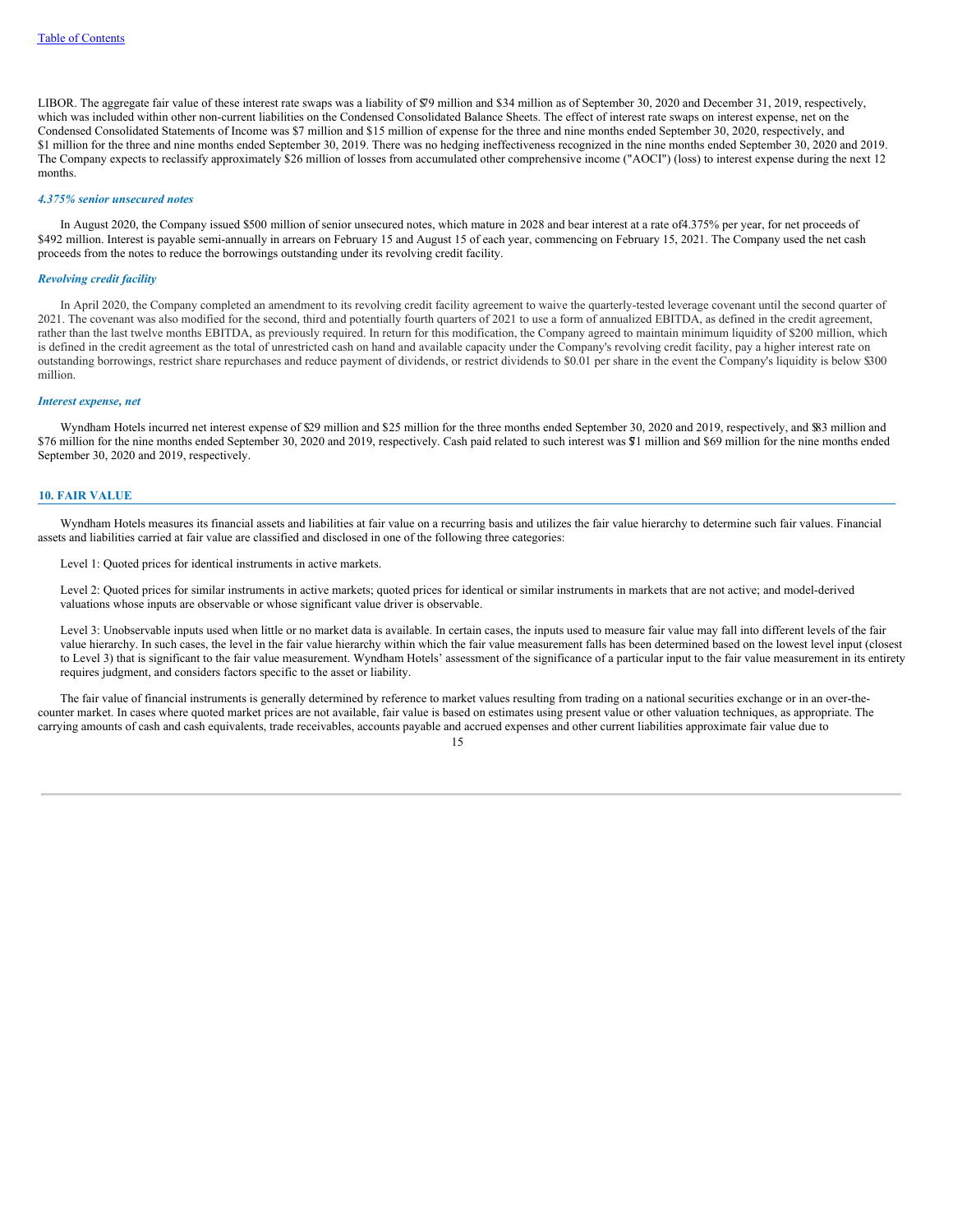LIBOR. The aggregate fair value of these interest rate swaps was a liability of \$79 million and \$34 million as of September 30, 2020 and December 31, 2019, respectively, which was included within other non-current liabilities on the Condensed Consolidated Balance Sheets. The effect of interest rate swaps on interest expense, net on the Condensed Consolidated Statements of Income was \$7 million and \$15 million of expense for the three and nine months ended September 30, 2020, respectively, and \$1 million for the three and nine months ended September 30, 2019. There was no hedging ineffectiveness recognized in the nine months ended September 30, 2020 and 2019. The Company expects to reclassify approximately \$26 million of losses from accumulated other comprehensive income ("AOCI") (loss) to interest expense during the next 12 months.

#### *4.375% senior unsecured notes*

In August 2020, the Company issued \$500 million of senior unsecured notes, which mature in 2028 and bear interest at a rate of4.375% per year, for net proceeds of \$492 million. Interest is payable semi-annually in arrears on February 15 and August 15 of each year, commencing on February 15, 2021. The Company used the net cash proceeds from the notes to reduce the borrowings outstanding under its revolving credit facility.

## *Revolving credit facility*

In April 2020, the Company completed an amendment to its revolving credit facility agreement to waive the quarterly-tested leverage covenant until the second quarter of 2021. The covenant was also modified for the second, third and potentially fourth quarters of 2021 to use a form of annualized EBITDA, as defined in the credit agreement, rather than the last twelve months EBITDA, as previously required. In return for this modification, the Company agreed to maintain minimum liquidity of \$200 million, which is defined in the credit agreement as the total of unrestricted cash on hand and available capacity under the Company's revolving credit facility, pay a higher interest rate on outstanding borrowings, restrict share repurchases and reduce payment of dividends, or restrict dividends to \$0.01 per share in the event the Company's liquidity is below \$300 million.

#### *Interest expense, net*

Wyndham Hotels incurred net interest expense of \$29 million and \$25 million for the three months ended September 30, 2020 and 2019, respectively, and \$83 million and \$76 million for the nine months ended September 30, 2020 and 2019, respectively. Cash paid related to such interest was \$71 million and \$69 million for the nine months ended September 30, 2020 and 2019, respectively.

#### **10. FAIR VALUE**

Wyndham Hotels measures its financial assets and liabilities at fair value on a recurring basis and utilizes the fair value hierarchy to determine such fair values. Financial assets and liabilities carried at fair value are classified and disclosed in one of the following three categories:

Level 1: Quoted prices for identical instruments in active markets.

Level 2: Quoted prices for similar instruments in active markets; quoted prices for identical or similar instruments in markets that are not active; and model-derived valuations whose inputs are observable or whose significant value driver is observable.

Level 3: Unobservable inputs used when little or no market data is available. In certain cases, the inputs used to measure fair value may fall into different levels of the fair value hierarchy. In such cases, the level in the fair value hierarchy within which the fair value measurement falls has been determined based on the lowest level input (closest to Level 3) that is significant to the fair value measurement. Wyndham Hotels' assessment of the significance of a particular input to the fair value measurement in its entirety requires judgment, and considers factors specific to the asset or liability.

The fair value of financial instruments is generally determined by reference to market values resulting from trading on a national securities exchange or in an over-thecounter market. In cases where quoted market prices are not available, fair value is based on estimates using present value or other valuation techniques, as appropriate. The carrying amounts of cash and cash equivalents, trade receivables, accounts payable and accrued expenses and other current liabilities approximate fair value due to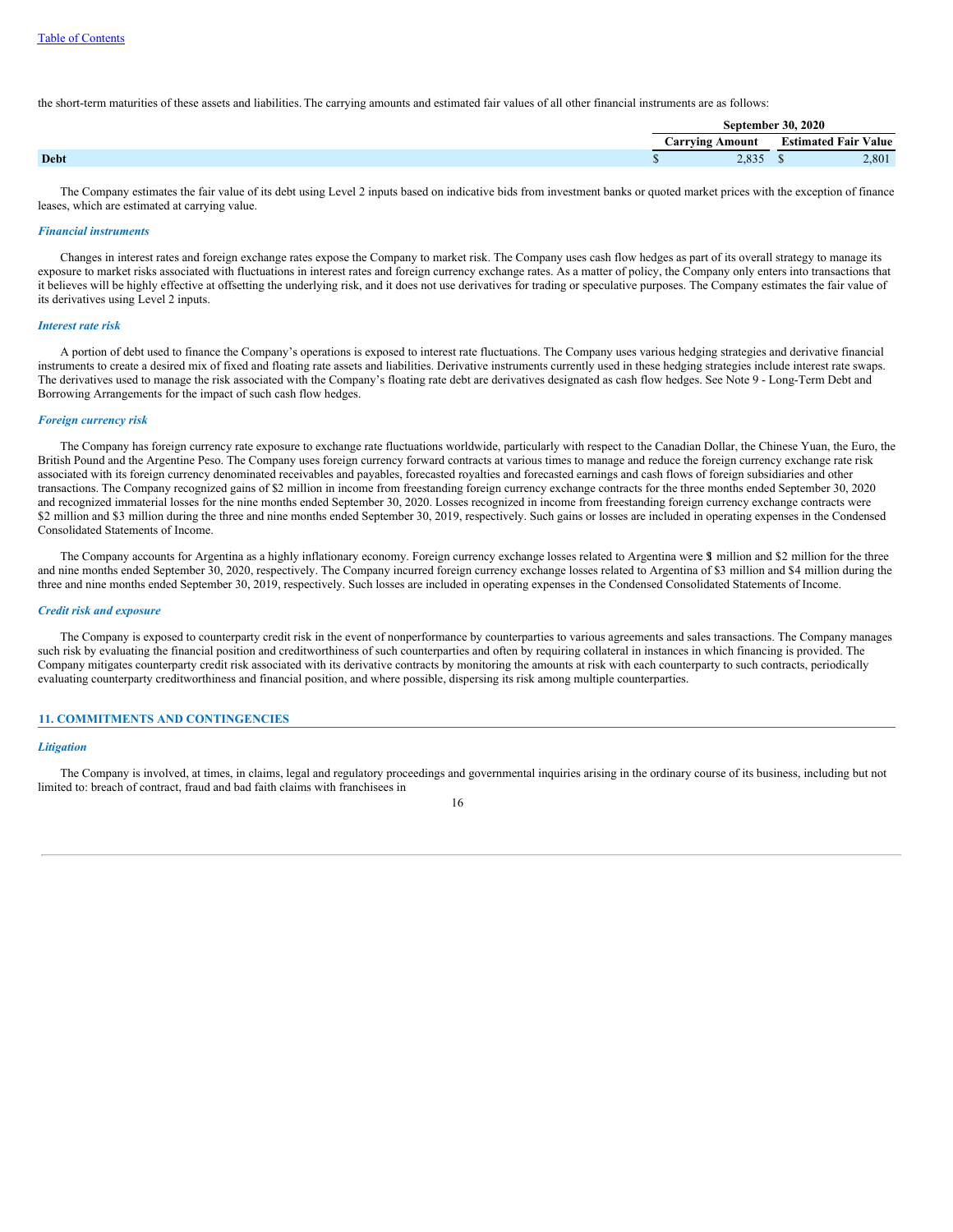the short-term maturities of these assets and liabilities. The carrying amounts and estimated fair values of all other financial instruments are as follows:

|             |                 | <b>September 30, 2020</b> |                             |  |  |  |
|-------------|-----------------|---------------------------|-----------------------------|--|--|--|
|             | Carrving Amount |                           | <b>Estimated Fair Value</b> |  |  |  |
| <b>Debt</b> | 2,835           |                           | 2,801                       |  |  |  |

The Company estimates the fair value of its debt using Level 2 inputs based on indicative bids from investment banks or quoted market prices with the exception of finance leases, which are estimated at carrying value.

### *Financial instruments*

Changes in interest rates and foreign exchange rates expose the Company to market risk. The Company uses cash flow hedges as part of its overall strategy to manage its exposure to market risks associated with fluctuations in interest rates and foreign currency exchange rates. As a matter of policy, the Company only enters into transactions that it believes will be highly effective at offsetting the underlying risk, and it does not use derivatives for trading or speculative purposes. The Company estimates the fair value of its derivatives using Level 2 inputs.

#### *Interest rate risk*

A portion of debt used to finance the Company's operations is exposed to interest rate fluctuations. The Company uses various hedging strategies and derivative financial instruments to create a desired mix of fixed and floating rate assets and liabilities. Derivative instruments currently used in these hedging strategies include interest rate swaps. The derivatives used to manage the risk associated with the Company's floating rate debt are derivatives designated as cash flow hedges. See Note 9 - Long-Term Debt and Borrowing Arrangements for the impact of such cash flow hedges.

### *Foreign currency risk*

The Company has foreign currency rate exposure to exchange rate fluctuations worldwide, particularly with respect to the Canadian Dollar, the Chinese Yuan, the Euro, the British Pound and the Argentine Peso. The Company uses foreign currency forward contracts at various times to manage and reduce the foreign currency exchange rate risk associated with its foreign currency denominated receivables and payables, forecasted royalties and forecasted earnings and cash flows of foreign subsidiaries and other transactions. The Company recognized gains of \$2 million in income from freestanding foreign currency exchange contracts for the three months ended September 30, 2020 and recognized immaterial losses for the nine months ended September 30, 2020. Losses recognized in income from freestanding foreign currency exchange contracts were \$2 million and \$3 million during the three and nine months ended September 30, 2019, respectively. Such gains or losses are included in operating expenses in the Condensed Consolidated Statements of Income.

The Company accounts for Argentina as a highly inflationary economy. Foreign currency exchange losses related to Argentina were \$1 million and \$2 million for the three and nine months ended September 30, 2020, respectively. The Company incurred foreign currency exchange losses related to Argentina of \$3 million and \$4 million during the three and nine months ended September 30, 2019, respectively. Such losses are included in operating expenses in the Condensed Consolidated Statements of Income.

#### *Credit risk and exposure*

The Company is exposed to counterparty credit risk in the event of nonperformance by counterparties to various agreements and sales transactions. The Company manages such risk by evaluating the financial position and creditworthiness of such counterparties and often by requiring collateral in instances in which financing is provided. The Company mitigates counterparty credit risk associated with its derivative contracts by monitoring the amounts at risk with each counterparty to such contracts, periodically evaluating counterparty creditworthiness and financial position, and where possible, dispersing its risk among multiple counterparties.

## **11. COMMITMENTS AND CONTINGENCIES**

#### *Litigation*

The Company is involved, at times, in claims, legal and regulatory proceedings and governmental inquiries arising in the ordinary course of its business, including but not limited to: breach of contract, fraud and bad faith claims with franchisees in

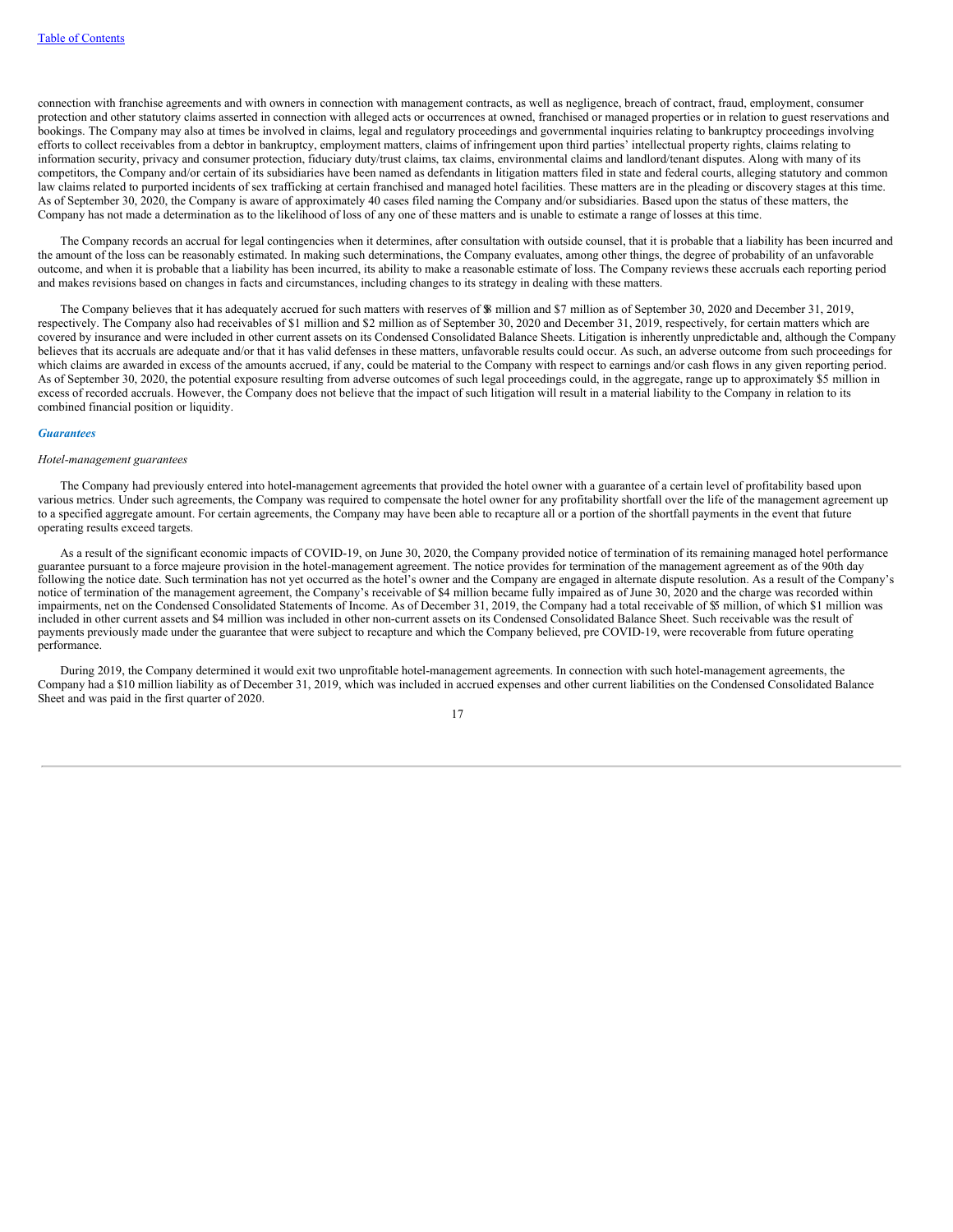connection with franchise agreements and with owners in connection with management contracts, as well as negligence, breach of contract, fraud, employment, consumer protection and other statutory claims asserted in connection with alleged acts or occurrences at owned, franchised or managed properties or in relation to guest reservations and bookings. The Company may also at times be involved in claims, legal and regulatory proceedings and governmental inquiries relating to bankruptcy proceedings involving efforts to collect receivables from a debtor in bankruptcy, employment matters, claims of infringement upon third parties' intellectual property rights, claims relating to information security, privacy and consumer protection, fiduciary duty/trust claims, tax claims, environmental claims and landlord/tenant disputes. Along with many of its competitors, the Company and/or certain of its subsidiaries have been named as defendants in litigation matters filed in state and federal courts, alleging statutory and common law claims related to purported incidents of sex trafficking at certain franchised and managed hotel facilities. These matters are in the pleading or discovery stages at this time. As of September 30, 2020, the Company is aware of approximately 40 cases filed naming the Company and/or subsidiaries. Based upon the status of these matters, the Company has not made a determination as to the likelihood of loss of any one of these matters and is unable to estimate a range of losses at this time.

The Company records an accrual for legal contingencies when it determines, after consultation with outside counsel, that it is probable that a liability has been incurred and the amount of the loss can be reasonably estimated. In making such determinations, the Company evaluates, among other things, the degree of probability of an unfavorable outcome, and when it is probable that a liability has been incurred, its ability to make a reasonable estimate of loss. The Company reviews these accruals each reporting period and makes revisions based on changes in facts and circumstances, including changes to its strategy in dealing with these matters.

The Company believes that it has adequately accrued for such matters with reserves of \$8 million and \$7 million as of September 30, 2020 and December 31, 2019, respectively. The Company also had receivables of \$1 million and \$2 million as of September 30, 2020 and December 31, 2019, respectively, for certain matters which are covered by insurance and were included in other current assets on its Condensed Consolidated Balance Sheets. Litigation is inherently unpredictable and, although the Company believes that its accruals are adequate and/or that it has valid defenses in these matters, unfavorable results could occur. As such, an adverse outcome from such proceedings for which claims are awarded in excess of the amounts accrued, if any, could be material to the Company with respect to earnings and/or cash flows in any given reporting period. As of September 30, 2020, the potential exposure resulting from adverse outcomes of such legal proceedings could, in the aggregate, range up to approximately \$5 million in excess of recorded accruals. However, the Company does not believe that the impact of such litigation will result in a material liability to the Company in relation to its combined financial position or liquidity.

#### *Guarantees*

## *Hotel-management guarantees*

The Company had previously entered into hotel-management agreements that provided the hotel owner with a guarantee of a certain level of profitability based upon various metrics. Under such agreements, the Company was required to compensate the hotel owner for any profitability shortfall over the life of the management agreement up to a specified aggregate amount. For certain agreements, the Company may have been able to recapture all or a portion of the shortfall payments in the event that future operating results exceed targets.

As a result of the significant economic impacts of COVID-19, on June 30, 2020, the Company provided notice of termination of its remaining managed hotel performance guarantee pursuant to a force majeure provision in the hotel-management agreement. The notice provides for termination of the management agreement as of the 90th day following the notice date. Such termination has not yet occurred as the hotel's owner and the Company are engaged in alternate dispute resolution. As a result of the Company's notice of termination of the management agreement, the Company's receivable of \$4 million became fully impaired as of June 30, 2020 and the charge was recorded within impairments, net on the Condensed Consolidated Statements of Income. As of December 31, 2019, the Company had a total receivable of \$5 million, of which \$1 million was included in other current assets and \$4 million was included in other non-current assets on its Condensed Consolidated Balance Sheet. Such receivable was the result of payments previously made under the guarantee that were subject to recapture and which the Company believed, pre COVID-19, were recoverable from future operating performance.

During 2019, the Company determined it would exit two unprofitable hotel-management agreements. In connection with such hotel-management agreements, the Company had a \$10 million liability as of December 31, 2019, which was included in accrued expenses and other current liabilities on the Condensed Consolidated Balance Sheet and was paid in the first quarter of 2020.

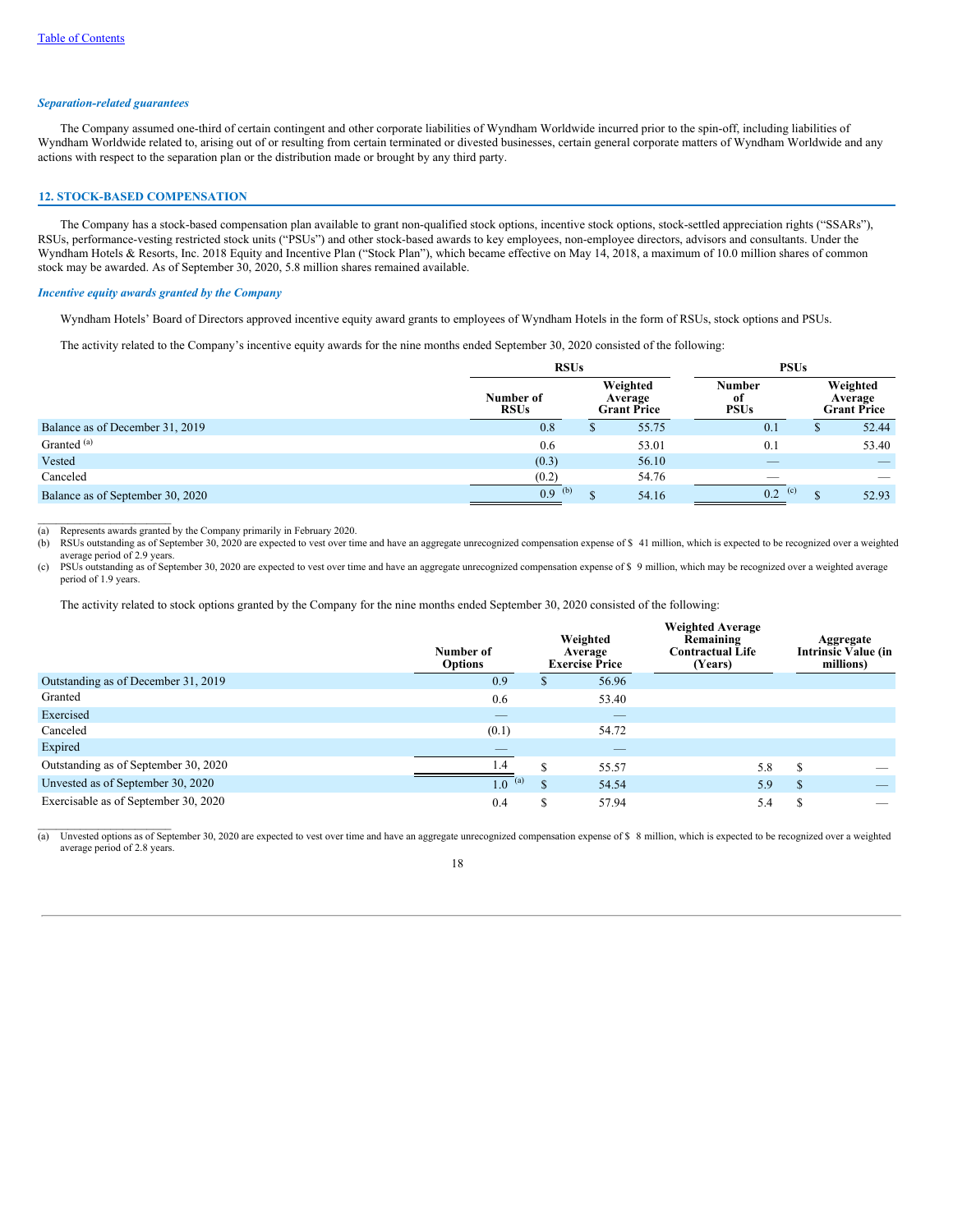### *Separation-related guarantees*

The Company assumed one-third of certain contingent and other corporate liabilities of Wyndham Worldwide incurred prior to the spin-off, including liabilities of Wyndham Worldwide related to, arising out of or resulting from certain terminated or divested businesses, certain general corporate matters of Wyndham Worldwide and any actions with respect to the separation plan or the distribution made or brought by any third party.

### **12. STOCK-BASED COMPENSATION**

The Company has a stock-based compensation plan available to grant non-qualified stock options, incentive stock options, stock-settled appreciation rights ("SSARs"), RSUs, performance-vesting restricted stock units ("PSUs") and other stock-based awards to key employees, non-employee directors, advisors and consultants. Under the Wyndham Hotels & Resorts, Inc. 2018 Equity and Incentive Plan ("Stock Plan"), which became effective on May 14, 2018, a maximum of 10.0 million shares of common stock may be awarded. As of September 30, 2020, 5.8 million shares remained available.

### *Incentive equity awards granted by the Company*

Wyndham Hotels' Board of Directors approved incentive equity award grants to employees of Wyndham Hotels in the form of RSUs, stock options and PSUs.

The activity related to the Company's incentive equity awards for the nine months ended September 30, 2020 consisted of the following:

|                                  | <b>RSUs</b>              |   | <b>PSUs</b>                                                               |                          |  |                                           |
|----------------------------------|--------------------------|---|---------------------------------------------------------------------------|--------------------------|--|-------------------------------------------|
|                                  | Number of<br><b>RSUs</b> |   | Weighted<br>Number<br>Average<br>-of<br><b>PSUs</b><br><b>Grant Price</b> |                          |  | Weighted<br>Average<br><b>Grant Price</b> |
| Balance as of December 31, 2019  | 0.8                      | ъ | 55.75                                                                     | 0.1                      |  | 52.44                                     |
| Granted <sup>(a)</sup>           | 0.6                      |   | 53.01                                                                     | 0.1                      |  | 53.40                                     |
| Vested                           | (0.3)                    |   | 56.10                                                                     | $\overline{\phantom{a}}$ |  |                                           |
| Canceled                         | (0.2)                    |   | 54.76                                                                     | $\overline{\phantom{a}}$ |  | -                                         |
| Balance as of September 30, 2020 | 0.9<br>(b)               | Φ | 54.16                                                                     | 0.2<br>(c)               |  | 52.93                                     |

(a) Represents awards granted by the Company primarily in February 2020.

 $\mathcal{L}=\mathcal{L}=\mathcal{L}=\mathcal{L}=\mathcal{L}=\mathcal{L}=\mathcal{L}=\mathcal{L}=\mathcal{L}=\mathcal{L}=\mathcal{L}=\mathcal{L}=\mathcal{L}=\mathcal{L}=\mathcal{L}=\mathcal{L}=\mathcal{L}=\mathcal{L}=\mathcal{L}=\mathcal{L}=\mathcal{L}=\mathcal{L}=\mathcal{L}=\mathcal{L}=\mathcal{L}=\mathcal{L}=\mathcal{L}=\mathcal{L}=\mathcal{L}=\mathcal{L}=\mathcal{L}=\mathcal{L}=\mathcal{L}=\mathcal{L}=\mathcal{L}=\mathcal{L}=\mathcal{$ 

(b) RSUs outstanding as of September 30, 2020 are expected to vest over time and have an aggregate unrecognized compensation expense of \$ 41 million, which is expected to be recognized over a weighted average period of 2.9 years.

(c) PSUs outstanding as of September 30, 2020 are expected to vest over time and have an aggregate unrecognized compensation expense of \$ 9 million, which may be recognized over a weighted average period of 1.9 years.

The activity related to stock options granted by the Company for the nine months ended September 30, 2020 consisted of the following:

|                                      | Number of<br><b>Options</b> |          | Weighted<br>Average<br><b>Exercise Price</b> | <b>Weighted Average</b><br>Remaining<br><b>Contractual Life</b><br>(Years) |               | Aggregate<br><b>Intrinsic Value (in</b><br>millions) |
|--------------------------------------|-----------------------------|----------|----------------------------------------------|----------------------------------------------------------------------------|---------------|------------------------------------------------------|
| Outstanding as of December 31, 2019  | 0.9                         | D        | 56.96                                        |                                                                            |               |                                                      |
| Granted                              | 0.6                         |          | 53.40                                        |                                                                            |               |                                                      |
| Exercised                            | _                           |          |                                              |                                                                            |               |                                                      |
| Canceled                             | (0.1)                       |          | 54.72                                        |                                                                            |               |                                                      |
| Expired                              | $\overline{\phantom{a}}$    |          | $\qquad \qquad - \qquad$                     |                                                                            |               |                                                      |
| Outstanding as of September 30, 2020 | 1.4                         | ¢        | 55.57                                        | 5.8                                                                        | <sup>\$</sup> |                                                      |
| Unvested as of September 30, 2020    | 1.0<br>(a)                  | <b>S</b> | 54.54                                        | 5.9                                                                        | <sup>\$</sup> | _                                                    |
| Exercisable as of September 30, 2020 | 0.4                         | S        | 57.94                                        | 5.4                                                                        | S.            | _                                                    |

(a) Unvested options as of September 30, 2020 are expected to vest over time and have an aggregate unrecognized compensation expense of \$ 8 million, which is expected to be recognized over a weighted average period of 2.8 years.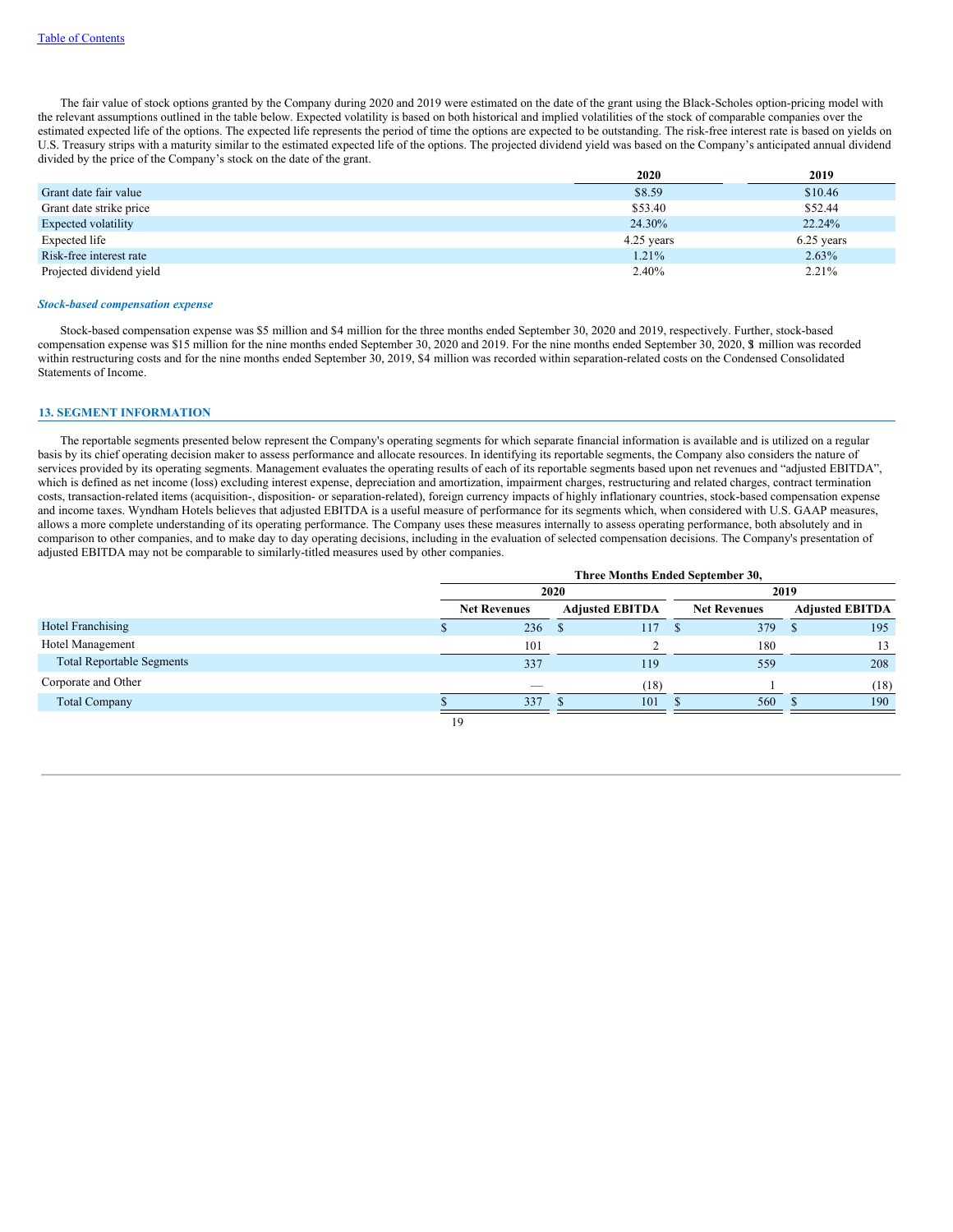The fair value of stock options granted by the Company during 2020 and 2019 were estimated on the date of the grant using the Black-Scholes option-pricing model with the relevant assumptions outlined in the table below. Expected volatility is based on both historical and implied volatilities of the stock of comparable companies over the estimated expected life of the options. The expected life represents the period of time the options are expected to be outstanding. The risk-free interest rate is based on yields on U.S. Treasury strips with a maturity similar to the estimated expected life of the options. The projected dividend yield was based on the Company's anticipated annual dividend divided by the price of the Company's stock on the date of the grant.

|                          | 2020       | 2019       |
|--------------------------|------------|------------|
| Grant date fair value    | \$8.59     | \$10.46    |
| Grant date strike price  | \$53.40    | \$52.44    |
| Expected volatility      | 24.30%     | 22.24%     |
| Expected life            | 4.25 years | 6.25 years |
| Risk-free interest rate  | 1.21%      | 2.63%      |
| Projected dividend yield | 2.40%      | 2.21%      |

#### *Stock-based compensation expense*

Stock-based compensation expense was \$5 million and \$4 million for the three months ended September 30, 2020 and 2019, respectively. Further, stock-based compensation expense was \$15 million for the nine months ended September 30, 2020 and 2019. For the nine months ended September 30, 2020, \$1 million was recorded within restructuring costs and for the nine months ended September 30, 2019, \$4 million was recorded within separation-related costs on the Condensed Consolidated Statements of Income.

## **13. SEGMENT INFORMATION**

The reportable segments presented below represent the Company's operating segments for which separate financial information is available and is utilized on a regular basis by its chief operating decision maker to assess performance and allocate resources. In identifying its reportable segments, the Company also considers the nature of services provided by its operating segments. Management evaluates the operating results of each of its reportable segments based upon net revenues and "adjusted EBITDA", which is defined as net income (loss) excluding interest expense, depreciation and amortization, impairment charges, restructuring and related charges, contract termination costs, transaction-related items (acquisition-, disposition- or separation-related), foreign currency impacts of highly inflationary countries, stock-based compensation expense and income taxes. Wyndham Hotels believes that adjusted EBITDA is a useful measure of performance for its segments which, when considered with U.S. GAAP measures, allows a more complete understanding of its operating performance. The Company uses these measures internally to assess operating performance, both absolutely and in comparison to other companies, and to make day to day operating decisions, including in the evaluation of selected compensation decisions. The Company's presentation of adjusted EBITDA may not be comparable to similarly-titled measures used by other companies.

|                                  |                     | Three Months Ended September 30, |                        |      |                     |     |                        |
|----------------------------------|---------------------|----------------------------------|------------------------|------|---------------------|-----|------------------------|
|                                  |                     |                                  | 2020                   |      | 2019                |     |                        |
|                                  | <b>Net Revenues</b> |                                  | <b>Adjusted EBITDA</b> |      | <b>Net Revenues</b> |     | <b>Adjusted EBITDA</b> |
| <b>Hotel Franchising</b>         |                     | 236                              |                        | 117  | 379                 | - 5 | 195                    |
| <b>Hotel Management</b>          |                     | 101                              |                        |      | 180                 |     | 13                     |
| <b>Total Reportable Segments</b> |                     | 337                              |                        | 119  | 559                 |     | 208                    |
| Corporate and Other              |                     | $\overline{\phantom{a}}$         |                        | (18) |                     |     | (18)                   |
| <b>Total Company</b>             |                     | 337                              |                        | 101  | 560                 |     | 190                    |
|                                  | 19                  |                                  |                        |      |                     |     |                        |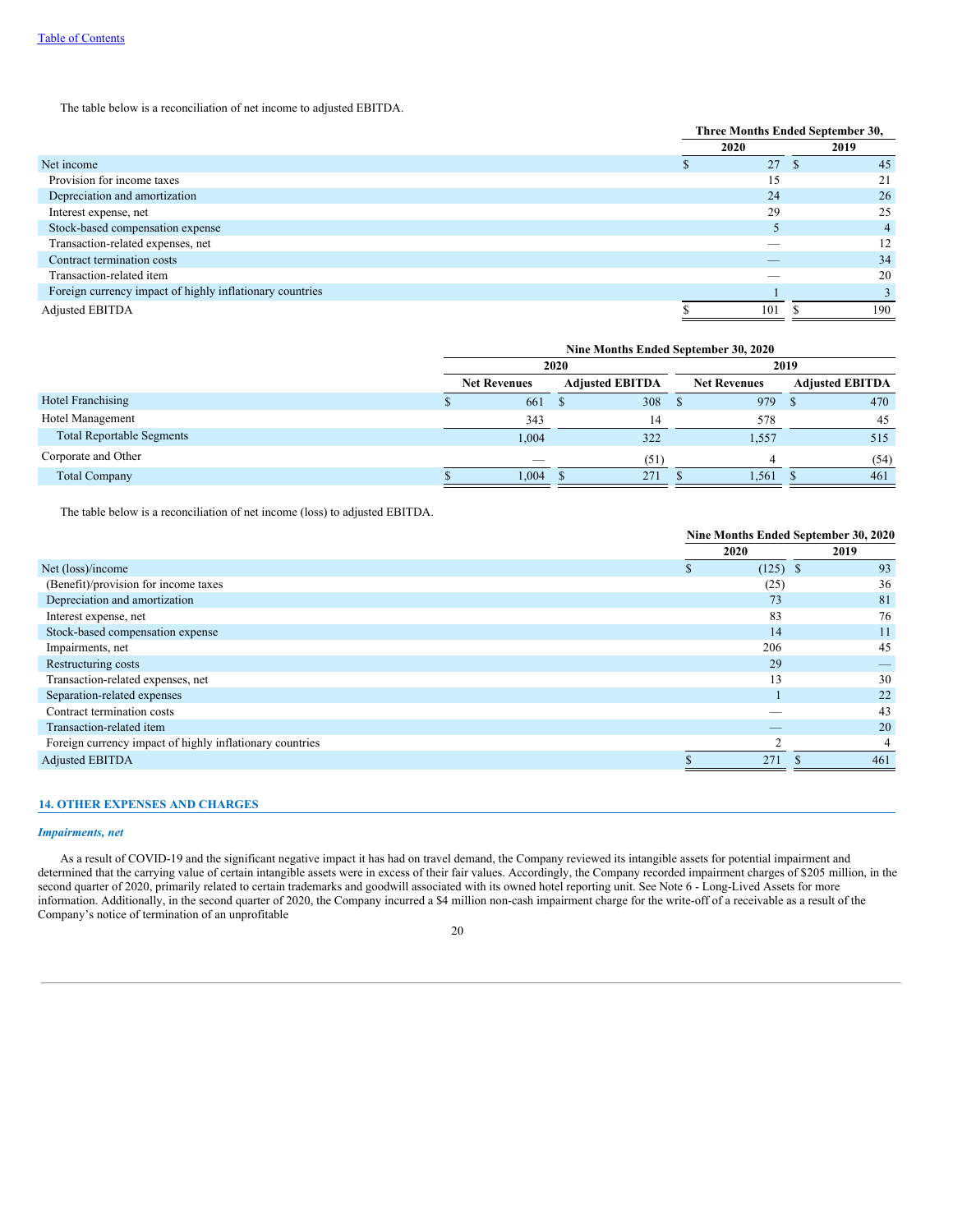The table below is a reconciliation of net income to adjusted EBITDA.

|                                                          |     | Three Months Ended September 30, |  |      |
|----------------------------------------------------------|-----|----------------------------------|--|------|
|                                                          |     | 2020                             |  | 2019 |
| Net income                                               | . п | 27                               |  | 45   |
| Provision for income taxes                               |     | 15                               |  | 21   |
| Depreciation and amortization                            |     | 24                               |  | 26   |
| Interest expense, net                                    |     | 29                               |  | 25   |
| Stock-based compensation expense                         |     |                                  |  | 4    |
| Transaction-related expenses, net                        |     |                                  |  | 12   |
| Contract termination costs                               |     | _                                |  | 34   |
| Transaction-related item                                 |     |                                  |  | 20   |
| Foreign currency impact of highly inflationary countries |     |                                  |  |      |
| <b>Adjusted EBITDA</b>                                   |     | 101                              |  | 190  |

|                                  | Nine Months Ended September 30, 2020 |  |                        |      |                     |  |                        |
|----------------------------------|--------------------------------------|--|------------------------|------|---------------------|--|------------------------|
|                                  | 2020                                 |  |                        | 2019 |                     |  |                        |
|                                  | <b>Net Revenues</b>                  |  | <b>Adjusted EBITDA</b> |      | <b>Net Revenues</b> |  | <b>Adjusted EBITDA</b> |
| <b>Hotel Franchising</b>         | 661                                  |  | 308 <sub>5</sub>       |      | 979                 |  | 470                    |
| Hotel Management                 | 343                                  |  | 14                     |      | 578                 |  | 45                     |
| <b>Total Reportable Segments</b> | 1,004                                |  | 322                    |      | 1,557               |  | 515                    |
| Corporate and Other              | _                                    |  | (51)                   |      |                     |  | (54)                   |
| <b>Total Company</b>             | 1.004                                |  | 271                    |      | 1.561               |  | 461                    |

The table below is a reconciliation of net income (loss) to adjusted EBITDA.

|                                                          | Nine Months Ended September 30, 2020 |            |      |
|----------------------------------------------------------|--------------------------------------|------------|------|
|                                                          |                                      | 2020       | 2019 |
| Net (loss)/income                                        |                                      | $(125)$ \$ | 93   |
| (Benefit)/provision for income taxes                     |                                      | (25)       | 36   |
| Depreciation and amortization                            |                                      | 73         | 81   |
| Interest expense, net                                    |                                      | 83         | 76   |
| Stock-based compensation expense                         |                                      | 14         | 11   |
| Impairments, net                                         |                                      | 206        | 45   |
| Restructuring costs                                      |                                      | 29         |      |
| Transaction-related expenses, net                        |                                      | 13         | 30   |
| Separation-related expenses                              |                                      |            | 22   |
| Contract termination costs                               |                                      |            | 43   |
| Transaction-related item                                 |                                      |            | 20   |
| Foreign currency impact of highly inflationary countries |                                      | n          | 4    |
| <b>Adjusted EBITDA</b>                                   |                                      | 271        | 461  |

## **14. OTHER EXPENSES AND CHARGES**

### *Impairments, net*

As a result of COVID-19 and the significant negative impact it has had on travel demand, the Company reviewed its intangible assets for potential impairment and determined that the carrying value of certain intangible assets were in excess of their fair values. Accordingly, the Company recorded impairment charges of \$205 million, in the second quarter of 2020, primarily related to certain trademarks and goodwill associated with its owned hotel reporting unit. See Note 6 - Long-Lived Assets for more information. Additionally, in the second quarter of 2020, the Company incurred a \$4 million non-cash impairment charge for the write-off of a receivable as a result of the Company's notice of termination of an unprofitable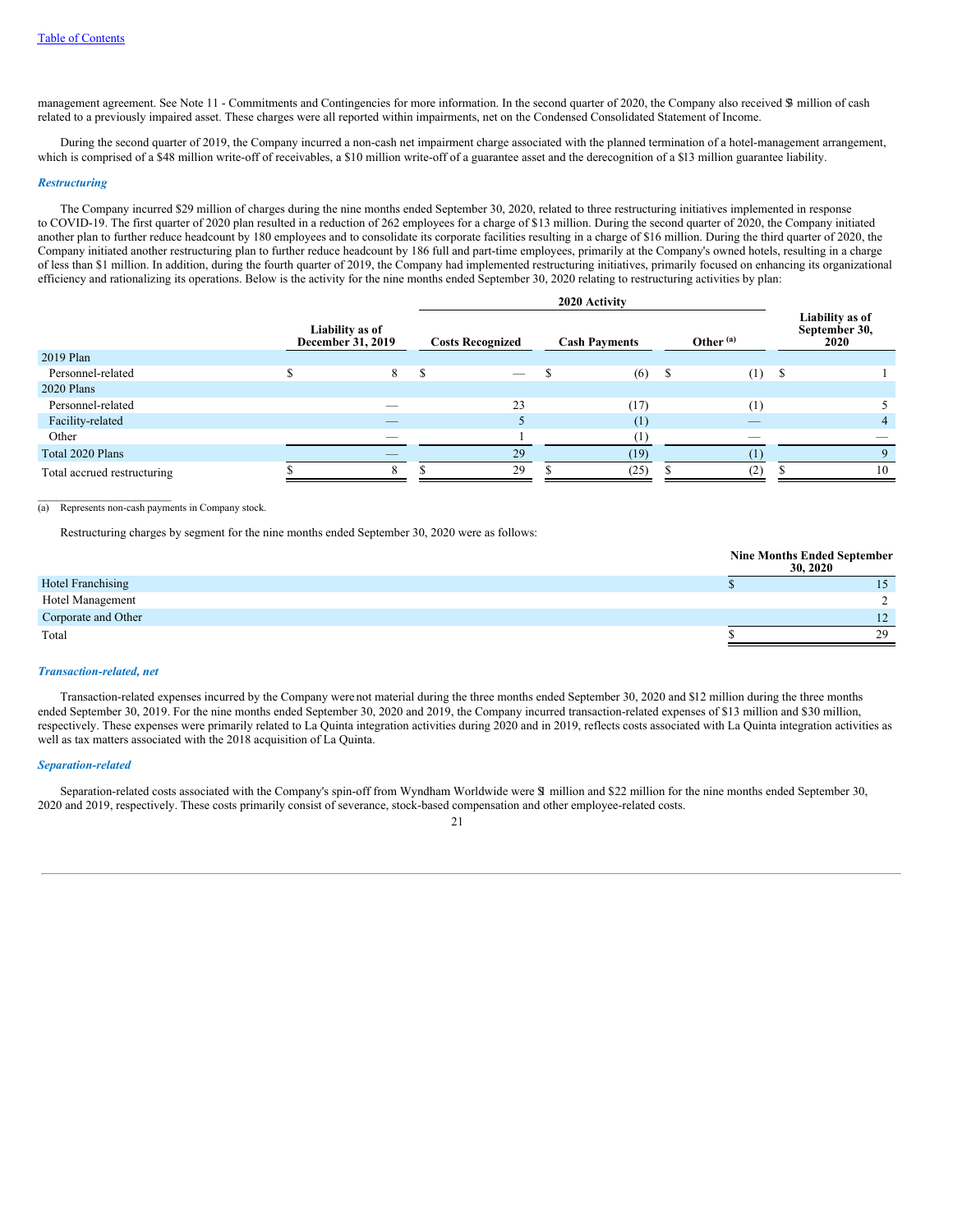management agreement. See Note 11 - Commitments and Contingencies for more information. In the second quarter of 2020, the Company also received \$ million of cash related to a previously impaired asset. These charges were all reported within impairments, net on the Condensed Consolidated Statement of Income.

During the second quarter of 2019, the Company incurred a non-cash net impairment charge associated with the planned termination of a hotel-management arrangement, which is comprised of a \$48 million write-off of receivables, a \$10 million write-off of a guarantee asset and the derecognition of a \$13 million guarantee liability.

#### *Restructuring*

The Company incurred \$29 million of charges during the nine months ended September 30, 2020, related to three restructuring initiatives implemented in response to COVID-19. The first quarter of 2020 plan resulted in a reduction of 262 employees for a charge of \$13 million. During the second quarter of 2020, the Company initiated another plan to further reduce headcount by 180 employees and to consolidate its corporate facilities resulting in a charge of \$16 million. During the third quarter of 2020, the Company initiated another restructuring plan to further reduce headcount by 186 full and part-time employees, primarily at the Company's owned hotels, resulting in a charge of less than \$1 million. In addition, during the fourth quarter of 2019, the Company had implemented restructuring initiatives, primarily focused on enhancing its organizational efficiency and rationalizing its operations. Below is the activity for the nine months ended September 30, 2020 relating to restructuring activities by plan:

**2020 Activity**

|                             |                                      | <b>2020 ACTIVITY</b> |                          |  |                      |   |             |      |                                          |
|-----------------------------|--------------------------------------|----------------------|--------------------------|--|----------------------|---|-------------|------|------------------------------------------|
|                             | Liability as of<br>December 31, 2019 |                      | <b>Costs Recognized</b>  |  | <b>Cash Payments</b> |   | Other $(a)$ |      | Liability as of<br>September 30,<br>2020 |
| 2019 Plan                   |                                      |                      |                          |  |                      |   |             |      |                                          |
| Personnel-related           | 8                                    | S                    | $\overline{\phantom{a}}$ |  | (6)                  | S | (1)         | - \$ |                                          |
| 2020 Plans                  |                                      |                      |                          |  |                      |   |             |      |                                          |
| Personnel-related           |                                      |                      | 23                       |  | (17)                 |   | (1)         |      |                                          |
| Facility-related            |                                      |                      |                          |  | (1)                  |   | $-$         |      | 4                                        |
| Other                       |                                      |                      |                          |  |                      |   | __          |      |                                          |
| Total 2020 Plans            |                                      |                      | 29                       |  | (19)                 |   |             |      |                                          |
| Total accrued restructuring |                                      |                      | 29                       |  | (25)                 |   | (2)         |      | 10                                       |

#### $\mathcal{L}=\mathcal{L}=\mathcal{L}=\mathcal{L}=\mathcal{L}=\mathcal{L}=\mathcal{L}=\mathcal{L}=\mathcal{L}=\mathcal{L}=\mathcal{L}=\mathcal{L}=\mathcal{L}=\mathcal{L}=\mathcal{L}=\mathcal{L}=\mathcal{L}=\mathcal{L}=\mathcal{L}=\mathcal{L}=\mathcal{L}=\mathcal{L}=\mathcal{L}=\mathcal{L}=\mathcal{L}=\mathcal{L}=\mathcal{L}=\mathcal{L}=\mathcal{L}=\mathcal{L}=\mathcal{L}=\mathcal{L}=\mathcal{L}=\mathcal{L}=\mathcal{L}=\mathcal{L}=\mathcal{$ (a) Represents non-cash payments in Company stock.

Restructuring charges by segment for the nine months ended September 30, 2020 were as follows:

|                          | <b>Nine Months Ended September</b><br>30, 2020 |                      |
|--------------------------|------------------------------------------------|----------------------|
| <b>Hotel Franchising</b> |                                                |                      |
| Hotel Management         |                                                |                      |
| Corporate and Other      |                                                | 12<br>$\overline{1}$ |
| Total                    |                                                | 29                   |

#### *Transaction-related, net*

Transaction-related expenses incurred by the Company were not material during the three months ended September 30, 2020 and \$12 million during the three months ended September 30, 2019. For the nine months ended September 30, 2020 and 2019, the Company incurred transaction-related expenses of \$13 million and \$30 million, respectively. These expenses were primarily related to La Quinta integration activities during 2020 and in 2019, reflects costs associated with La Quinta integration activities as well as tax matters associated with the 2018 acquisition of La Quinta.

#### *Separation-related*

Separation-related costs associated with the Company's spin-off from Wyndham Worldwide were \$1 million and \$22 million for the nine months ended September 30, 2020 and 2019, respectively. These costs primarily consist of severance, stock-based compensation and other employee-related costs.

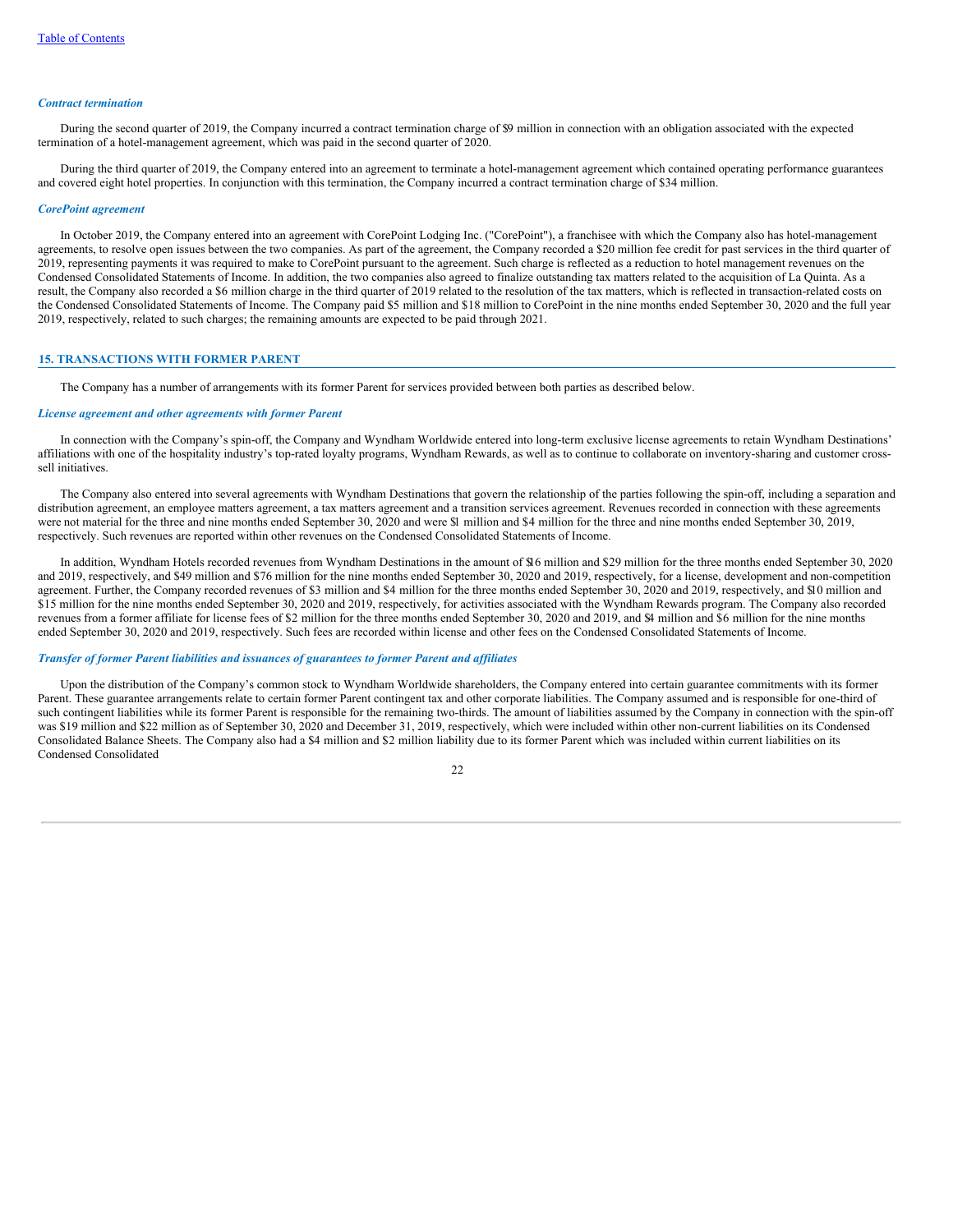### *Contract termination*

During the second quarter of 2019, the Company incurred a contract termination charge of \$9 million in connection with an obligation associated with the expected termination of a hotel-management agreement, which was paid in the second quarter of 2020.

During the third quarter of 2019, the Company entered into an agreement to terminate a hotel-management agreement which contained operating performance guarantees and covered eight hotel properties. In conjunction with this termination, the Company incurred a contract termination charge of \$34 million.

#### *CorePoint agreement*

In October 2019, the Company entered into an agreement with CorePoint Lodging Inc. ("CorePoint"), a franchisee with which the Company also has hotel-management agreements, to resolve open issues between the two companies. As part of the agreement, the Company recorded a \$20 million fee credit for past services in the third quarter of 2019, representing payments it was required to make to CorePoint pursuant to the agreement. Such charge is reflected as a reduction to hotel management revenues on the Condensed Consolidated Statements of Income. In addition, the two companies also agreed to finalize outstanding tax matters related to the acquisition of La Quinta. As a result, the Company also recorded a \$6 million charge in the third quarter of 2019 related to the resolution of the tax matters, which is reflected in transaction-related costs on the Condensed Consolidated Statements of Income. The Company paid \$5 million and \$18 million to CorePoint in the nine months ended September 30, 2020 and the full year 2019, respectively, related to such charges; the remaining amounts are expected to be paid through 2021.

### **15. TRANSACTIONS WITH FORMER PARENT**

The Company has a number of arrangements with its former Parent for services provided between both parties as described below.

### *License agreement and other agreements with former Parent*

In connection with the Company's spin-off, the Company and Wyndham Worldwide entered into long-term exclusive license agreements to retain Wyndham Destinations' affiliations with one of the hospitality industry's top-rated loyalty programs, Wyndham Rewards, as well as to continue to collaborate on inventory-sharing and customer crosssell initiatives.

The Company also entered into several agreements with Wyndham Destinations that govern the relationship of the parties following the spin-off, including a separation and distribution agreement, an employee matters agreement, a tax matters agreement and a transition services agreement. Revenues recorded in connection with these agreements were not material for the three and nine months ended September 30, 2020 and were \$1 million and \$4 million for the three and nine months ended September 30, 2019, respectively. Such revenues are reported within other revenues on the Condensed Consolidated Statements of Income.

In addition, Wyndham Hotels recorded revenues from Wyndham Destinations in the amount of \$16 million and \$29 million for the three months ended September 30, 2020 and 2019, respectively, and \$49 million and \$76 million for the nine months ended September 30, 2020 and 2019, respectively, for a license, development and non-competition agreement. Further, the Company recorded revenues of \$3 million and \$4 million for the three months ended September 30, 2020 and 2019, respectively, and \$10 million and \$15 million for the nine months ended September 30, 2020 and 2019, respectively, for activities associated with the Wyndham Rewards program. The Company also recorded revenues from a former affiliate for license fees of \$2 million for the three months ended September 30, 2020 and 2019, and \$4 million and \$6 million for the nine months ended September 30, 2020 and 2019, respectively. Such fees are recorded within license and other fees on the Condensed Consolidated Statements of Income.

#### *Transfer of former Parent liabilities and issuances of guarantees to former Parent and af iliates*

Upon the distribution of the Company's common stock to Wyndham Worldwide shareholders, the Company entered into certain guarantee commitments with its former Parent. These guarantee arrangements relate to certain former Parent contingent tax and other corporate liabilities. The Company assumed and is responsible for one-third of such contingent liabilities while its former Parent is responsible for the remaining two-thirds. The amount of liabilities assumed by the Company in connection with the spin-off was \$19 million and \$22 million as of September 30, 2020 and December 31, 2019, respectively, which were included within other non-current liabilities on its Condensed Consolidated Balance Sheets. The Company also had a \$4 million and \$2 million liability due to its former Parent which was included within current liabilities on its Condensed Consolidated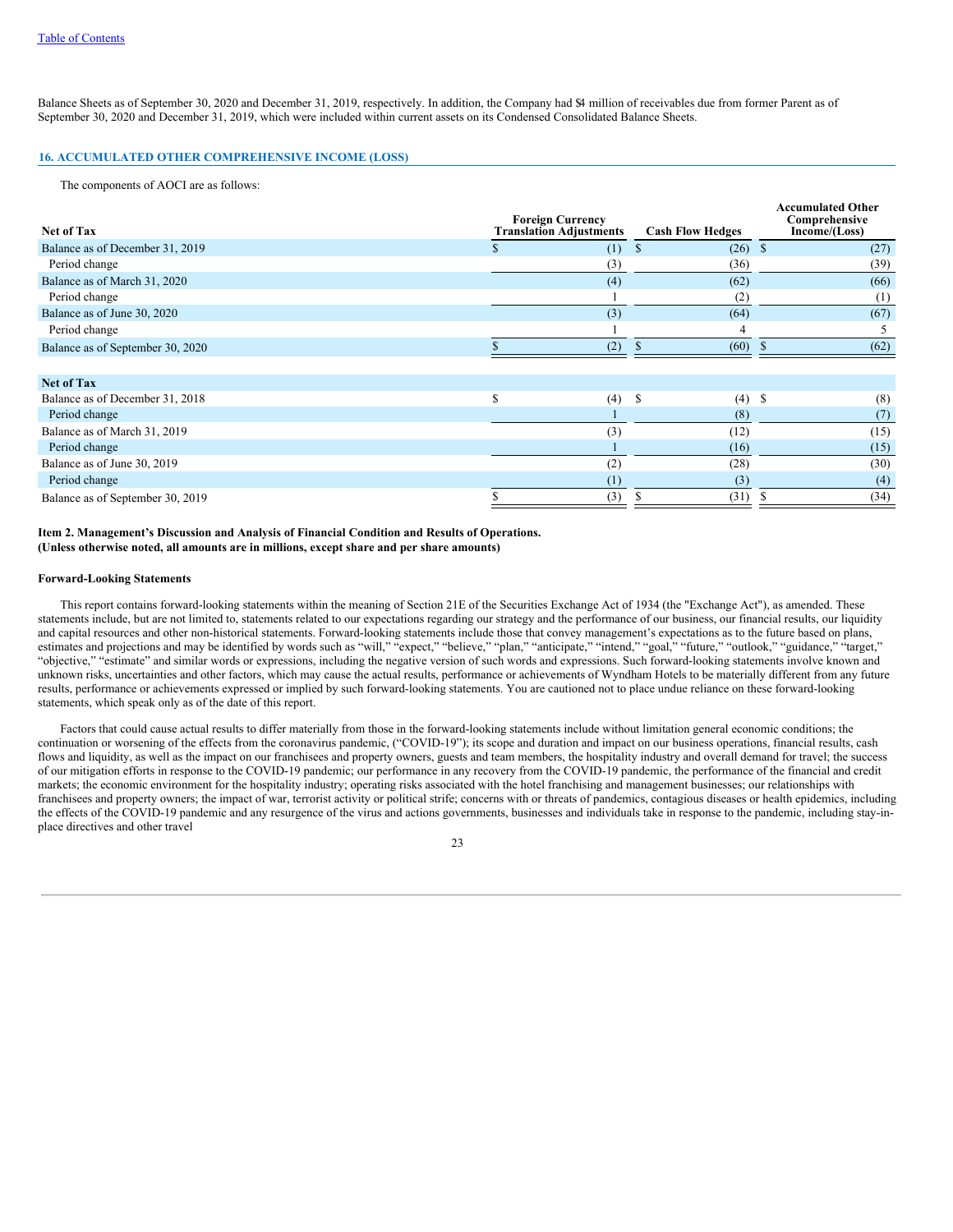Balance Sheets as of September 30, 2020 and December 31, 2019, respectively. In addition, the Company had \$4 million of receivables due from former Parent as of September 30, 2020 and December 31, 2019, which were included within current assets on its Condensed Consolidated Balance Sheets.

## **16. ACCUMULATED OTHER COMPREHENSIVE INCOME (LOSS)**

The components of AOCI are as follows:

| <b>Net of Tax</b>                | <b>Foreign Currency</b><br><b>Translation Adjustments</b> | <b>Cash Flow Hedges</b> | <b>Accumulated Other</b><br>Comprehensive<br>Income/(Loss) |
|----------------------------------|-----------------------------------------------------------|-------------------------|------------------------------------------------------------|
| Balance as of December 31, 2019  | (1)                                                       | $(26)$ \$<br>ъ          | (27)                                                       |
| Period change                    | (3)                                                       | (36)                    | (39)                                                       |
| Balance as of March 31, 2020     | (4)                                                       | (62)                    | (66)                                                       |
| Period change                    |                                                           | (2)                     | (1)                                                        |
| Balance as of June 30, 2020      | (3)                                                       | (64)                    | (67)                                                       |
| Period change                    |                                                           |                         |                                                            |
| Balance as of September 30, 2020 | (2)                                                       | (60)                    | (62)                                                       |
| <b>Net of Tax</b>                |                                                           |                         |                                                            |
| Balance as of December 31, 2018  | \$<br>(4)                                                 | \$<br>(4)               | -S<br>(8)                                                  |
| Period change                    |                                                           | (8)                     | (7)                                                        |
| Balance as of March 31, 2019     | (3)                                                       | (12)                    | (15)                                                       |
| Period change                    |                                                           | (16)                    | (15)                                                       |
| Balance as of June 30, 2019      | (2)                                                       | (28)                    | (30)                                                       |
| Period change                    | (1)                                                       | (3)                     | (4)                                                        |
| Balance as of September 30, 2019 | (3)                                                       | (31)                    | (34)                                                       |

### <span id="page-24-0"></span>**Item 2. Management's Discussion and Analysis of Financial Condition and Results of Operations. (Unless otherwise noted, all amounts are in millions, except share and per share amounts)**

### <span id="page-24-1"></span>**Forward-Looking Statements**

This report contains forward-looking statements within the meaning of Section 21E of the Securities Exchange Act of 1934 (the "Exchange Act"), as amended. These statements include, but are not limited to, statements related to our expectations regarding our strategy and the performance of our business, our financial results, our liquidity and capital resources and other non-historical statements. Forward-looking statements include those that convey management's expectations as to the future based on plans, estimates and projections and may be identified by words such as "will," "expect," "believe," "plan," "anticipate," "intend," "goal," "future," "outlook," "guidance," "target," "objective," "estimate" and similar words or expressions, including the negative version of such words and expressions. Such forward-looking statements involve known and unknown risks, uncertainties and other factors, which may cause the actual results, performance or achievements of Wyndham Hotels to be materially different from any future results, performance or achievements expressed or implied by such forward-looking statements. You are cautioned not to place undue reliance on these forward-looking statements, which speak only as of the date of this report.

Factors that could cause actual results to differ materially from those in the forward-looking statements include without limitation general economic conditions; the continuation or worsening of the effects from the coronavirus pandemic, ("COVID-19"); its scope and duration and impact on our business operations, financial results, cash flows and liquidity, as well as the impact on our franchisees and property owners, guests and team members, the hospitality industry and overall demand for travel; the success of our mitigation efforts in response to the COVID-19 pandemic; our performance in any recovery from the COVID-19 pandemic, the performance of the financial and credit markets; the economic environment for the hospitality industry; operating risks associated with the hotel franchising and management businesses; our relationships with franchisees and property owners; the impact of war, terrorist activity or political strife; concerns with or threats of pandemics, contagious diseases or health epidemics, including the effects of the COVID-19 pandemic and any resurgence of the virus and actions governments, businesses and individuals take in response to the pandemic, including stay-inplace directives and other travel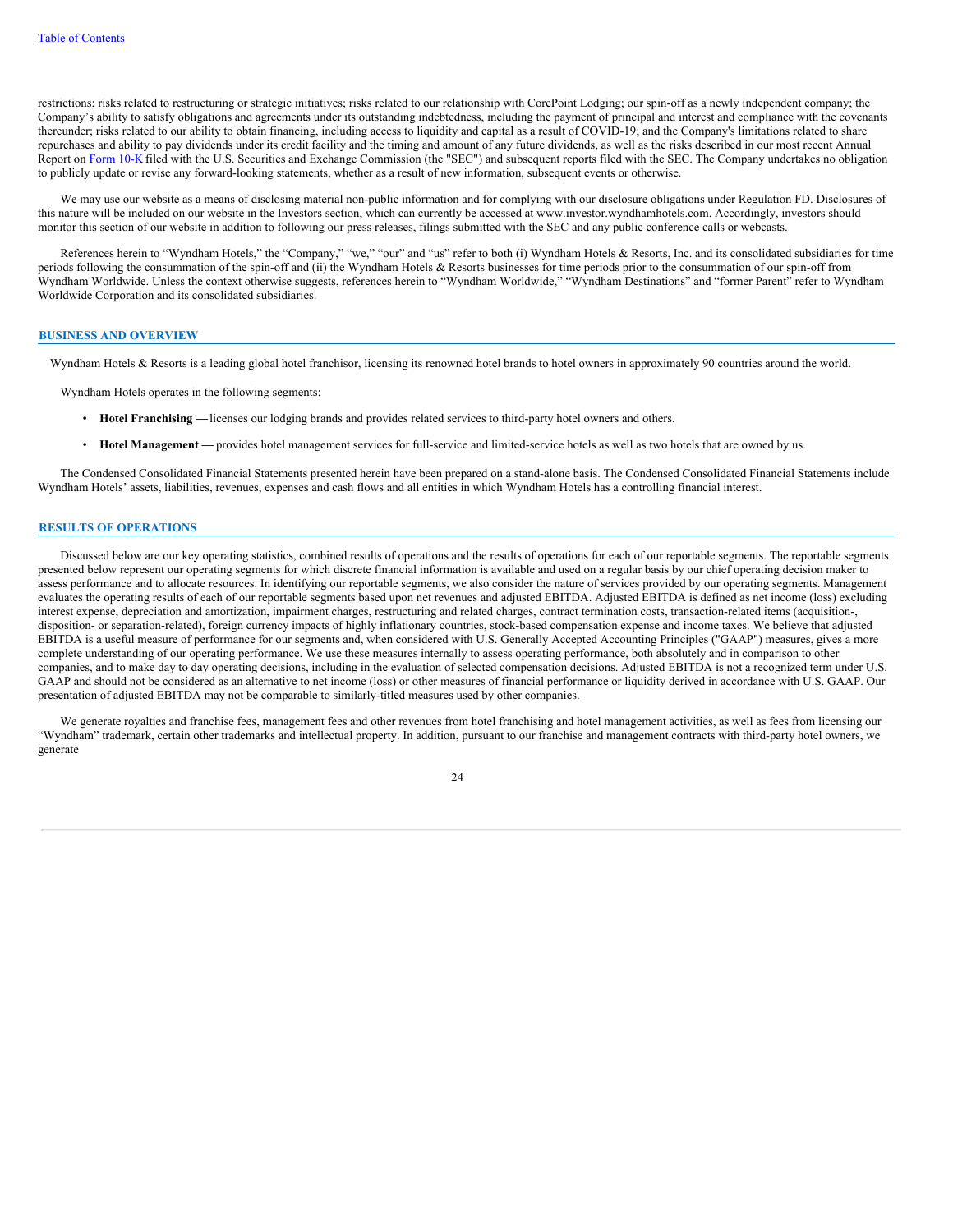restrictions; risks related to restructuring or strategic initiatives; risks related to our relationship with CorePoint Lodging; our spin-off as a newly independent company; the Company's ability to satisfy obligations and agreements under its outstanding indebtedness, including the payment of principal and interest and compliance with the covenants thereunder; risks related to our ability to obtain financing, including access to liquidity and capital as a result of COVID-19; and the Company's limitations related to share repurchases and ability to pay dividends under its credit facility and the timing and amount of any future dividends, as well as the risks described in our most recent Annual Report on [Form](http://www.sec.gov/Archives/edgar/data/1722684/000172268420000007/wh-20191231x10k.htm) 10-K filed with the U.S. Securities and Exchange Commission (the "SEC") and subsequent reports filed with the SEC. The Company undertakes no obligation to publicly update or revise any forward-looking statements, whether as a result of new information, subsequent events or otherwise.

We may use our website as a means of disclosing material non-public information and for complying with our disclosure obligations under Regulation FD. Disclosures of this nature will be included on our website in the Investors section, which can currently be accessed at www.investor.wyndhamhotels.com. Accordingly, investors should monitor this section of our website in addition to following our press releases, filings submitted with the SEC and any public conference calls or webcasts.

References herein to "Wyndham Hotels," the "Company," "we," "our" and "us" refer to both (i) Wyndham Hotels & Resorts, Inc. and its consolidated subsidiaries for time periods following the consummation of the spin-off and (ii) the Wyndham Hotels & Resorts businesses for time periods prior to the consummation of our spin-off from Wyndham Worldwide. Unless the context otherwise suggests, references herein to "Wyndham Worldwide," "Wyndham Destinations" and "former Parent" refer to Wyndham Worldwide Corporation and its consolidated subsidiaries.

#### **BUSINESS AND OVERVIEW**

Wyndham Hotels & Resorts is a leading global hotel franchisor, licensing its renowned hotel brands to hotel owners in approximately 90 countries around the world.

Wyndham Hotels operates in the following segments:

- **Hotel Franchising —**licenses our lodging brands and provides related services to third-party hotel owners and others.
- **Hotel Management —** provides hotel management services for full-service and limited-service hotels as well as two hotels that are owned by us.

The Condensed Consolidated Financial Statements presented herein have been prepared on a stand-alone basis. The Condensed Consolidated Financial Statements include Wyndham Hotels' assets, liabilities, revenues, expenses and cash flows and all entities in which Wyndham Hotels has a controlling financial interest.

### **RESULTS OF OPERATIONS**

Discussed below are our key operating statistics, combined results of operations and the results of operations for each of our reportable segments. The reportable segments presented below represent our operating segments for which discrete financial information is available and used on a regular basis by our chief operating decision maker to assess performance and to allocate resources. In identifying our reportable segments, we also consider the nature of services provided by our operating segments. Management evaluates the operating results of each of our reportable segments based upon net revenues and adjusted EBITDA. Adjusted EBITDA is defined as net income (loss) excluding interest expense, depreciation and amortization, impairment charges, restructuring and related charges, contract termination costs, transaction-related items (acquisition-, disposition- or separation-related), foreign currency impacts of highly inflationary countries, stock-based compensation expense and income taxes. We believe that adjusted EBITDA is a useful measure of performance for our segments and, when considered with U.S. Generally Accepted Accounting Principles ("GAAP") measures, gives a more complete understanding of our operating performance. We use these measures internally to assess operating performance, both absolutely and in comparison to other companies, and to make day to day operating decisions, including in the evaluation of selected compensation decisions. Adjusted EBITDA is not a recognized term under U.S. GAAP and should not be considered as an alternative to net income (loss) or other measures of financial performance or liquidity derived in accordance with U.S. GAAP. Our presentation of adjusted EBITDA may not be comparable to similarly-titled measures used by other companies.

We generate royalties and franchise fees, management fees and other revenues from hotel franchising and hotel management activities, as well as fees from licensing our "Wyndham" trademark, certain other trademarks and intellectual property. In addition, pursuant to our franchise and management contracts with third-party hotel owners, we generate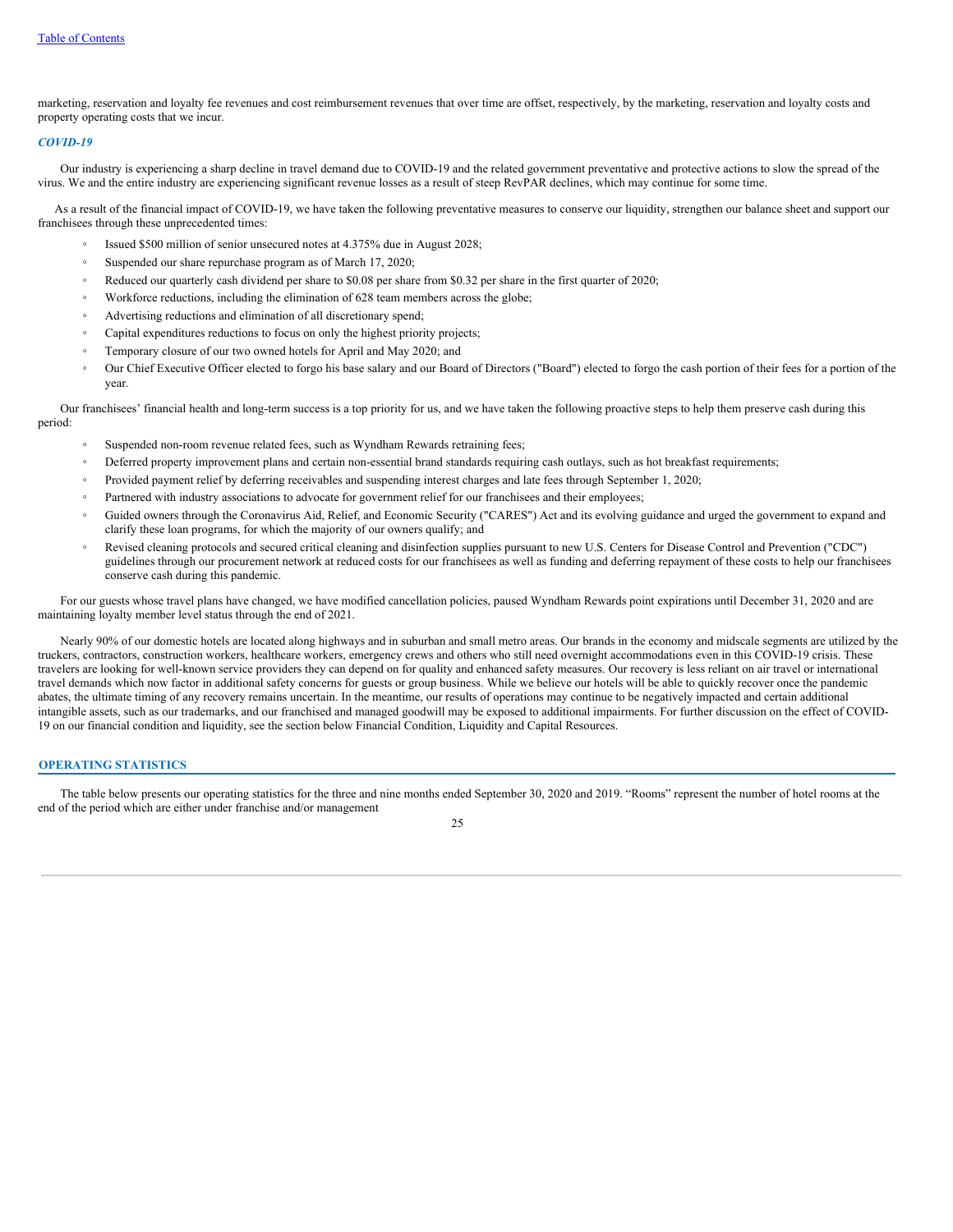marketing, reservation and loyalty fee revenues and cost reimbursement revenues that over time are offset, respectively, by the marketing, reservation and loyalty costs and property operating costs that we incur.

### *COVID-19*

Our industry is experiencing a sharp decline in travel demand due to COVID-19 and the related government preventative and protective actions to slow the spread of the virus. We and the entire industry are experiencing significant revenue losses as a result of steep RevPAR declines, which may continue for some time.

As a result of the financial impact of COVID-19, we have taken the following preventative measures to conserve our liquidity, strengthen our balance sheet and support our franchisees through these unprecedented times:

- Issued \$500 million of senior unsecured notes at 4.375% due in August 2028;
- Suspended our share repurchase program as of March 17, 2020;
- Reduced our quarterly cash dividend per share to \$0.08 per share from \$0.32 per share in the first quarter of 2020;
- Workforce reductions, including the elimination of 628 team members across the globe;
- Advertising reductions and elimination of all discretionary spend;
- Capital expenditures reductions to focus on only the highest priority projects;
- Temporary closure of our two owned hotels for April and May 2020; and
- Our Chief Executive Officer elected to forgo his base salary and our Board of Directors ("Board") elected to forgo the cash portion of their fees for a portion of the year.

Our franchisees' financial health and long-term success is a top priority for us, and we have taken the following proactive steps to help them preserve cash during this period:

- Suspended non-room revenue related fees, such as Wyndham Rewards retraining fees;
- Deferred property improvement plans and certain non-essential brand standards requiring cash outlays, such as hot breakfast requirements;
- Provided payment relief by deferring receivables and suspending interest charges and late fees through September 1, 2020;
- Partnered with industry associations to advocate for government relief for our franchisees and their employees;
- Guided owners through the Coronavirus Aid, Relief, and Economic Security ("CARES") Act and its evolving guidance and urged the government to expand and clarify these loan programs, for which the majority of our owners qualify; and
- Revised cleaning protocols and secured critical cleaning and disinfection supplies pursuant to new U.S. Centers for Disease Control and Prevention ("CDC") guidelines through our procurement network at reduced costs for our franchisees as well as funding and deferring repayment of these costs to help our franchisees conserve cash during this pandemic.

For our guests whose travel plans have changed, we have modified cancellation policies, paused Wyndham Rewards point expirations until December 31, 2020 and are maintaining loyalty member level status through the end of 2021.

Nearly 90% of our domestic hotels are located along highways and in suburban and small metro areas. Our brands in the economy and midscale segments are utilized by the truckers, contractors, construction workers, healthcare workers, emergency crews and others who still need overnight accommodations even in this COVID-19 crisis. These travelers are looking for well-known service providers they can depend on for quality and enhanced safety measures. Our recovery is less reliant on air travel or international travel demands which now factor in additional safety concerns for guests or group business. While we believe our hotels will be able to quickly recover once the pandemic abates, the ultimate timing of any recovery remains uncertain. In the meantime, our results of operations may continue to be negatively impacted and certain additional intangible assets, such as our trademarks, and our franchised and managed goodwill may be exposed to additional impairments. For further discussion on the effect of COVID-19 on our financial condition and liquidity, see the section below Financial Condition, Liquidity and Capital Resources.

## **OPERATING STATISTICS**

The table below presents our operating statistics for the three and nine months ended September 30, 2020 and 2019. "Rooms" represent the number of hotel rooms at the end of the period which are either under franchise and/or management

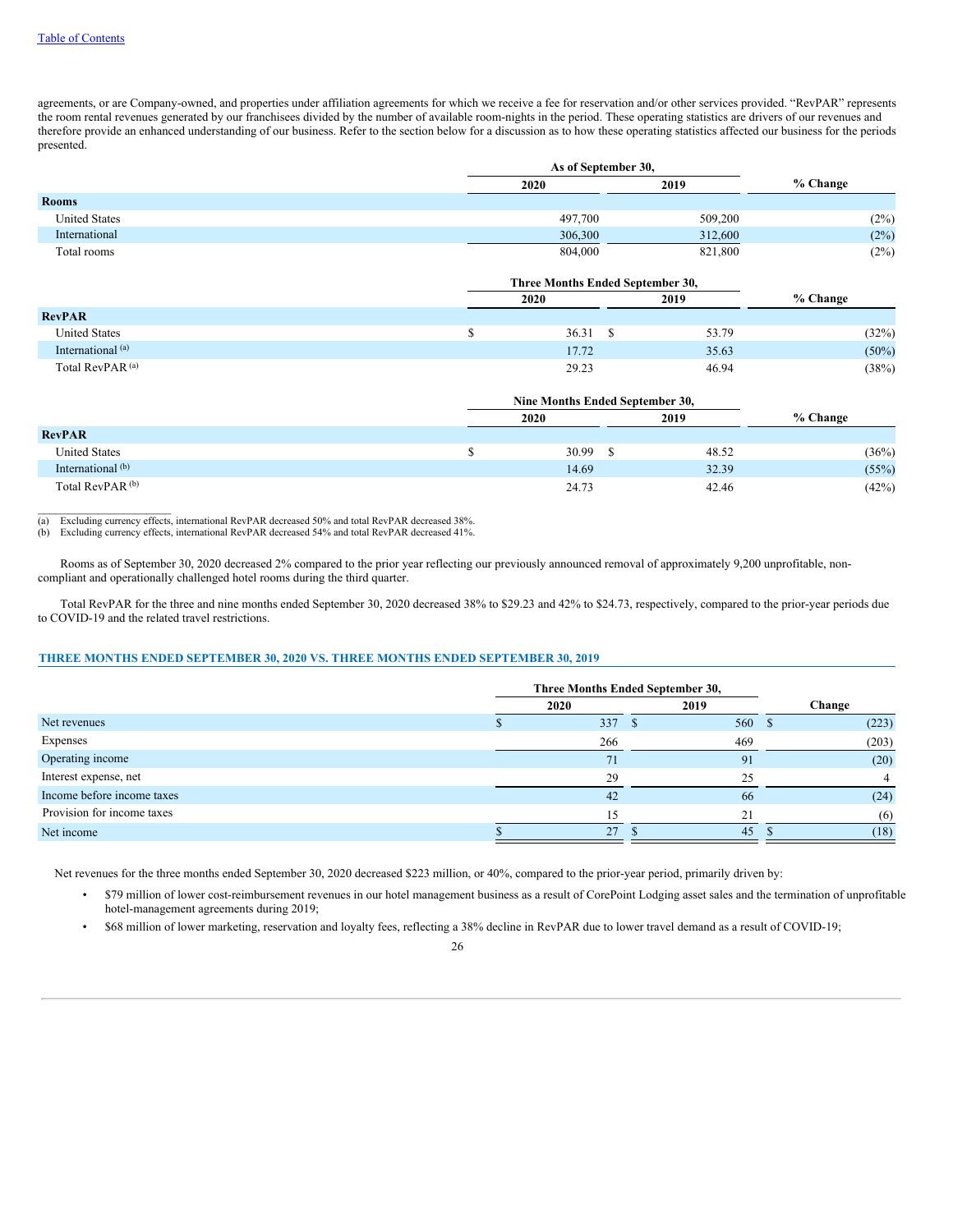$\mathcal{L}_\text{max}$ 

agreements, or are Company-owned, and properties under affiliation agreements for which we receive a fee for reservation and/or other services provided. "RevPAR" represents the room rental revenues generated by our franchisees divided by the number of available room-nights in the period. These operating statistics are drivers of our revenues and therefore provide an enhanced understanding of our business. Refer to the section below for a discussion as to how these operating statistics affected our business for the periods presented.

|                      | As of September 30, |         |          |
|----------------------|---------------------|---------|----------|
|                      | 2020                | 2019    | % Change |
| <b>Rooms</b>         |                     |         |          |
| <b>United States</b> | 497,700             | 509,200 | (2%)     |
| International        | 306,300             | 312,600 | (2%)     |
| Total rooms          | 804,000             | 821,800 | (2%)     |

|                              | Three Months Ended September 30, |       |          |  |  |  |
|------------------------------|----------------------------------|-------|----------|--|--|--|
|                              | 2020<br>2019                     |       |          |  |  |  |
| <b>RevPAR</b>                |                                  |       |          |  |  |  |
| <b>United States</b>         | 36.31                            | 53.79 | (32%)    |  |  |  |
| International <sup>(a)</sup> | 17.72                            | 35.63 | $(50\%)$ |  |  |  |
| Total RevPAR <sup>(a)</sup>  | 29.23                            | 46.94 | (38%)    |  |  |  |

|                             | Nine Months Ended September 30, |       |          |  |  |  |  |
|-----------------------------|---------------------------------|-------|----------|--|--|--|--|
|                             | 2020                            | 2019  | % Change |  |  |  |  |
| <b>RevPAR</b>               |                                 |       |          |  |  |  |  |
| <b>United States</b>        | 30.99                           | 48.52 | (36%)    |  |  |  |  |
| International (b)           | 14.69                           | 32.39 | (55%)    |  |  |  |  |
| Total RevPAR <sup>(b)</sup> | 24.73                           | 42.46 | (42%)    |  |  |  |  |

(a) Excluding currency effects, international RevPAR decreased 50% and total RevPAR decreased 38%.

(b) Excluding currency effects, international RevPAR decreased 54% and total RevPAR decreased 41%.

Rooms as of September 30, 2020 decreased 2% compared to the prior year reflecting our previously announced removal of approximately 9,200 unprofitable, noncompliant and operationally challenged hotel rooms during the third quarter.

Total RevPAR for the three and nine months ended September 30, 2020 decreased 38% to \$29.23 and 42% to \$24.73, respectively, compared to the prior-year periods due to COVID-19 and the related travel restrictions.

## **THREE MONTHS ENDED SEPTEMBER 30, 2020 VS. THREE MONTHS ENDED SEPTEMBER 30, 2019**

|                            | Three Months Ended September 30, |        |        |        |
|----------------------------|----------------------------------|--------|--------|--------|
|                            |                                  | 2020   | 2019   | Change |
| Net revenues               |                                  | 337 \$ | 560 \$ | (223)  |
| Expenses                   |                                  | 266    | 469    | (203)  |
| Operating income           |                                  | 71     | 91     | (20)   |
| Interest expense, net      |                                  | 29     | 25     |        |
| Income before income taxes |                                  | 42     | -66    | (24)   |
| Provision for income taxes |                                  | 15     | 21     | (6)    |
| Net income                 |                                  | 27     | 45     | (18)   |

Net revenues for the three months ended September 30, 2020 decreased \$223 million, or 40%, compared to the prior-year period, primarily driven by:

- \$79 million of lower cost-reimbursement revenues in our hotel management business as a result of CorePoint Lodging asset sales and the termination of unprofitable hotel-management agreements during 2019;
- \$68 million of lower marketing, reservation and loyalty fees, reflecting a 38% decline in RevPAR due to lower travel demand as a result of COVID-19;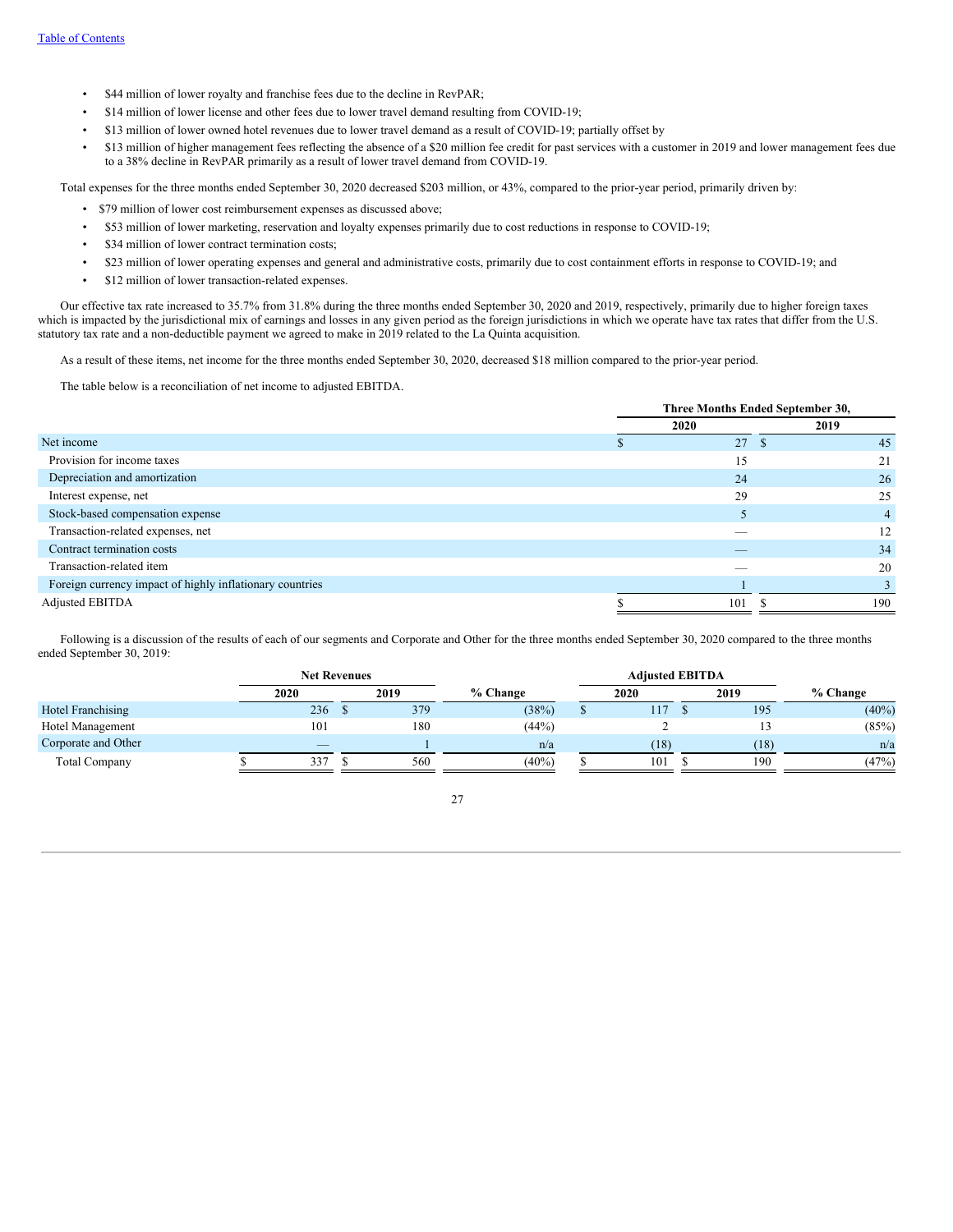- \$44 million of lower royalty and franchise fees due to the decline in RevPAR;
- \$14 million of lower license and other fees due to lower travel demand resulting from COVID-19;
- \$13 million of lower owned hotel revenues due to lower travel demand as a result of COVID-19; partially offset by
- \$13 million of higher management fees reflecting the absence of a \$20 million fee credit for past services with a customer in 2019 and lower management fees due to a 38% decline in RevPAR primarily as a result of lower travel demand from COVID-19.

Total expenses for the three months ended September 30, 2020 decreased \$203 million, or 43%, compared to the prior-year period, primarily driven by:

- \$79 million of lower cost reimbursement expenses as discussed above;
- \$53 million of lower marketing, reservation and loyalty expenses primarily due to cost reductions in response to COVID-19;
- \$34 million of lower contract termination costs;
- \$23 million of lower operating expenses and general and administrative costs, primarily due to cost containment efforts in response to COVID-19; and
- \$12 million of lower transaction-related expenses.

Our effective tax rate increased to 35.7% from 31.8% during the three months ended September 30, 2020 and 2019, respectively, primarily due to higher foreign taxes which is impacted by the jurisdictional mix of earnings and losses in any given period as the foreign jurisdictions in which we operate have tax rates that differ from the U.S. statutory tax rate and a non-deductible payment we agreed to make in 2019 related to the La Quinta acquisition.

As a result of these items, net income for the three months ended September 30, 2020, decreased \$18 million compared to the prior-year period.

The table below is a reconciliation of net income to adjusted EBITDA.

|                                                          | Three Months Ended September 30, |      |     |  |  |
|----------------------------------------------------------|----------------------------------|------|-----|--|--|
|                                                          | 2020                             | 2019 |     |  |  |
| Net income                                               | 27                               | -S   | 45  |  |  |
| Provision for income taxes                               | 15                               |      | 21  |  |  |
| Depreciation and amortization                            | 24                               |      | 26  |  |  |
| Interest expense, net                                    | 29                               |      | 25  |  |  |
| Stock-based compensation expense                         |                                  |      | 4   |  |  |
| Transaction-related expenses, net                        |                                  |      | 12  |  |  |
| Contract termination costs                               | $-$                              |      | 34  |  |  |
| Transaction-related item                                 |                                  |      | 20  |  |  |
| Foreign currency impact of highly inflationary countries |                                  |      |     |  |  |
| Adjusted EBITDA                                          | 101                              |      | 190 |  |  |

Following is a discussion of the results of each of our segments and Corporate and Other for the three months ended September 30, 2020 compared to the three months ended September 30, 2019:

|                          | <b>Net Revenues</b>      |  |      |          |    |      | <b>Adjusted EBITDA</b> |      |            |
|--------------------------|--------------------------|--|------|----------|----|------|------------------------|------|------------|
|                          | 2020                     |  | 2019 | % Change |    | 2020 |                        | 2019 | $%$ Change |
| <b>Hotel Franchising</b> | 236                      |  | 379  | (38%)    | кĐ |      | 117                    | 195  | $(40\%)$   |
| Hotel Management         | 101                      |  | 180  | (44%)    |    |      |                        |      | (85%)      |
| Corporate and Other      | $\overline{\phantom{a}}$ |  |      | n/a      |    |      | (18)                   | (18) | n/a        |
| <b>Total Company</b>     | 337                      |  | 560  | $(40\%)$ |    |      | 101                    | 190  | (47%)      |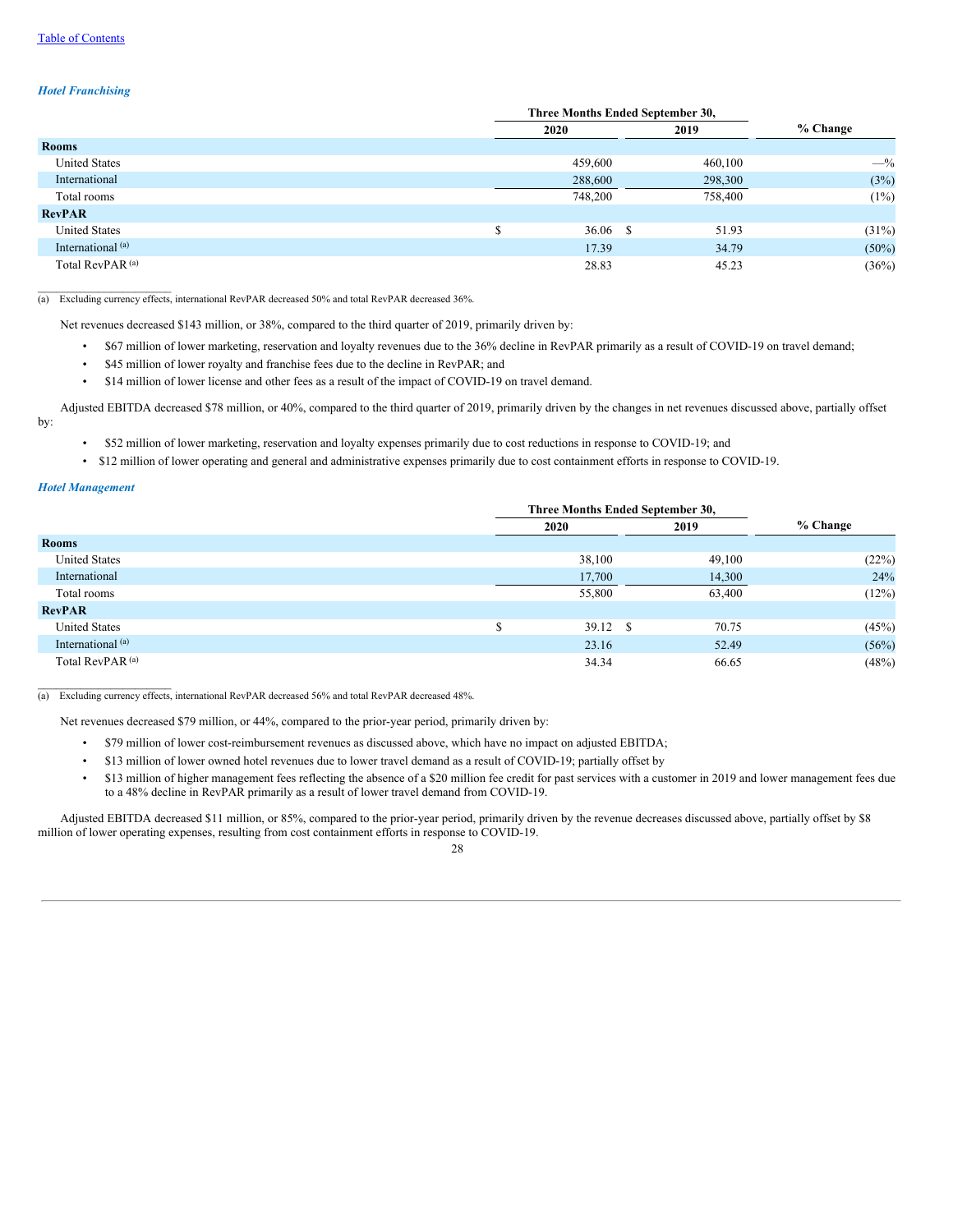## *Hotel Franchising*

|                              | Three Months Ended September 30, |             |            |
|------------------------------|----------------------------------|-------------|------------|
|                              | 2020                             | 2019        | $%$ Change |
| <b>Rooms</b>                 |                                  |             |            |
| <b>United States</b>         | 459,600                          | 460,100     | $-$ %      |
| International                | 288,600                          | 298,300     | (3%)       |
| Total rooms                  | 748,200                          | 758,400     | (1%)       |
| <b>RevPAR</b>                |                                  |             |            |
| <b>United States</b>         | 36.06                            | -S<br>51.93 | (31%)      |
| International <sup>(a)</sup> | 17.39                            | 34.79       | $(50\%)$   |
| Total RevPAR <sup>(a)</sup>  | 28.83                            | 45.23       | (36%)      |

(a) Excluding currency effects, international RevPAR decreased 50% and total RevPAR decreased 36%.

Net revenues decreased \$143 million, or 38%, compared to the third quarter of 2019, primarily driven by:

- \$67 million of lower marketing, reservation and loyalty revenues due to the 36% decline in RevPAR primarily as a result of COVID-19 on travel demand;
- \$45 million of lower royalty and franchise fees due to the decline in RevPAR; and
- \$14 million of lower license and other fees as a result of the impact of COVID-19 on travel demand.

Adjusted EBITDA decreased \$78 million, or 40%, compared to the third quarter of 2019, primarily driven by the changes in net revenues discussed above, partially offset by:

- \$52 million of lower marketing, reservation and loyalty expenses primarily due to cost reductions in response to COVID-19; and
- \$12 million of lower operating and general and administrative expenses primarily due to cost containment efforts in response to COVID-19.

### *Hotel Management*

 $\mathcal{L}=\mathcal{L}=\mathcal{L}=\mathcal{L}=\mathcal{L}=\mathcal{L}=\mathcal{L}=\mathcal{L}=\mathcal{L}=\mathcal{L}=\mathcal{L}=\mathcal{L}=\mathcal{L}=\mathcal{L}=\mathcal{L}=\mathcal{L}=\mathcal{L}=\mathcal{L}=\mathcal{L}=\mathcal{L}=\mathcal{L}=\mathcal{L}=\mathcal{L}=\mathcal{L}=\mathcal{L}=\mathcal{L}=\mathcal{L}=\mathcal{L}=\mathcal{L}=\mathcal{L}=\mathcal{L}=\mathcal{L}=\mathcal{L}=\mathcal{L}=\mathcal{L}=\mathcal{L}=\mathcal{$ 

|                              |         | Three Months Ended September 30, |             |            |  |
|------------------------------|---------|----------------------------------|-------------|------------|--|
|                              |         | 2020                             | 2019        | $%$ Change |  |
| <b>Rooms</b>                 |         |                                  |             |            |  |
| <b>United States</b>         |         | 38,100                           | 49,100      | (22%)      |  |
| International                |         | 17,700                           | 14,300      | 24%        |  |
| Total rooms                  |         | 55,800                           | 63,400      | (12%)      |  |
| <b>RevPAR</b>                |         |                                  |             |            |  |
| <b>United States</b>         | ሖ<br>۰D | 39.12                            | -S<br>70.75 | (45%)      |  |
| International <sup>(a)</sup> |         | 23.16                            | 52.49       | (56%)      |  |
| Total RevPAR <sup>(a)</sup>  |         | 34.34                            | 66.65       | (48%)      |  |

(a) Excluding currency effects, international RevPAR decreased 56% and total RevPAR decreased 48%.

Net revenues decreased \$79 million, or 44%, compared to the prior-year period, primarily driven by:

- \$79 million of lower cost-reimbursement revenues as discussed above, which have no impact on adjusted EBITDA;
	- \$13 million of lower owned hotel revenues due to lower travel demand as a result of COVID-19; partially offset by
- \$13 million of higher management fees reflecting the absence of a \$20 million fee credit for past services with a customer in 2019 and lower management fees due to a 48% decline in RevPAR primarily as a result of lower travel demand from COVID-19.

Adjusted EBITDA decreased \$11 million, or 85%, compared to the prior-year period, primarily driven by the revenue decreases discussed above, partially offset by \$8 million of lower operating expenses, resulting from cost containment efforts in response to COVID-19.

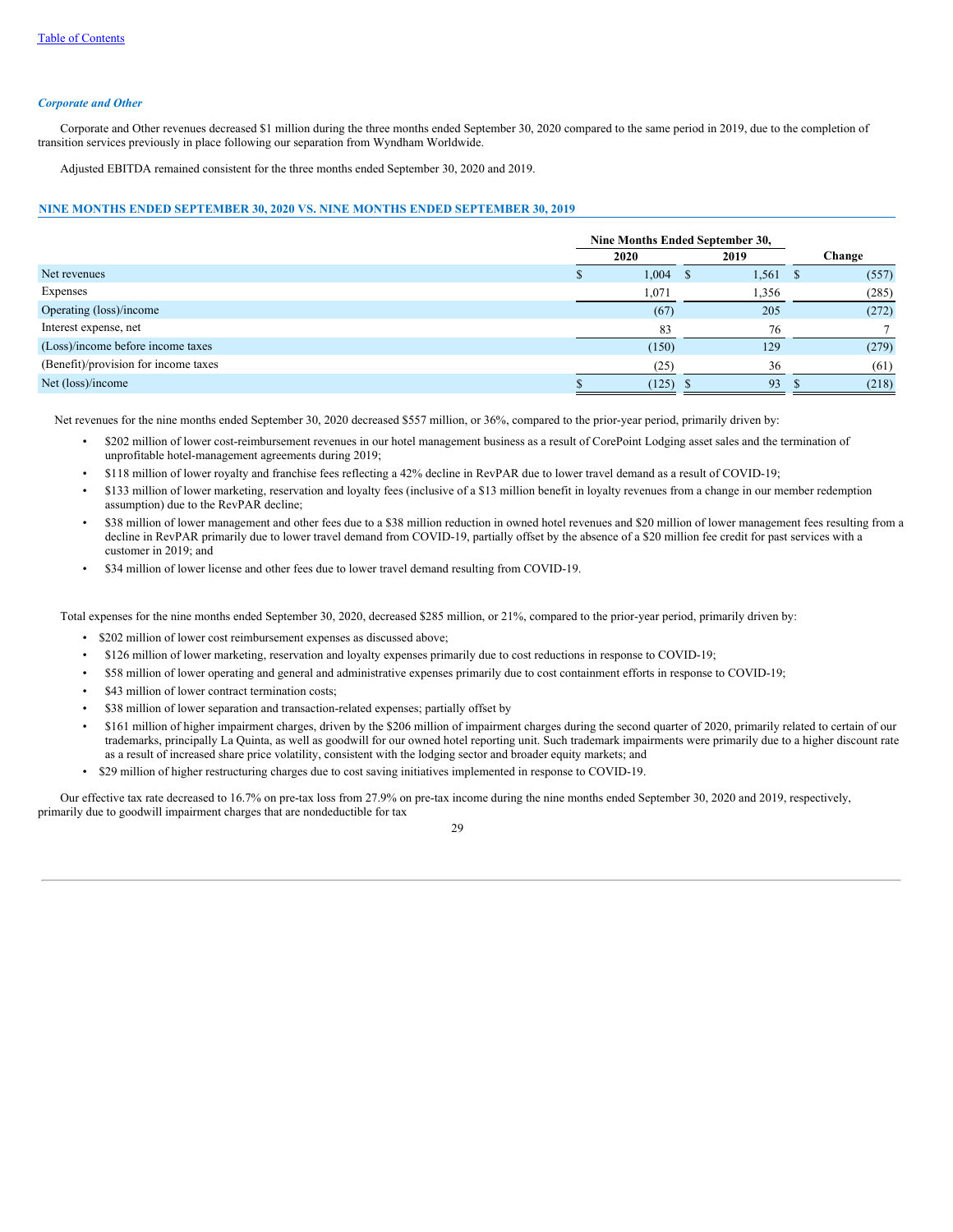#### *Corporate and Other*

Corporate and Other revenues decreased \$1 million during the three months ended September 30, 2020 compared to the same period in 2019, due to the completion of transition services previously in place following our separation from Wyndham Worldwide.

Adjusted EBITDA remained consistent for the three months ended September 30, 2020 and 2019.

### **NINE MONTHS ENDED SEPTEMBER 30, 2020 VS. NINE MONTHS ENDED SEPTEMBER 30, 2019**

|                                      | Nine Months Ended September 30, |       |                        |        |
|--------------------------------------|---------------------------------|-------|------------------------|--------|
|                                      |                                 | 2020  | 2019                   | Change |
| Net revenues                         |                                 | 1,004 | $1,561 \quad$ \$<br>-8 | (557)  |
| Expenses                             |                                 | 1,071 | 1,356                  | (285)  |
| Operating (loss)/income              |                                 | (67)  | 205                    | (272)  |
| Interest expense, net                |                                 | 83    | 76                     |        |
| (Loss)/income before income taxes    |                                 | (150) | 129                    | (279)  |
| (Benefit)/provision for income taxes |                                 | (25)  | 36                     | (61)   |
| Net (loss)/income                    |                                 | (125) | 93                     | (218)  |

Net revenues for the nine months ended September 30, 2020 decreased \$557 million, or 36%, compared to the prior-year period, primarily driven by:

- \$202 million of lower cost-reimbursement revenues in our hotel management business as a result of CorePoint Lodging asset sales and the termination of unprofitable hotel-management agreements during 2019;
- \$118 million of lower royalty and franchise fees reflecting a 42% decline in RevPAR due to lower travel demand as a result of COVID-19;
- \$133 million of lower marketing, reservation and loyalty fees (inclusive of a \$13 million benefit in loyalty revenues from a change in our member redemption assumption) due to the RevPAR decline;
- \$38 million of lower management and other fees due to a \$38 million reduction in owned hotel revenues and \$20 million of lower management fees resulting from a decline in RevPAR primarily due to lower travel demand from COVID-19, partially offset by the absence of a \$20 million fee credit for past services with a customer in 2019; and
- \$34 million of lower license and other fees due to lower travel demand resulting from COVID-19.

Total expenses for the nine months ended September 30, 2020, decreased \$285 million, or 21%, compared to the prior-year period, primarily driven by:

- \$202 million of lower cost reimbursement expenses as discussed above;
- \$126 million of lower marketing, reservation and loyalty expenses primarily due to cost reductions in response to COVID-19;
- \$58 million of lower operating and general and administrative expenses primarily due to cost containment efforts in response to COVID-19;
- \$43 million of lower contract termination costs;
- \$38 million of lower separation and transaction-related expenses; partially offset by
- \$161 million of higher impairment charges, driven by the \$206 million of impairment charges during the second quarter of 2020, primarily related to certain of our trademarks, principally La Quinta, as well as goodwill for our owned hotel reporting unit. Such trademark impairments were primarily due to a higher discount rate as a result of increased share price volatility, consistent with the lodging sector and broader equity markets; and
- \$29 million of higher restructuring charges due to cost saving initiatives implemented in response to COVID-19.

Our effective tax rate decreased to 16.7% on pre-tax loss from 27.9% on pre-tax income during the nine months ended September 30, 2020 and 2019, respectively, primarily due to goodwill impairment charges that are nondeductible for tax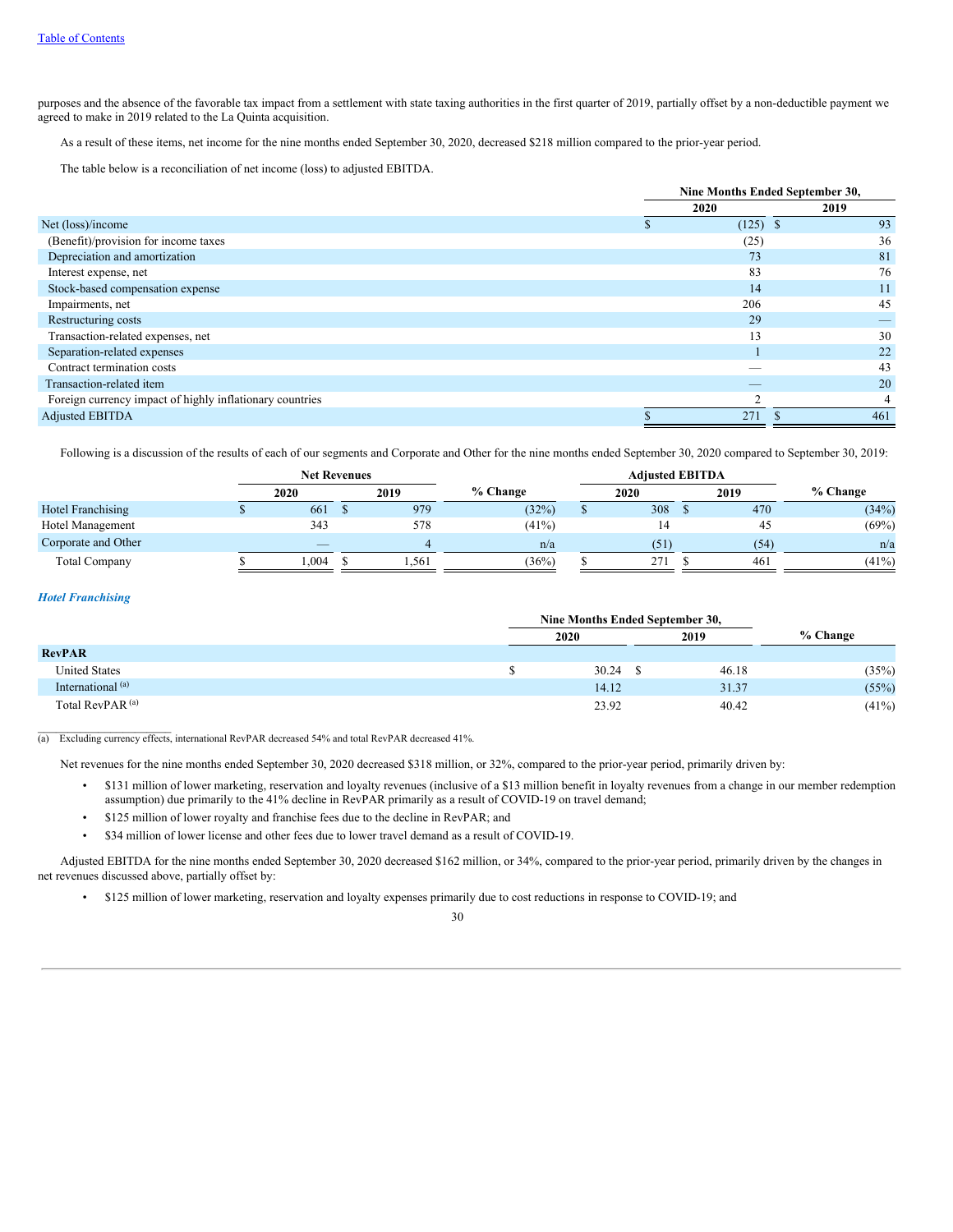purposes and the absence of the favorable tax impact from a settlement with state taxing authorities in the first quarter of 2019, partially offset by a non-deductible payment we agreed to make in 2019 related to the La Quinta acquisition.

As a result of these items, net income for the nine months ended September 30, 2020, decreased \$218 million compared to the prior-year period.

The table below is a reconciliation of net income (loss) to adjusted EBITDA.

|                                                          | Nine Months Ended September 30, |          |  |  |  |
|----------------------------------------------------------|---------------------------------|----------|--|--|--|
|                                                          | 2020                            | 2019     |  |  |  |
| Net (loss)/income                                        | (125)                           | 93<br>-S |  |  |  |
| (Benefit)/provision for income taxes                     | (25)                            | 36       |  |  |  |
| Depreciation and amortization                            | 73                              | 81       |  |  |  |
| Interest expense, net                                    | 83                              | 76       |  |  |  |
| Stock-based compensation expense                         | 14                              | 11       |  |  |  |
| Impairments, net                                         | 206                             | 45       |  |  |  |
| Restructuring costs                                      | 29                              |          |  |  |  |
| Transaction-related expenses, net                        | 13                              | 30       |  |  |  |
| Separation-related expenses                              |                                 | 22       |  |  |  |
| Contract termination costs                               | -                               | 43       |  |  |  |
| Transaction-related item                                 |                                 | 20       |  |  |  |
| Foreign currency impact of highly inflationary countries | ◠                               |          |  |  |  |
| <b>Adjusted EBITDA</b>                                   | 271                             | 461      |  |  |  |

Following is a discussion of the results of each of our segments and Corporate and Other for the nine months ended September 30, 2020 compared to September 30, 2019:

|                      | <b>Net Revenues</b>      |  |      |          | <b>Adjusted EBITDA</b> |      |            |
|----------------------|--------------------------|--|------|----------|------------------------|------|------------|
|                      | 2020                     |  | 2019 | % Change | 2020                   | 2019 | $%$ Change |
| Hotel Franchising    | 661                      |  | 979  | (32%)    | 308                    | 470  | (34%)      |
| Hotel Management     | 343                      |  | 578  | $(41\%)$ | 14                     | 45   | (69%)      |
| Corporate and Other  | $\overline{\phantom{a}}$ |  |      | n/a      | (51)                   | (54) | n/a        |
| <b>Total Company</b> | .004                     |  | .561 | (36%)    | 271                    | 461  | (41%)      |

## *Hotel Franchising*

|                              |  | 2020  | 2019  | $%$ Change |
|------------------------------|--|-------|-------|------------|
| <b>RevPAR</b>                |  |       |       |            |
| <b>United States</b>         |  | 30.24 | 46.18 | (35%)      |
| International <sup>(a)</sup> |  | 14.12 | 31.37 | (55%)      |
| Total RevPAR <sup>(a)</sup>  |  | 23.92 | 40.42 | $(41\%)$   |

 $\mathcal{L}=\mathcal{L}=\mathcal{L}=\mathcal{L}=\mathcal{L}=\mathcal{L}=\mathcal{L}=\mathcal{L}=\mathcal{L}=\mathcal{L}=\mathcal{L}=\mathcal{L}=\mathcal{L}=\mathcal{L}=\mathcal{L}=\mathcal{L}=\mathcal{L}=\mathcal{L}=\mathcal{L}=\mathcal{L}=\mathcal{L}=\mathcal{L}=\mathcal{L}=\mathcal{L}=\mathcal{L}=\mathcal{L}=\mathcal{L}=\mathcal{L}=\mathcal{L}=\mathcal{L}=\mathcal{L}=\mathcal{L}=\mathcal{L}=\mathcal{L}=\mathcal{L}=\mathcal{L}=\mathcal{$ (a) Excluding currency effects, international RevPAR decreased 54% and total RevPAR decreased 41%.

Net revenues for the nine months ended September 30, 2020 decreased \$318 million, or 32%, compared to the prior-year period, primarily driven by:

- \$131 million of lower marketing, reservation and loyalty revenues (inclusive of a \$13 million benefit in loyalty revenues from a change in our member redemption assumption) due primarily to the 41% decline in RevPAR primarily as a result of COVID-19 on travel demand;
- \$125 million of lower royalty and franchise fees due to the decline in RevPAR; and
- \$34 million of lower license and other fees due to lower travel demand as a result of COVID-19.

Adjusted EBITDA for the nine months ended September 30, 2020 decreased \$162 million, or 34%, compared to the prior-year period, primarily driven by the changes in net revenues discussed above, partially offset by:

• \$125 million of lower marketing, reservation and loyalty expenses primarily due to cost reductions in response to COVID-19; and

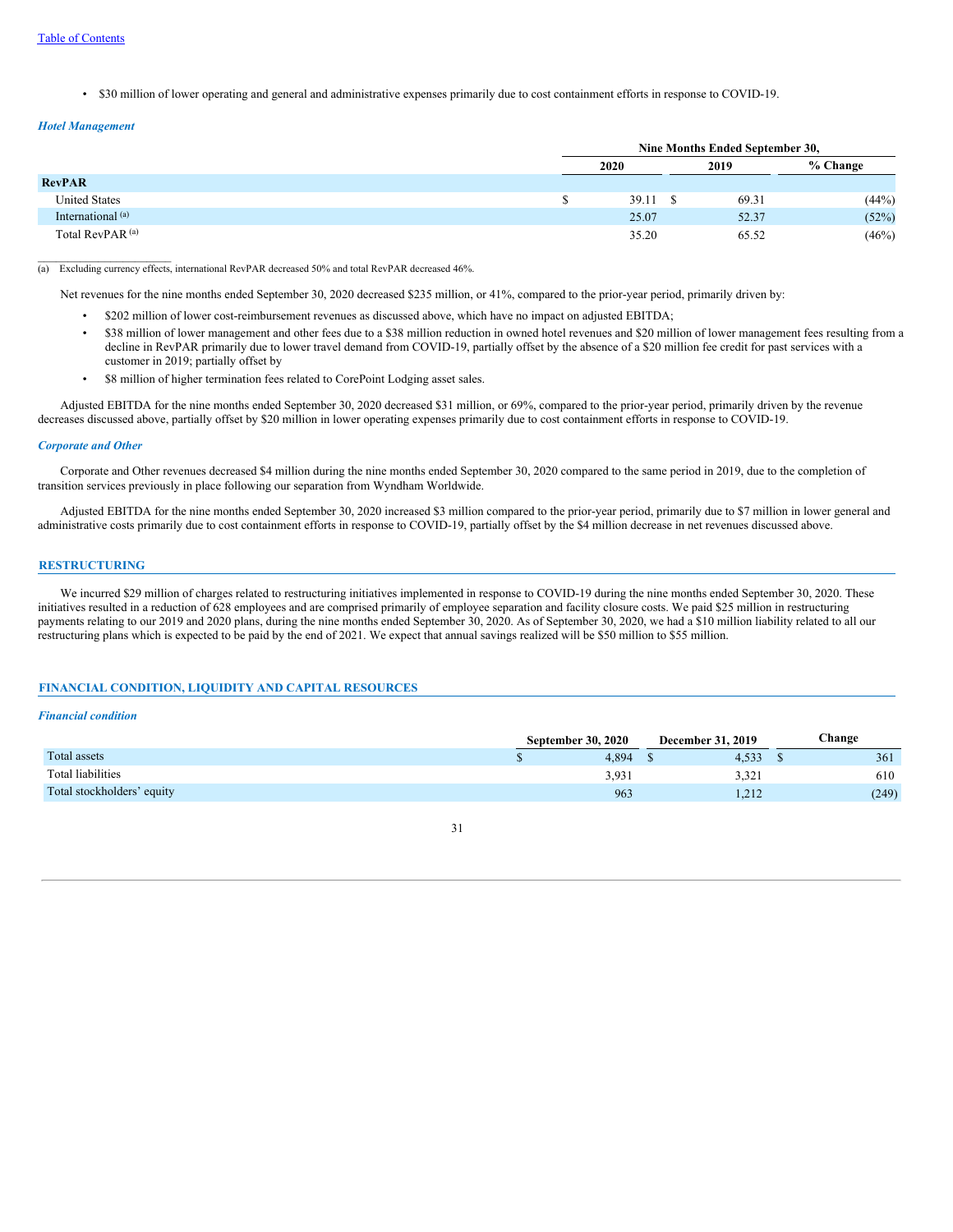• \$30 million of lower operating and general and administrative expenses primarily due to cost containment efforts in response to COVID-19.

## *Hotel Management*

 $\mathcal{L}_\text{max}$ 

|                              | Nine Months Ended September 30, |  |       |          |  |  |  |
|------------------------------|---------------------------------|--|-------|----------|--|--|--|
|                              | 2020                            |  | 2019  | % Change |  |  |  |
| <b>RevPAR</b>                |                                 |  |       |          |  |  |  |
| <b>United States</b>         | 39.11                           |  | 69.31 | (44%)    |  |  |  |
| International <sup>(a)</sup> | 25.07                           |  | 52.37 | (52%)    |  |  |  |
| Total RevPAR <sup>(a)</sup>  | 35.20                           |  | 65.52 | (46%)    |  |  |  |

(a) Excluding currency effects, international RevPAR decreased 50% and total RevPAR decreased 46%.

Net revenues for the nine months ended September 30, 2020 decreased \$235 million, or 41%, compared to the prior-year period, primarily driven by:

- \$202 million of lower cost-reimbursement revenues as discussed above, which have no impact on adjusted EBITDA;
- \$38 million of lower management and other fees due to a \$38 million reduction in owned hotel revenues and \$20 million of lower management fees resulting from a decline in RevPAR primarily due to lower travel demand from COVID-19, partially offset by the absence of a \$20 million fee credit for past services with a customer in 2019; partially offset by
- \$8 million of higher termination fees related to CorePoint Lodging asset sales.

Adjusted EBITDA for the nine months ended September 30, 2020 decreased \$31 million, or 69%, compared to the prior-year period, primarily driven by the revenue decreases discussed above, partially offset by \$20 million in lower operating expenses primarily due to cost containment efforts in response to COVID-19.

#### *Corporate and Other*

Corporate and Other revenues decreased \$4 million during the nine months ended September 30, 2020 compared to the same period in 2019, due to the completion of transition services previously in place following our separation from Wyndham Worldwide.

Adjusted EBITDA for the nine months ended September 30, 2020 increased \$3 million compared to the prior-year period, primarily due to \$7 million in lower general and administrative costs primarily due to cost containment efforts in response to COVID-19, partially offset by the \$4 million decrease in net revenues discussed above.

## **RESTRUCTURING**

We incurred \$29 million of charges related to restructuring initiatives implemented in response to COVID-19 during the nine months ended September 30, 2020. These initiatives resulted in a reduction of 628 employees and are comprised primarily of employee separation and facility closure costs. We paid \$25 million in restructuring payments relating to our 2019 and 2020 plans, during the nine months ended September 30, 2020. As of September 30, 2020, we had a \$10 million liability related to all our restructuring plans which is expected to be paid by the end of 2021. We expect that annual savings realized will be \$50 million to \$55 million.

## **FINANCIAL CONDITION, LIQUIDITY AND CAPITAL RESOURCES**

### *Financial condition*

|                            | <b>September 30, 2020</b> | <b>December 31, 2019</b> | <b>Change</b> |
|----------------------------|---------------------------|--------------------------|---------------|
| <b>Total assets</b>        | 4.894                     | 4,533                    | 361           |
| Total liabilities          | 3,931                     | 3,321                    | 610           |
| Total stockholders' equity | 963                       | 1.212                    | (249)         |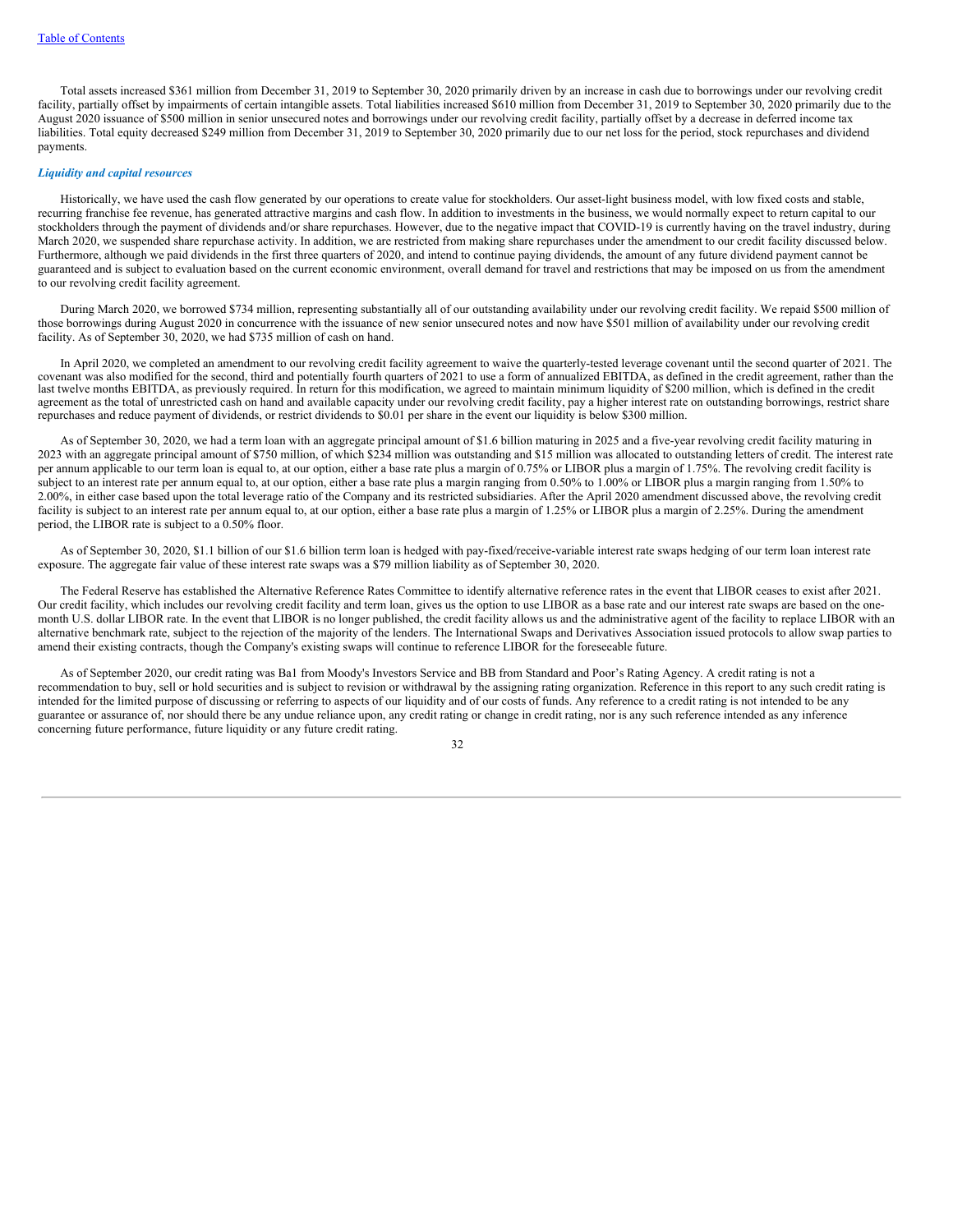Total assets increased \$361 million from December 31, 2019 to September 30, 2020 primarily driven by an increase in cash due to borrowings under our revolving credit facility, partially offset by impairments of certain intangible assets. Total liabilities increased \$610 million from December 31, 2019 to September 30, 2020 primarily due to the August 2020 issuance of \$500 million in senior unsecured notes and borrowings under our revolving credit facility, partially offset by a decrease in deferred income tax liabilities. Total equity decreased \$249 million from December 31, 2019 to September 30, 2020 primarily due to our net loss for the period, stock repurchases and dividend payments.

### *Liquidity and capital resources*

Historically, we have used the cash flow generated by our operations to create value for stockholders. Our asset-light business model, with low fixed costs and stable, recurring franchise fee revenue, has generated attractive margins and cash flow. In addition to investments in the business, we would normally expect to return capital to our stockholders through the payment of dividends and/or share repurchases. However, due to the negative impact that COVID-19 is currently having on the travel industry, during March 2020, we suspended share repurchase activity. In addition, we are restricted from making share repurchases under the amendment to our credit facility discussed below. Furthermore, although we paid dividends in the first three quarters of 2020, and intend to continue paying dividends, the amount of any future dividend payment cannot be guaranteed and is subject to evaluation based on the current economic environment, overall demand for travel and restrictions that may be imposed on us from the amendment to our revolving credit facility agreement.

During March 2020, we borrowed \$734 million, representing substantially all of our outstanding availability under our revolving credit facility. We repaid \$500 million of those borrowings during August 2020 in concurrence with the issuance of new senior unsecured notes and now have \$501 million of availability under our revolving credit facility. As of September 30, 2020, we had \$735 million of cash on hand.

In April 2020, we completed an amendment to our revolving credit facility agreement to waive the quarterly-tested leverage covenant until the second quarter of 2021. The covenant was also modified for the second, third and potentially fourth quarters of 2021 to use a form of annualized EBITDA, as defined in the credit agreement, rather than the last twelve months EBITDA, as previously required. In return for this modification, we agreed to maintain minimum liquidity of \$200 million, which is defined in the credit agreement as the total of unrestricted cash on hand and available capacity under our revolving credit facility, pay a higher interest rate on outstanding borrowings, restrict share repurchases and reduce payment of dividends, or restrict dividends to \$0.01 per share in the event our liquidity is below \$300 million.

As of September 30, 2020, we had a term loan with an aggregate principal amount of \$1.6 billion maturing in 2025 and a five-year revolving credit facility maturing in 2023 with an aggregate principal amount of \$750 million, of which \$234 million was outstanding and \$15 million was allocated to outstanding letters of credit. The interest rate per annum applicable to our term loan is equal to, at our option, either a base rate plus a margin of 0.75% or LIBOR plus a margin of 1.75%. The revolving credit facility is subject to an interest rate per annum equal to, at our option, either a base rate plus a margin ranging from 0.50% to 1.00% or LIBOR plus a margin ranging from 1.50% to 2.00%, in either case based upon the total leverage ratio of the Company and its restricted subsidiaries. After the April 2020 amendment discussed above, the revolving credit facility is subject to an interest rate per annum equal to, at our option, either a base rate plus a margin of 1.25% or LIBOR plus a margin of 2.25%. During the amendment period, the LIBOR rate is subject to a 0.50% floor.

As of September 30, 2020, \$1.1 billion of our \$1.6 billion term loan is hedged with pay-fixed/receive-variable interest rate swaps hedging of our term loan interest rate exposure. The aggregate fair value of these interest rate swaps was a \$79 million liability as of September 30, 2020.

The Federal Reserve has established the Alternative Reference Rates Committee to identify alternative reference rates in the event that LIBOR ceases to exist after 2021. Our credit facility, which includes our revolving credit facility and term loan, gives us the option to use LIBOR as a base rate and our interest rate swaps are based on the onemonth U.S. dollar LIBOR rate. In the event that LIBOR is no longer published, the credit facility allows us and the administrative agent of the facility to replace LIBOR with an alternative benchmark rate, subject to the rejection of the majority of the lenders. The International Swaps and Derivatives Association issued protocols to allow swap parties to amend their existing contracts, though the Company's existing swaps will continue to reference LIBOR for the foreseeable future.

As of September 2020, our credit rating was Ba1 from Moody's Investors Service and BB from Standard and Poor's Rating Agency. A credit rating is not a recommendation to buy, sell or hold securities and is subject to revision or withdrawal by the assigning rating organization. Reference in this report to any such credit rating is intended for the limited purpose of discussing or referring to aspects of our liquidity and of our costs of funds. Any reference to a credit rating is not intended to be any guarantee or assurance of, nor should there be any undue reliance upon, any credit rating or change in credit rating, nor is any such reference intended as any inference concerning future performance, future liquidity or any future credit rating.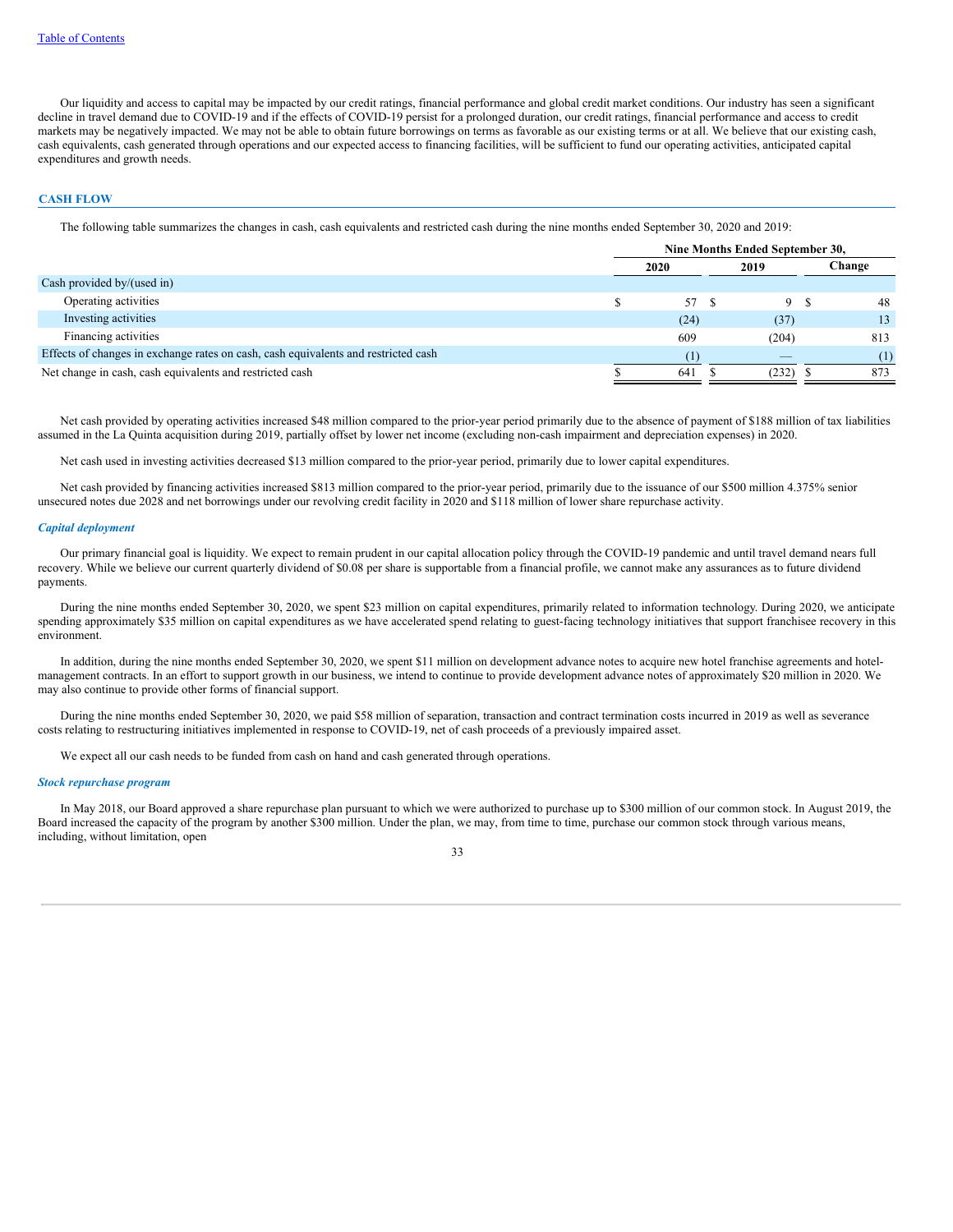Our liquidity and access to capital may be impacted by our credit ratings, financial performance and global credit market conditions. Our industry has seen a significant decline in travel demand due to COVID-19 and if the effects of COVID-19 persist for a prolonged duration, our credit ratings, financial performance and access to credit markets may be negatively impacted. We may not be able to obtain future borrowings on terms as favorable as our existing terms or at all. We believe that our existing cash, cash equivalents, cash generated through operations and our expected access to financing facilities, will be sufficient to fund our operating activities, anticipated capital expenditures and growth needs.

### **CASH FLOW**

The following table summarizes the changes in cash, cash equivalents and restricted cash during the nine months ended September 30, 2020 and 2019:

|                                                                                    | Nine Months Ended September 30, |       |  |                          |        |
|------------------------------------------------------------------------------------|---------------------------------|-------|--|--------------------------|--------|
|                                                                                    |                                 | 2020  |  | 2019                     | Change |
| Cash provided by/(used in)                                                         |                                 |       |  |                          |        |
| Operating activities                                                               |                                 | 57 \$ |  | 9                        | 48     |
| Investing activities                                                               |                                 | (24)  |  | (37)                     | 13     |
| Financing activities                                                               |                                 | 609   |  | (204)                    | 813    |
| Effects of changes in exchange rates on cash, cash equivalents and restricted cash |                                 | (1)   |  | $\overline{\phantom{a}}$ | (1)    |
| Net change in cash, cash equivalents and restricted cash                           |                                 | 641   |  | (232)                    | 873    |

Net cash provided by operating activities increased \$48 million compared to the prior-year period primarily due to the absence of payment of \$188 million of tax liabilities assumed in the La Quinta acquisition during 2019, partially offset by lower net income (excluding non-cash impairment and depreciation expenses) in 2020.

Net cash used in investing activities decreased \$13 million compared to the prior-year period, primarily due to lower capital expenditures.

Net cash provided by financing activities increased \$813 million compared to the prior-year period, primarily due to the issuance of our \$500 million 4.375% senior unsecured notes due 2028 and net borrowings under our revolving credit facility in 2020 and \$118 million of lower share repurchase activity.

#### *Capital deployment*

Our primary financial goal is liquidity. We expect to remain prudent in our capital allocation policy through the COVID-19 pandemic and until travel demand nears full recovery. While we believe our current quarterly dividend of \$0.08 per share is supportable from a financial profile, we cannot make any assurances as to future dividend payments.

During the nine months ended September 30, 2020, we spent \$23 million on capital expenditures, primarily related to information technology. During 2020, we anticipate spending approximately \$35 million on capital expenditures as we have accelerated spend relating to guest-facing technology initiatives that support franchisee recovery in this environment.

In addition, during the nine months ended September 30, 2020, we spent \$11 million on development advance notes to acquire new hotel franchise agreements and hotelmanagement contracts. In an effort to support growth in our business, we intend to continue to provide development advance notes of approximately \$20 million in 2020. We may also continue to provide other forms of financial support.

During the nine months ended September 30, 2020, we paid \$58 million of separation, transaction and contract termination costs incurred in 2019 as well as severance costs relating to restructuring initiatives implemented in response to COVID-19, net of cash proceeds of a previously impaired asset.

We expect all our cash needs to be funded from cash on hand and cash generated through operations.

#### *Stock repurchase program*

In May 2018, our Board approved a share repurchase plan pursuant to which we were authorized to purchase up to \$300 million of our common stock. In August 2019, the Board increased the capacity of the program by another \$300 million. Under the plan, we may, from time to time, purchase our common stock through various means, including, without limitation, open

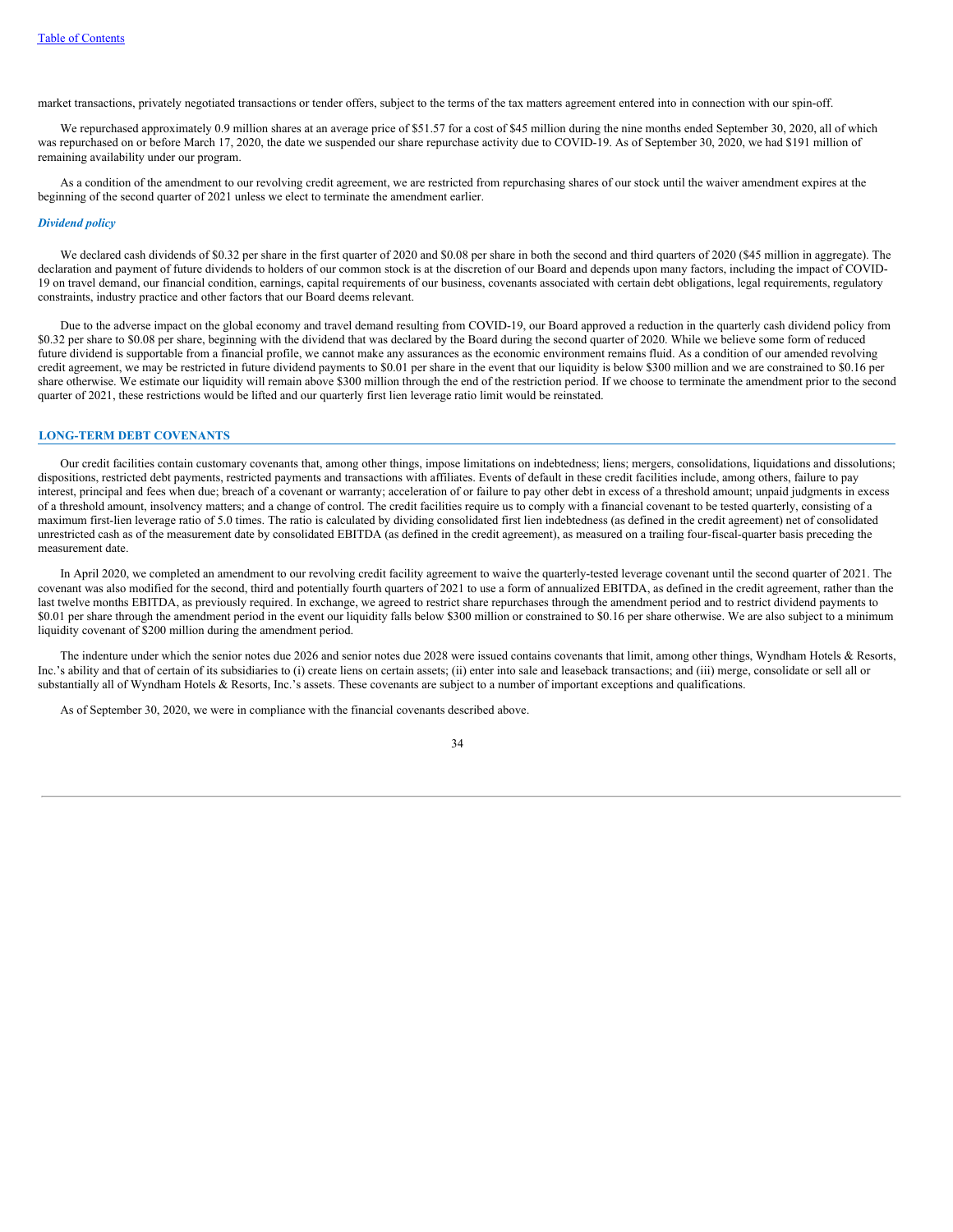market transactions, privately negotiated transactions or tender offers, subject to the terms of the tax matters agreement entered into in connection with our spin-off.

We repurchased approximately 0.9 million shares at an average price of \$51.57 for a cost of \$45 million during the nine months ended September 30, 2020, all of which was repurchased on or before March 17, 2020, the date we suspended our share repurchase activity due to COVID-19. As of September 30, 2020, we had \$191 million of remaining availability under our program.

As a condition of the amendment to our revolving credit agreement, we are restricted from repurchasing shares of our stock until the waiver amendment expires at the beginning of the second quarter of 2021 unless we elect to terminate the amendment earlier.

#### *Dividend policy*

We declared cash dividends of \$0.32 per share in the first quarter of 2020 and \$0.08 per share in both the second and third quarters of 2020 (\$45 million in aggregate). The declaration and payment of future dividends to holders of our common stock is at the discretion of our Board and depends upon many factors, including the impact of COVID-19 on travel demand, our financial condition, earnings, capital requirements of our business, covenants associated with certain debt obligations, legal requirements, regulatory constraints, industry practice and other factors that our Board deems relevant.

Due to the adverse impact on the global economy and travel demand resulting from COVID-19, our Board approved a reduction in the quarterly cash dividend policy from \$0.32 per share to \$0.08 per share, beginning with the dividend that was declared by the Board during the second quarter of 2020. While we believe some form of reduced future dividend is supportable from a financial profile, we cannot make any assurances as the economic environment remains fluid. As a condition of our amended revolving credit agreement, we may be restricted in future dividend payments to \$0.01 per share in the event that our liquidity is below \$300 million and we are constrained to \$0.16 per share otherwise. We estimate our liquidity will remain above \$300 million through the end of the restriction period. If we choose to terminate the amendment prior to the second quarter of 2021, these restrictions would be lifted and our quarterly first lien leverage ratio limit would be reinstated.

### **LONG-TERM DEBT COVENANTS**

Our credit facilities contain customary covenants that, among other things, impose limitations on indebtedness; liens; mergers, consolidations, liquidations and dissolutions; dispositions, restricted debt payments, restricted payments and transactions with affiliates. Events of default in these credit facilities include, among others, failure to pay interest, principal and fees when due; breach of a covenant or warranty; acceleration of or failure to pay other debt in excess of a threshold amount; unpaid judgments in excess of a threshold amount, insolvency matters; and a change of control. The credit facilities require us to comply with a financial covenant to be tested quarterly, consisting of a maximum first-lien leverage ratio of 5.0 times. The ratio is calculated by dividing consolidated first lien indebtedness (as defined in the credit agreement) net of consolidated unrestricted cash as of the measurement date by consolidated EBITDA (as defined in the credit agreement), as measured on a trailing four-fiscal-quarter basis preceding the measurement date.

In April 2020, we completed an amendment to our revolving credit facility agreement to waive the quarterly-tested leverage covenant until the second quarter of 2021. The covenant was also modified for the second, third and potentially fourth quarters of 2021 to use a form of annualized EBITDA, as defined in the credit agreement, rather than the last twelve months EBITDA, as previously required. In exchange, we agreed to restrict share repurchases through the amendment period and to restrict dividend payments to \$0.01 per share through the amendment period in the event our liquidity falls below \$300 million or constrained to \$0.16 per share otherwise. We are also subject to a minimum liquidity covenant of \$200 million during the amendment period.

The indenture under which the senior notes due 2026 and senior notes due 2028 were issued contains covenants that limit, among other things, Wyndham Hotels & Resorts, Inc.'s ability and that of certain of its subsidiaries to (i) create liens on certain assets; (ii) enter into sale and leaseback transactions; and (iii) merge, consolidate or sell all or substantially all of Wyndham Hotels & Resorts, Inc.'s assets. These covenants are subject to a number of important exceptions and qualifications.

As of September 30, 2020, we were in compliance with the financial covenants described above.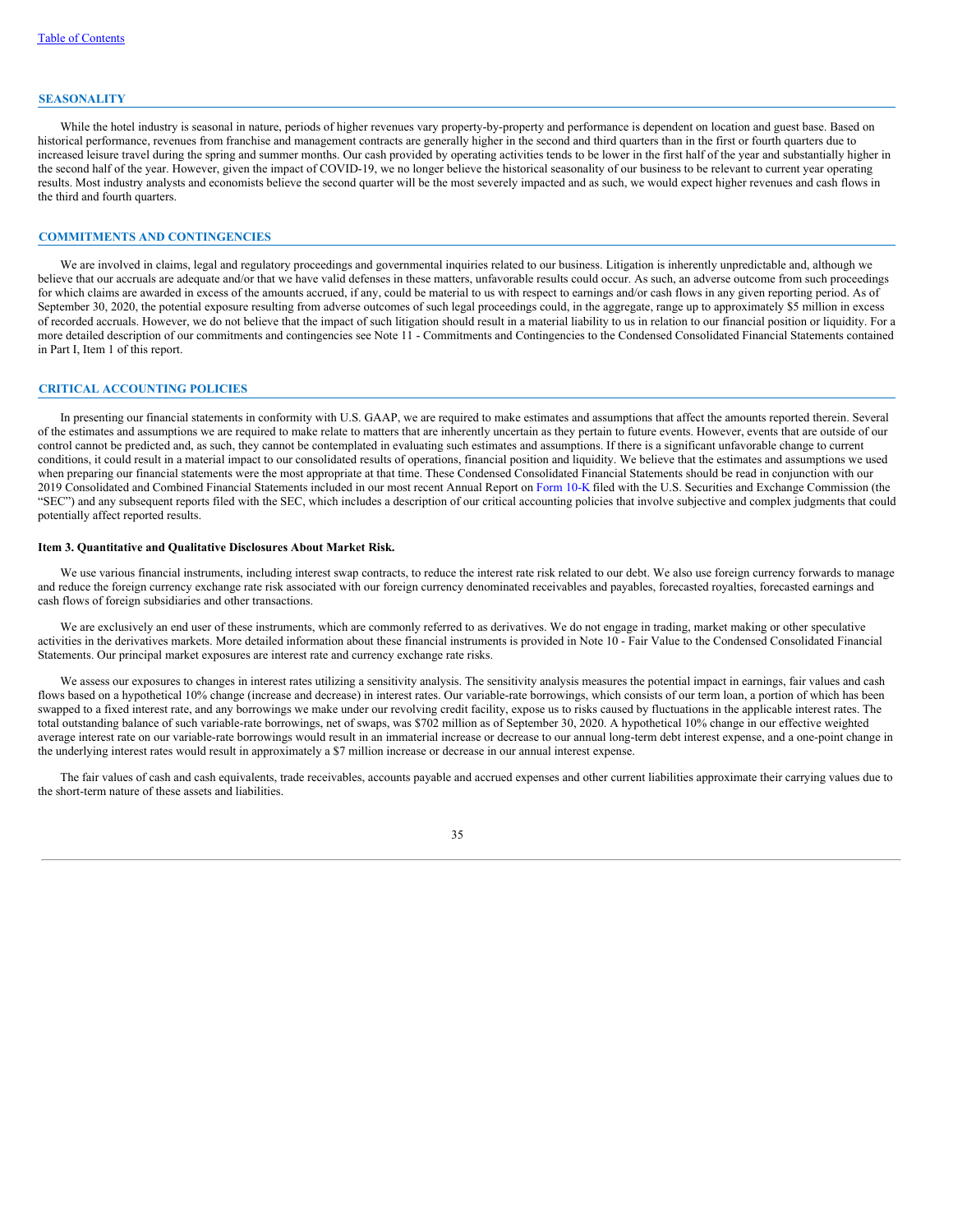#### **SEASONALITY**

While the hotel industry is seasonal in nature, periods of higher revenues vary property-by-property and performance is dependent on location and guest base. Based on historical performance, revenues from franchise and management contracts are generally higher in the second and third quarters than in the first or fourth quarters due to increased leisure travel during the spring and summer months. Our cash provided by operating activities tends to be lower in the first half of the year and substantially higher in the second half of the year. However, given the impact of COVID-19, we no longer believe the historical seasonality of our business to be relevant to current year operating results. Most industry analysts and economists believe the second quarter will be the most severely impacted and as such, we would expect higher revenues and cash flows in the third and fourth quarters.

## **COMMITMENTS AND CONTINGENCIES**

We are involved in claims, legal and regulatory proceedings and governmental inquiries related to our business. Litigation is inherently unpredictable and, although we believe that our accruals are adequate and/or that we have valid defenses in these matters, unfavorable results could occur. As such, an adverse outcome from such proceedings for which claims are awarded in excess of the amounts accrued, if any, could be material to us with respect to earnings and/or cash flows in any given reporting period. As of September 30, 2020, the potential exposure resulting from adverse outcomes of such legal proceedings could, in the aggregate, range up to approximately \$5 million in excess of recorded accruals. However, we do not believe that the impact of such litigation should result in a material liability to us in relation to our financial position or liquidity. For a more detailed description of our commitments and contingencies see Note 11 - Commitments and Contingencies to the Condensed Consolidated Financial Statements contained in Part I, Item 1 of this report.

#### **CRITICAL ACCOUNTING POLICIES**

In presenting our financial statements in conformity with U.S. GAAP, we are required to make estimates and assumptions that affect the amounts reported therein. Several of the estimates and assumptions we are required to make relate to matters that are inherently uncertain as they pertain to future events. However, events that are outside of our control cannot be predicted and, as such, they cannot be contemplated in evaluating such estimates and assumptions. If there is a significant unfavorable change to current conditions, it could result in a material impact to our consolidated results of operations, financial position and liquidity. We believe that the estimates and assumptions we used when preparing our financial statements were the most appropriate at that time. These Condensed Consolidated Financial Statements should be read in conjunction with our 2019 Consolidated and Combined Financial Statements included in our most recent Annual Report on [Form](http://www.sec.gov/Archives/edgar/data/1722684/000172268420000007/wh-20191231x10k.htm) 10-K filed with the U.S. Securities and Exchange Commission (the "SEC") and any subsequent reports filed with the SEC, which includes a description of our critical accounting policies that involve subjective and complex judgments that could potentially affect reported results.

### <span id="page-36-0"></span>**Item 3. Quantitative and Qualitative Disclosures About Market Risk.**

We use various financial instruments, including interest swap contracts, to reduce the interest rate risk related to our debt. We also use foreign currency forwards to manage and reduce the foreign currency exchange rate risk associated with our foreign currency denominated receivables and payables, forecasted royalties, forecasted earnings and cash flows of foreign subsidiaries and other transactions.

We are exclusively an end user of these instruments, which are commonly referred to as derivatives. We do not engage in trading, market making or other speculative activities in the derivatives markets. More detailed information about these financial instruments is provided in Note 10 - Fair Value to the Condensed Consolidated Financial Statements. Our principal market exposures are interest rate and currency exchange rate risks.

We assess our exposures to changes in interest rates utilizing a sensitivity analysis. The sensitivity analysis measures the potential impact in earnings, fair values and cash flows based on a hypothetical 10% change (increase and decrease) in interest rates. Our variable-rate borrowings, which consists of our term loan, a portion of which has been swapped to a fixed interest rate, and any borrowings we make under our revolving credit facility, expose us to risks caused by fluctuations in the applicable interest rates. The total outstanding balance of such variable-rate borrowings, net of swaps, was \$702 million as of September 30, 2020. A hypothetical 10% change in our effective weighted average interest rate on our variable-rate borrowings would result in an immaterial increase or decrease to our annual long-term debt interest expense, and a one-point change in the underlying interest rates would result in approximately a \$7 million increase or decrease in our annual interest expense.

The fair values of cash and cash equivalents, trade receivables, accounts payable and accrued expenses and other current liabilities approximate their carrying values due to the short-term nature of these assets and liabilities.

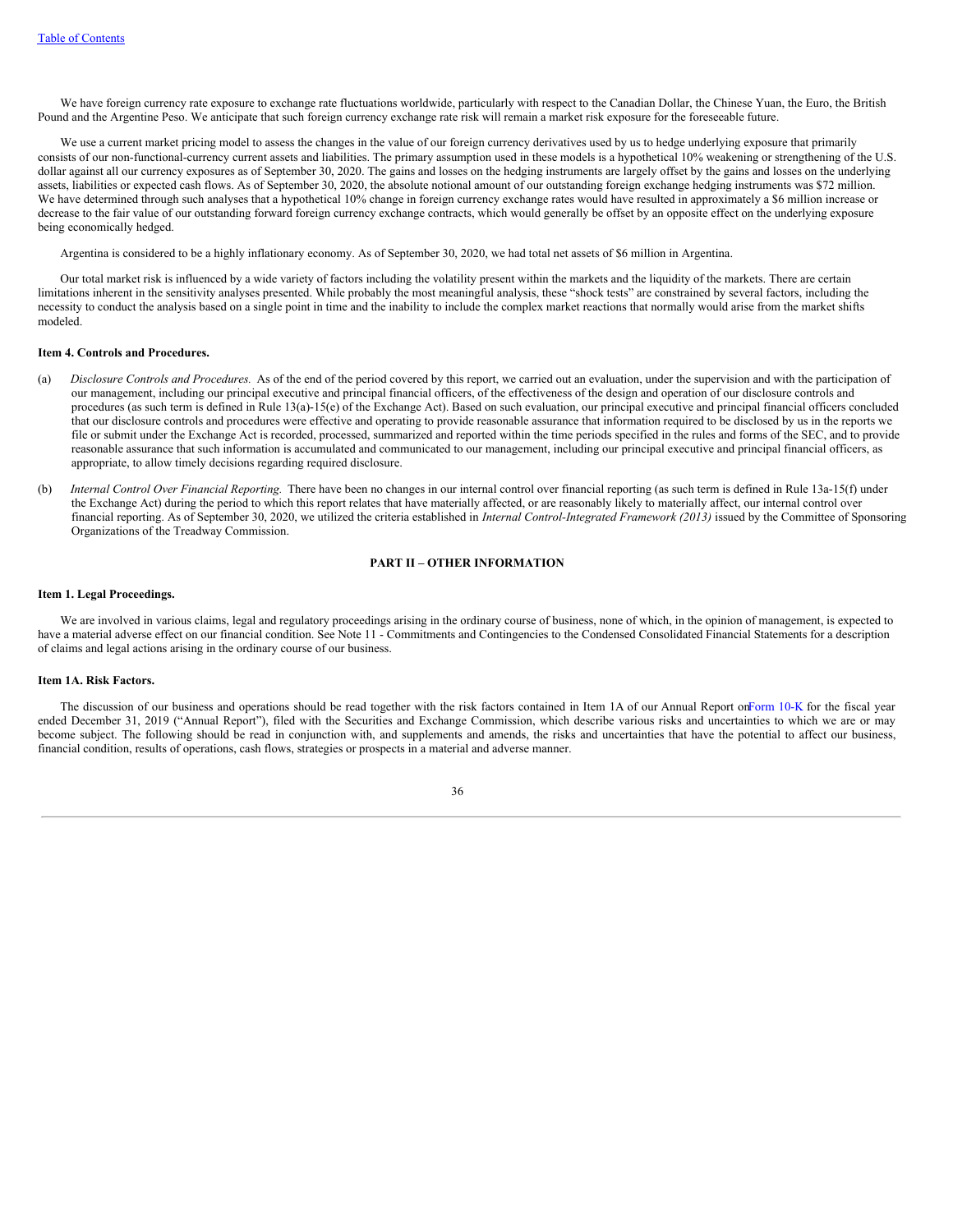We have foreign currency rate exposure to exchange rate fluctuations worldwide, particularly with respect to the Canadian Dollar, the Chinese Yuan, the Euro, the British Pound and the Argentine Peso. We anticipate that such foreign currency exchange rate risk will remain a market risk exposure for the foreseeable future.

We use a current market pricing model to assess the changes in the value of our foreign currency derivatives used by us to hedge underlying exposure that primarily consists of our non-functional-currency current assets and liabilities. The primary assumption used in these models is a hypothetical 10% weakening or strengthening of the U.S. dollar against all our currency exposures as of September 30, 2020. The gains and losses on the hedging instruments are largely offset by the gains and losses on the underlying assets, liabilities or expected cash flows. As of September 30, 2020, the absolute notional amount of our outstanding foreign exchange hedging instruments was \$72 million. We have determined through such analyses that a hypothetical 10% change in foreign currency exchange rates would have resulted in approximately a \$6 million increase or decrease to the fair value of our outstanding forward foreign currency exchange contracts, which would generally be offset by an opposite effect on the underlying exposure being economically hedged.

Argentina is considered to be a highly inflationary economy. As of September 30, 2020, we had total net assets of \$6 million in Argentina.

Our total market risk is influenced by a wide variety of factors including the volatility present within the markets and the liquidity of the markets. There are certain limitations inherent in the sensitivity analyses presented. While probably the most meaningful analysis, these "shock tests" are constrained by several factors, including the necessity to conduct the analysis based on a single point in time and the inability to include the complex market reactions that normally would arise from the market shifts modeled.

## <span id="page-37-0"></span>**Item 4. Controls and Procedures.**

- (a) *Disclosure Controls and Procedures*. As of the end of the period covered by this report, we carried out an evaluation, under the supervision and with the participation of our management, including our principal executive and principal financial officers, of the effectiveness of the design and operation of our disclosure controls and procedures (as such term is defined in Rule 13(a)-15(e) of the Exchange Act). Based on such evaluation, our principal executive and principal financial officers concluded that our disclosure controls and procedures were effective and operating to provide reasonable assurance that information required to be disclosed by us in the reports we file or submit under the Exchange Act is recorded, processed, summarized and reported within the time periods specified in the rules and forms of the SEC, and to provide reasonable assurance that such information is accumulated and communicated to our management, including our principal executive and principal financial officers, as appropriate, to allow timely decisions regarding required disclosure.
- (b) *Internal Control Over Financial Reporting.* There have been no changes in our internal control over financial reporting (as such term is defined in Rule 13a-15(f) under the Exchange Act) during the period to which this report relates that have materially affected, or are reasonably likely to materially affect, our internal control over financial reporting. As of September 30, 2020, we utilized the criteria established in *Internal Control-Integrated Framework (2013)* issued by the Committee of Sponsoring Organizations of the Treadway Commission.

## **PART II – OTHER INFORMATION**

#### <span id="page-37-1"></span>**Item 1. Legal Proceedings.**

We are involved in various claims, legal and regulatory proceedings arising in the ordinary course of business, none of which, in the opinion of management, is expected to have a material adverse effect on our financial condition. See Note 11 - Commitments and Contingencies to the Condensed Consolidated Financial Statements for a description of claims and legal actions arising in the ordinary course of our business.

#### <span id="page-37-2"></span>**Item 1A. Risk Factors.**

The discussion of our business and operations should be read together with the risk factors contained in Item 1A of our Annual Report o[nForm](http://www.sec.gov/Archives/edgar/data/1722684/000172268420000007/wh-20191231x10k.htm) 10-K for the fiscal year ended December 31, 2019 ("Annual Report"), filed with the Securities and Exchange Commission, which describe various risks and uncertainties to which we are or may become subject. The following should be read in conjunction with, and supplements and amends, the risks and uncertainties that have the potential to affect our business, financial condition, results of operations, cash flows, strategies or prospects in a material and adverse manner.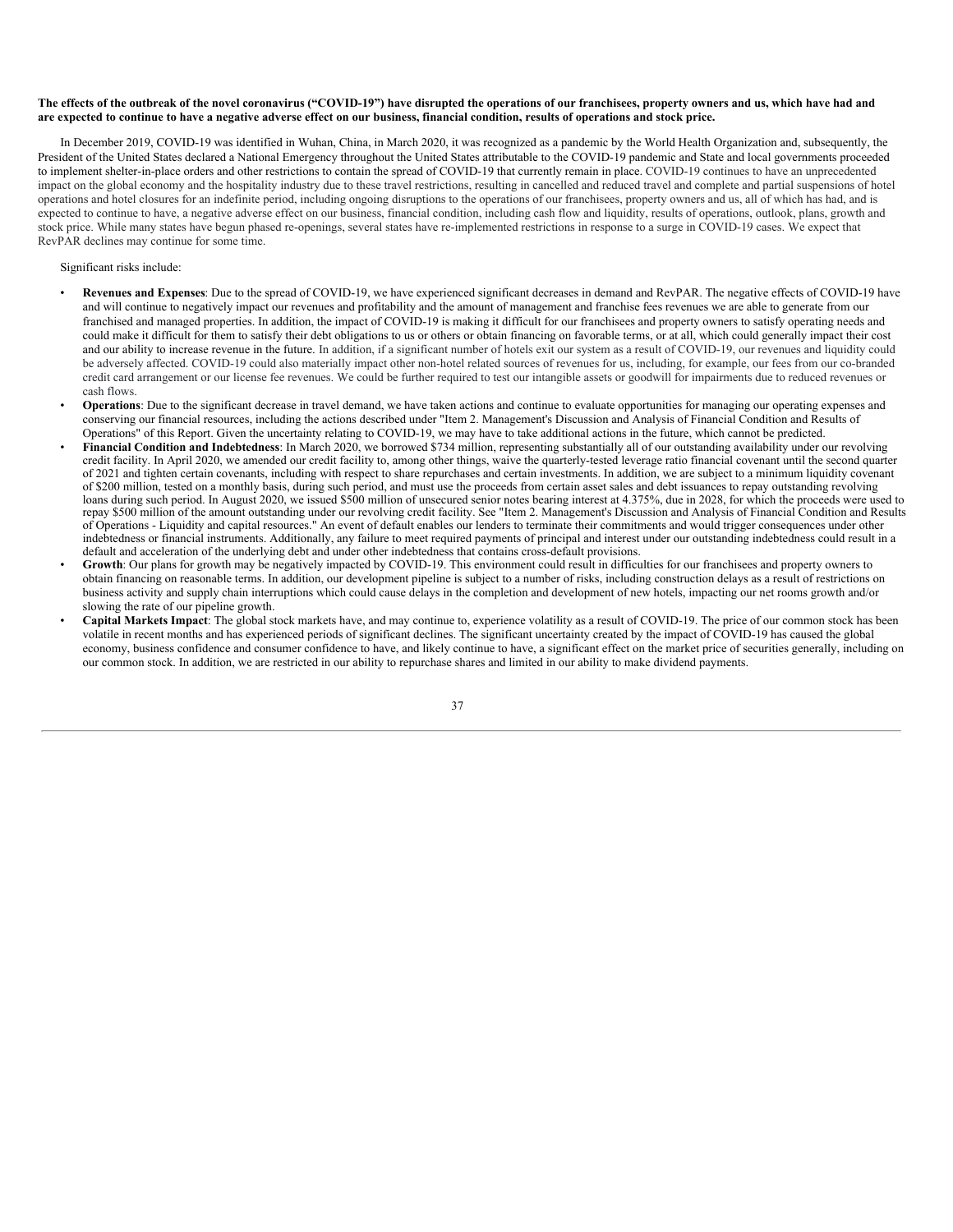## The effects of the outbreak of the novel coronavirus ("COVID-19") have disrupted the operations of our franchisees, property owners and us, which have had and are expected to continue to have a negative adverse effect on our business, financial condition, results of operations and stock price.

In December 2019, COVID-19 was identified in Wuhan, China, in March 2020, it was recognized as a pandemic by the World Health Organization and, subsequently, the President of the United States declared a National Emergency throughout the United States attributable to the COVID-19 pandemic and State and local governments proceeded to implement shelter-in-place orders and other restrictions to contain the spread of COVID-19 that currently remain in place. COVID-19 continues to have an unprecedented impact on the global economy and the hospitality industry due to these travel restrictions, resulting in cancelled and reduced travel and complete and partial suspensions of hotel operations and hotel closures for an indefinite period, including ongoing disruptions to the operations of our franchisees, property owners and us, all of which has had, and is expected to continue to have, a negative adverse effect on our business, financial condition, including cash flow and liquidity, results of operations, outlook, plans, growth and stock price. While many states have begun phased re-openings, several states have re-implemented restrictions in response to a surge in COVID-19 cases. We expect that RevPAR declines may continue for some time.

## Significant risks include:

- **Revenues and Expenses**: Due to the spread of COVID-19, we have experienced significant decreases in demand and RevPAR. The negative effects of COVID-19 have and will continue to negatively impact our revenues and profitability and the amount of management and franchise fees revenues we are able to generate from our franchised and managed properties. In addition, the impact of COVID-19 is making it difficult for our franchisees and property owners to satisfy operating needs and could make it difficult for them to satisfy their debt obligations to us or others or obtain financing on favorable terms, or at all, which could generally impact their cost and our ability to increase revenue in the future. In addition, if a significant number of hotels exit our system as a result of COVID-19, our revenues and liquidity could be adversely affected. COVID-19 could also materially impact other non-hotel related sources of revenues for us, including, for example, our fees from our co-branded credit card arrangement or our license fee revenues. We could be further required to test our intangible assets or goodwill for impairments due to reduced revenues or cash flows.
- **Operations**: Due to the significant decrease in travel demand, we have taken actions and continue to evaluate opportunities for managing our operating expenses and conserving our financial resources, including the actions described under "Item 2. Management's Discussion and Analysis of Financial Condition and Results of Operations" of this Report. Given the uncertainty relating to COVID-19, we may have to take additional actions in the future, which cannot be predicted.
- **Financial Condition and Indebtedness**: In March 2020, we borrowed \$734 million, representing substantially all of our outstanding availability under our revolving credit facility. In April 2020, we amended our credit facility to, among other things, waive the quarterly-tested leverage ratio financial covenant until the second quarter of 2021 and tighten certain covenants, including with respect to share repurchases and certain investments. In addition, we are subject to a minimum liquidity covenant of \$200 million, tested on a monthly basis, during such period, and must use the proceeds from certain asset sales and debt issuances to repay outstanding revolving loans during such period. In August 2020, we issued \$500 million of unsecured senior notes bearing interest at 4.375%, due in 2028, for which the proceeds were used to repay \$500 million of the amount outstanding under our revolving credit facility. See "Item 2. Management's Discussion and Analysis of Financial Condition and Results of Operations - Liquidity and capital resources." An event of default enables our lenders to terminate their commitments and would trigger consequences under other indebtedness or financial instruments. Additionally, any failure to meet required payments of principal and interest under our outstanding indebtedness could result in a default and acceleration of the underlying debt and under other indebtedness that contains cross-default provisions.
- **Growth**: Our plans for growth may be negatively impacted by COVID-19. This environment could result in difficulties for our franchisees and property owners to obtain financing on reasonable terms. In addition, our development pipeline is subject to a number of risks, including construction delays as a result of restrictions on business activity and supply chain interruptions which could cause delays in the completion and development of new hotels, impacting our net rooms growth and/or slowing the rate of our pipeline growth.
- **Capital Markets Impact**: The global stock markets have, and may continue to, experience volatility as a result of COVID-19. The price of our common stock has been volatile in recent months and has experienced periods of significant declines. The significant uncertainty created by the impact of COVID-19 has caused the global economy, business confidence and consumer confidence to have, and likely continue to have, a significant effect on the market price of securities generally, including on our common stock. In addition, we are restricted in our ability to repurchase shares and limited in our ability to make dividend payments.

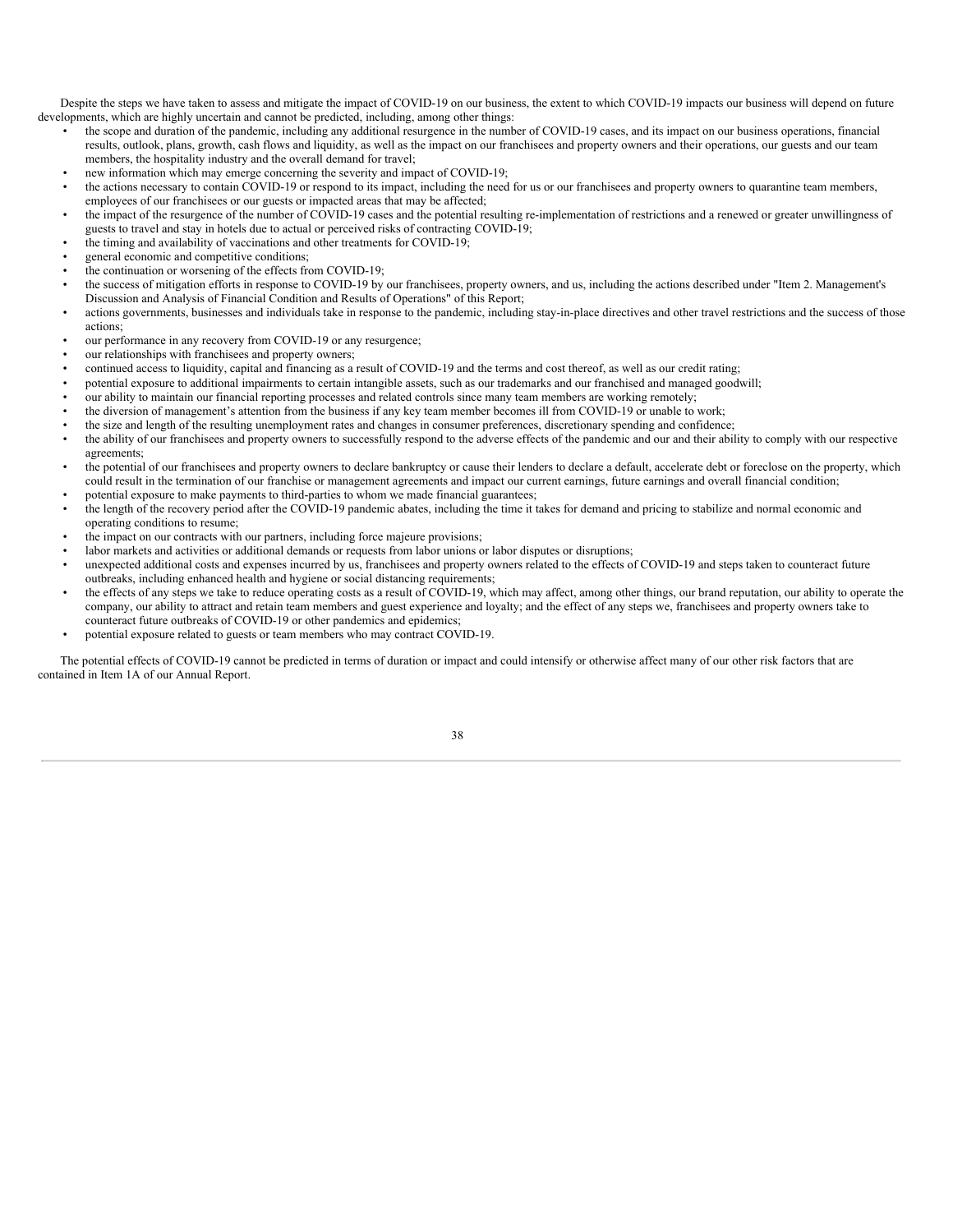Despite the steps we have taken to assess and mitigate the impact of COVID-19 on our business, the extent to which COVID-19 impacts our business will depend on future developments, which are highly uncertain and cannot be predicted, including, among other things:

- the scope and duration of the pandemic, including any additional resurgence in the number of COVID-19 cases, and its impact on our business operations, financial results, outlook, plans, growth, cash flows and liquidity, as well as the impact on our franchisees and property owners and their operations, our guests and our team members, the hospitality industry and the overall demand for travel;
- new information which may emerge concerning the severity and impact of COVID-19;
- the actions necessary to contain COVID-19 or respond to its impact, including the need for us or our franchisees and property owners to quarantine team members, employees of our franchisees or our guests or impacted areas that may be affected;
- the impact of the resurgence of the number of COVID-19 cases and the potential resulting re-implementation of restrictions and a renewed or greater unwillingness of guests to travel and stay in hotels due to actual or perceived risks of contracting COVID-19;
- the timing and availability of vaccinations and other treatments for COVID-19;
- general economic and competitive conditions;
- the continuation or worsening of the effects from COVID-19;
- the success of mitigation efforts in response to COVID-19 by our franchisees, property owners, and us, including the actions described under "Item 2. Management's Discussion and Analysis of Financial Condition and Results of Operations" of this Report;
- actions governments, businesses and individuals take in response to the pandemic, including stay-in-place directives and other travel restrictions and the success of those actions;
- our performance in any recovery from COVID-19 or any resurgence;
- our relationships with franchisees and property owners;
- continued access to liquidity, capital and financing as a result of COVID-19 and the terms and cost thereof, as well as our credit rating;
- potential exposure to additional impairments to certain intangible assets, such as our trademarks and our franchised and managed goodwill;
- our ability to maintain our financial reporting processes and related controls since many team members are working remotely;
- the diversion of management's attention from the business if any key team member becomes ill from COVID-19 or unable to work;
- the size and length of the resulting unemployment rates and changes in consumer preferences, discretionary spending and confidence;
- the ability of our franchisees and property owners to successfully respond to the adverse effects of the pandemic and our and their ability to comply with our respective agreements;
- the potential of our franchisees and property owners to declare bankruptcy or cause their lenders to declare a default, accelerate debt or foreclose on the property, which could result in the termination of our franchise or management agreements and impact our current earnings, future earnings and overall financial condition;
- potential exposure to make payments to third-parties to whom we made financial guarantees;
- the length of the recovery period after the COVID-19 pandemic abates, including the time it takes for demand and pricing to stabilize and normal economic and operating conditions to resume;
- the impact on our contracts with our partners, including force majeure provisions;
- labor markets and activities or additional demands or requests from labor unions or labor disputes or disruptions;
- unexpected additional costs and expenses incurred by us, franchisees and property owners related to the effects of COVID-19 and steps taken to counteract future outbreaks, including enhanced health and hygiene or social distancing requirements;
- the effects of any steps we take to reduce operating costs as a result of COVID-19, which may affect, among other things, our brand reputation, our ability to operate the company, our ability to attract and retain team members and guest experience and loyalty; and the effect of any steps we, franchisees and property owners take to counteract future outbreaks of COVID-19 or other pandemics and epidemics;
- potential exposure related to guests or team members who may contract COVID-19.

<span id="page-39-0"></span>The potential effects of COVID-19 cannot be predicted in terms of duration or impact and could intensify or otherwise affect many of our other risk factors that are contained in Item 1A of our Annual Report.

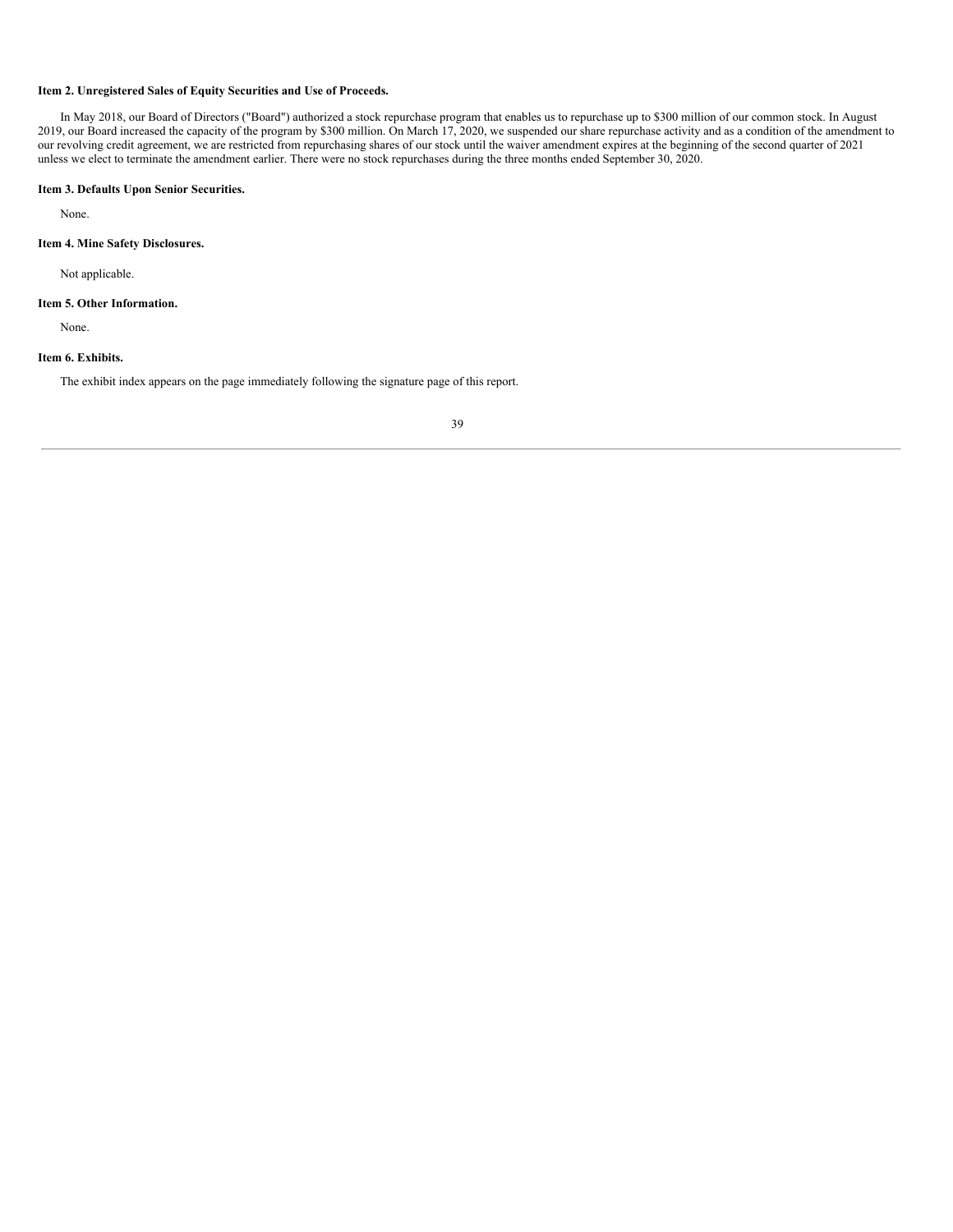## **Item 2. Unregistered Sales of Equity Securities and Use of Proceeds.**

In May 2018, our Board of Directors ("Board") authorized a stock repurchase program that enables us to repurchase up to \$300 million of our common stock. In August 2019, our Board increased the capacity of the program by \$300 million. On March 17, 2020, we suspended our share repurchase activity and as a condition of the amendment to our revolving credit agreement, we are restricted from repurchasing shares of our stock until the waiver amendment expires at the beginning of the second quarter of 2021 unless we elect to terminate the amendment earlier. There were no stock repurchases during the three months ended September 30, 2020.

## <span id="page-40-0"></span>**Item 3. Defaults Upon Senior Securities.**

None.

## <span id="page-40-1"></span>**Item 4. Mine Safety Disclosures.**

Not applicable.

### <span id="page-40-2"></span>**Item 5. Other Information.**

None.

## <span id="page-40-3"></span>**Item 6. Exhibits.**

<span id="page-40-4"></span>The exhibit index appears on the page immediately following the signature page of this report.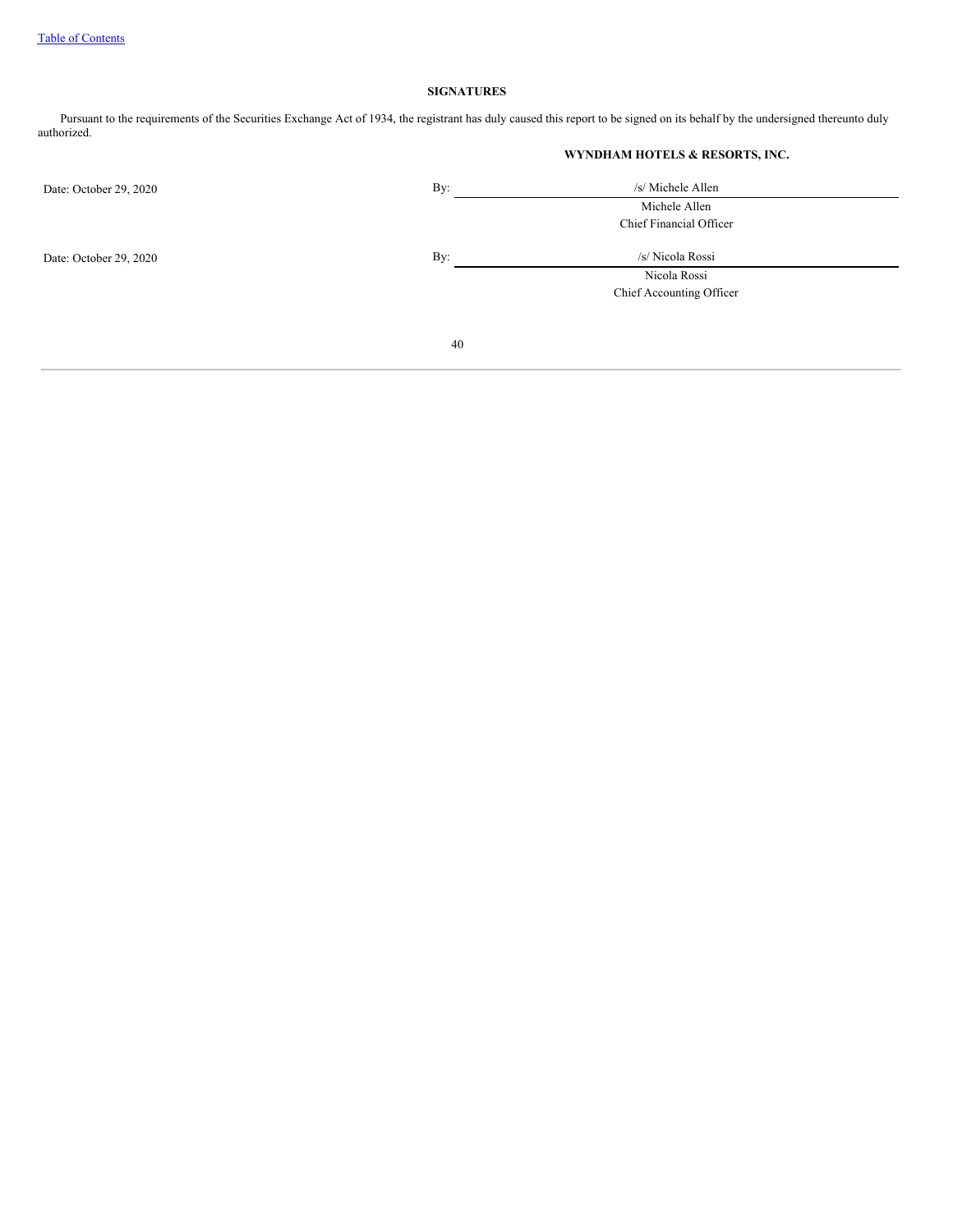## **SIGNATURES**

Pursuant to the requirements of the Securities Exchange Act of 1934, the registrant has duly caused this report to be signed on its behalf by the undersigned thereunto duly authorized.

| WYNDHAM HOTELS & RESORTS, INC. |  |
|--------------------------------|--|
|                                |  |

| Date: October 29, 2020 | By: | /s/ Michele Allen        |  |
|------------------------|-----|--------------------------|--|
|                        |     | Michele Allen            |  |
|                        |     | Chief Financial Officer  |  |
| Date: October 29, 2020 | By: | /s/ Nicola Rossi         |  |
|                        |     | Nicola Rossi             |  |
|                        |     | Chief Accounting Officer |  |
|                        |     |                          |  |
|                        | 40  |                          |  |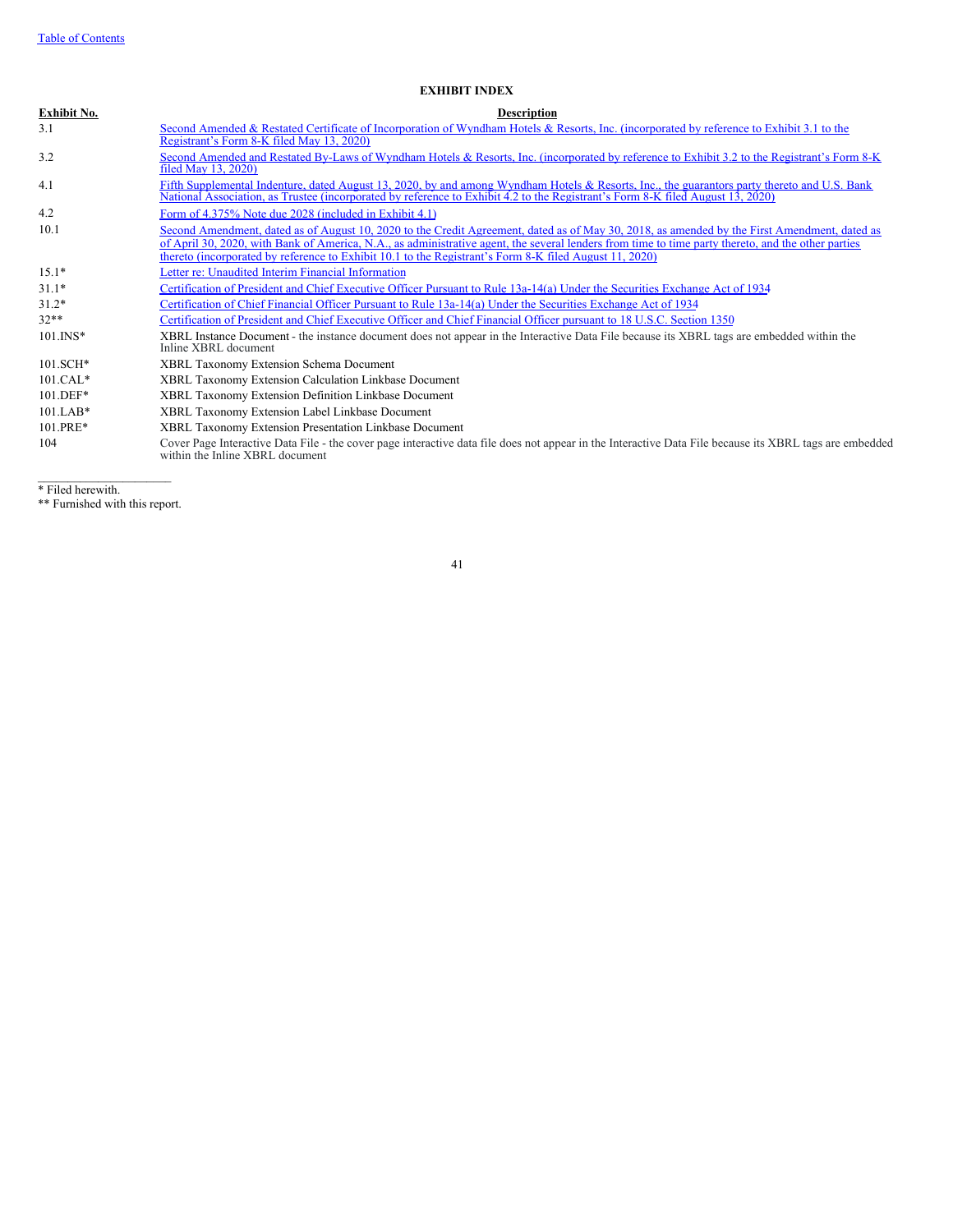## **EXHIBIT INDEX**

| <b>Exhibit No.</b> | <b>Description</b>                                                                                                                                                                                                                                                                                                                                                                                           |
|--------------------|--------------------------------------------------------------------------------------------------------------------------------------------------------------------------------------------------------------------------------------------------------------------------------------------------------------------------------------------------------------------------------------------------------------|
| 3.1                | Second Amended & Restated Certificate of Incorporation of Wyndham Hotels & Resorts, Inc. (incorporated by reference to Exhibit 3.1 to the<br>Registrant's Form 8-K filed May 13, 2020)                                                                                                                                                                                                                       |
| 3.2                | Second Amended and Restated By-Laws of Wyndham Hotels & Resorts, Inc. (incorporated by reference to Exhibit 3.2 to the Registrant's Form 8-K<br>filed May 13, 2020)                                                                                                                                                                                                                                          |
| 4.1                | Fifth Supplemental Indenture, dated August 13, 2020, by and among Wyndham Hotels & Resorts, Inc., the guarantors party thereto and U.S. Bank<br>National Association, as Trustee (incorporated by reference to Exhibit 4.2 to the Registrant's Form 8-K filed August 13, 2020)                                                                                                                               |
| 4.2                | Form of 4.375% Note due 2028 (included in Exhibit 4.1)                                                                                                                                                                                                                                                                                                                                                       |
| 10.1               | Second Amendment, dated as of August 10, 2020 to the Credit Agreement, dated as of May 30, 2018, as amended by the First Amendment, dated as<br>of April 30, 2020, with Bank of America, N.A., as administrative agent, the several lenders from time to time party thereto, and the other parties<br>thereto (incorporated by reference to Exhibit 10.1 to the Registrant's Form 8-K filed August 11, 2020) |
| $15.1*$            | Letter re: Unaudited Interim Financial Information                                                                                                                                                                                                                                                                                                                                                           |
| $31.1*$            | Certification of President and Chief Executive Officer Pursuant to Rule 13a-14(a) Under the Securities Exchange Act of 1934                                                                                                                                                                                                                                                                                  |
| $31.2*$            | Certification of Chief Financial Officer Pursuant to Rule 13a-14(a) Under the Securities Exchange Act of 1934                                                                                                                                                                                                                                                                                                |
| $32**$             | Certification of President and Chief Executive Officer and Chief Financial Officer pursuant to 18 U.S.C. Section 1350                                                                                                                                                                                                                                                                                        |
| $101$ . INS*       | XBRL Instance Document - the instance document does not appear in the Interactive Data File because its XBRL tags are embedded within the<br>Inline XBRL document                                                                                                                                                                                                                                            |
| 101.SCH*           | XBRL Taxonomy Extension Schema Document                                                                                                                                                                                                                                                                                                                                                                      |
| $101.CAL*$         | XBRL Taxonomy Extension Calculation Linkbase Document                                                                                                                                                                                                                                                                                                                                                        |
| 101.DEF*           | XBRL Taxonomy Extension Definition Linkbase Document                                                                                                                                                                                                                                                                                                                                                         |
| $101.LAB*$         | XBRL Taxonomy Extension Label Linkbase Document                                                                                                                                                                                                                                                                                                                                                              |
| 101.PRE*           | XBRL Taxonomy Extension Presentation Linkbase Document                                                                                                                                                                                                                                                                                                                                                       |
| 104                | Cover Page Interactive Data File - the cover page interactive data file does not appear in the Interactive Data File because its XBRL tags are embedded<br>within the Inline XBRL document                                                                                                                                                                                                                   |

\* Filed herewith.

 $\mathcal{L}=\mathcal{L}=\mathcal{L}=\mathcal{L}=\mathcal{L}=\mathcal{L}=\mathcal{L}=\mathcal{L}=\mathcal{L}=\mathcal{L}=\mathcal{L}=\mathcal{L}=\mathcal{L}=\mathcal{L}=\mathcal{L}=\mathcal{L}=\mathcal{L}=\mathcal{L}=\mathcal{L}=\mathcal{L}=\mathcal{L}=\mathcal{L}=\mathcal{L}=\mathcal{L}=\mathcal{L}=\mathcal{L}=\mathcal{L}=\mathcal{L}=\mathcal{L}=\mathcal{L}=\mathcal{L}=\mathcal{L}=\mathcal{L}=\mathcal{L}=\mathcal{L}=\mathcal{L}=\mathcal{$ \*\* Furnished with this report.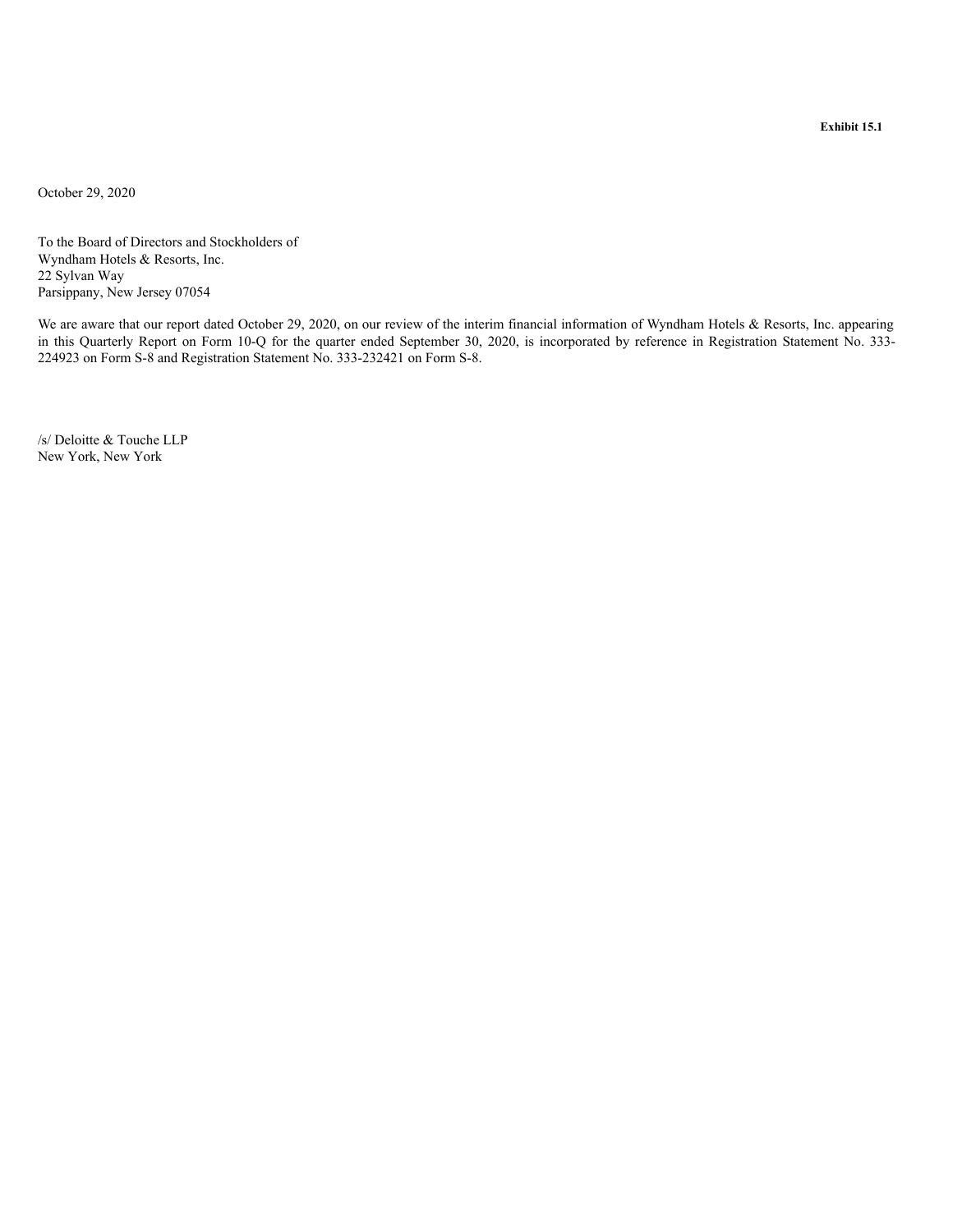<span id="page-43-0"></span>October 29, 2020

To the Board of Directors and Stockholders of Wyndham Hotels & Resorts, Inc. 22 Sylvan Way Parsippany, New Jersey 07054

We are aware that our report dated October 29, 2020, on our review of the interim financial information of Wyndham Hotels & Resorts, Inc. appearing in this Quarterly Report on Form 10-Q for the quarter ended September 30, 2020, is incorporated by reference in Registration Statement No. 333- 224923 on Form S-8 and Registration Statement No. 333-232421 on Form S-8.

/s/ Deloitte & Touche LLP New York, New York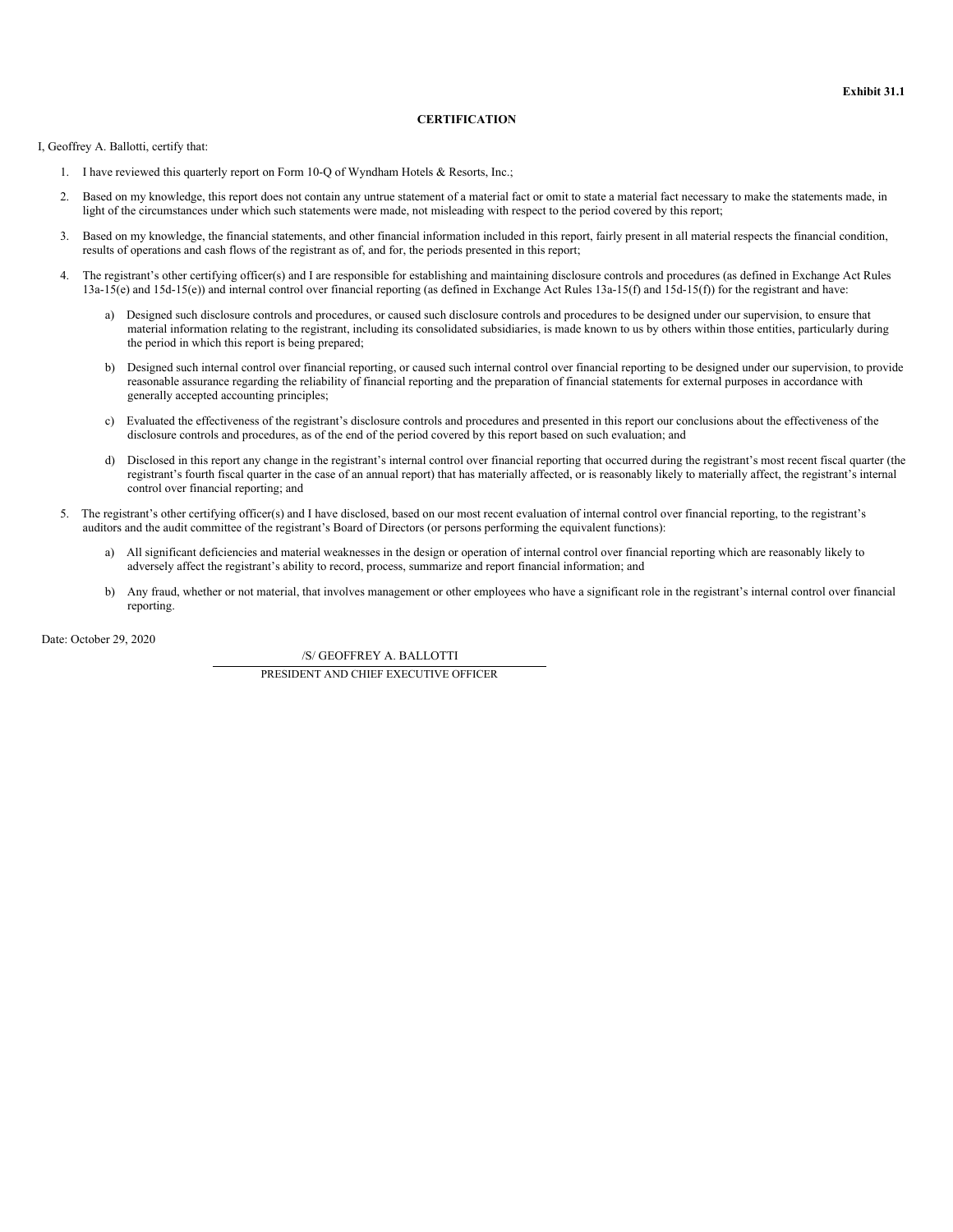## **CERTIFICATION**

<span id="page-44-0"></span>I, Geoffrey A. Ballotti, certify that:

- 1. I have reviewed this quarterly report on Form 10-Q of Wyndham Hotels & Resorts, Inc.;
- 2. Based on my knowledge, this report does not contain any untrue statement of a material fact or omit to state a material fact necessary to make the statements made, in light of the circumstances under which such statements were made, not misleading with respect to the period covered by this report;
- 3. Based on my knowledge, the financial statements, and other financial information included in this report, fairly present in all material respects the financial condition, results of operations and cash flows of the registrant as of, and for, the periods presented in this report;
- 4. The registrant's other certifying officer(s) and I are responsible for establishing and maintaining disclosure controls and procedures (as defined in Exchange Act Rules 13a-15(e) and 15d-15(e)) and internal control over financial reporting (as defined in Exchange Act Rules 13a-15(f) and 15d-15(f)) for the registrant and have:
	- a) Designed such disclosure controls and procedures, or caused such disclosure controls and procedures to be designed under our supervision, to ensure that material information relating to the registrant, including its consolidated subsidiaries, is made known to us by others within those entities, particularly during the period in which this report is being prepared;
	- b) Designed such internal control over financial reporting, or caused such internal control over financial reporting to be designed under our supervision, to provide reasonable assurance regarding the reliability of financial reporting and the preparation of financial statements for external purposes in accordance with generally accepted accounting principles;
	- c) Evaluated the effectiveness of the registrant's disclosure controls and procedures and presented in this report our conclusions about the effectiveness of the disclosure controls and procedures, as of the end of the period covered by this report based on such evaluation; and
	- d) Disclosed in this report any change in the registrant's internal control over financial reporting that occurred during the registrant's most recent fiscal quarter (the registrant's fourth fiscal quarter in the case of an annual report) that has materially affected, or is reasonably likely to materially affect, the registrant's internal control over financial reporting; and
- 5. The registrant's other certifying officer(s) and I have disclosed, based on our most recent evaluation of internal control over financial reporting, to the registrant's auditors and the audit committee of the registrant's Board of Directors (or persons performing the equivalent functions):
	- a) All significant deficiencies and material weaknesses in the design or operation of internal control over financial reporting which are reasonably likely to adversely affect the registrant's ability to record, process, summarize and report financial information; and
	- b) Any fraud, whether or not material, that involves management or other employees who have a significant role in the registrant's internal control over financial reporting.

Date: October 29, 2020

/S/ GEOFFREY A. BALLOTTI PRESIDENT AND CHIEF EXECUTIVE OFFICER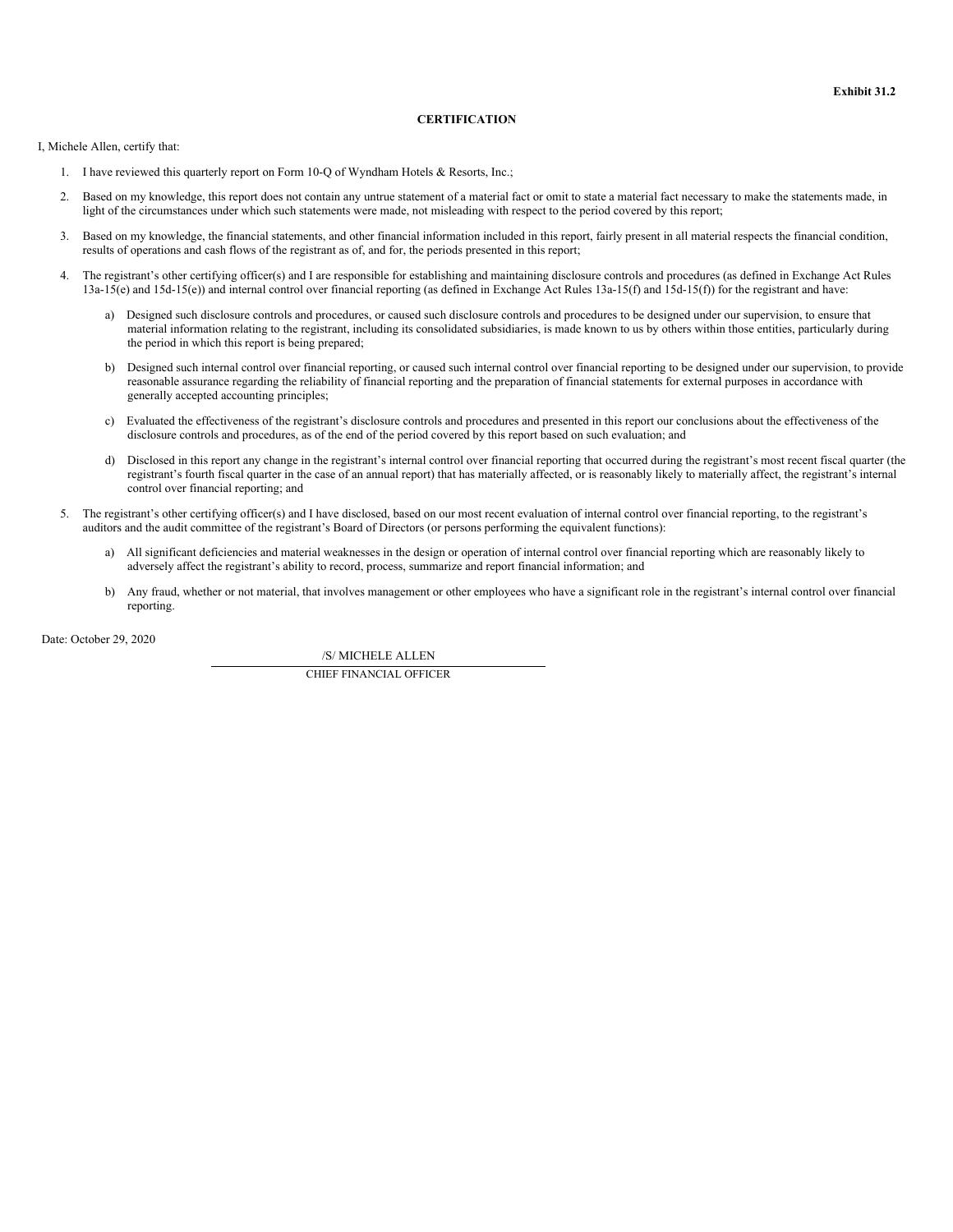## **CERTIFICATION**

<span id="page-45-0"></span>I, Michele Allen, certify that:

- 1. I have reviewed this quarterly report on Form 10-Q of Wyndham Hotels & Resorts, Inc.;
- 2. Based on my knowledge, this report does not contain any untrue statement of a material fact or omit to state a material fact necessary to make the statements made, in light of the circumstances under which such statements were made, not misleading with respect to the period covered by this report;
- 3. Based on my knowledge, the financial statements, and other financial information included in this report, fairly present in all material respects the financial condition, results of operations and cash flows of the registrant as of, and for, the periods presented in this report;
- 4. The registrant's other certifying officer(s) and I are responsible for establishing and maintaining disclosure controls and procedures (as defined in Exchange Act Rules 13a-15(e) and 15d-15(e)) and internal control over financial reporting (as defined in Exchange Act Rules 13a-15(f) and 15d-15(f)) for the registrant and have:
	- a) Designed such disclosure controls and procedures, or caused such disclosure controls and procedures to be designed under our supervision, to ensure that material information relating to the registrant, including its consolidated subsidiaries, is made known to us by others within those entities, particularly during the period in which this report is being prepared;
	- b) Designed such internal control over financial reporting, or caused such internal control over financial reporting to be designed under our supervision, to provide reasonable assurance regarding the reliability of financial reporting and the preparation of financial statements for external purposes in accordance with generally accepted accounting principles;
	- c) Evaluated the effectiveness of the registrant's disclosure controls and procedures and presented in this report our conclusions about the effectiveness of the disclosure controls and procedures, as of the end of the period covered by this report based on such evaluation; and
	- d) Disclosed in this report any change in the registrant's internal control over financial reporting that occurred during the registrant's most recent fiscal quarter (the registrant's fourth fiscal quarter in the case of an annual report) that has materially affected, or is reasonably likely to materially affect, the registrant's internal control over financial reporting; and
- 5. The registrant's other certifying officer(s) and I have disclosed, based on our most recent evaluation of internal control over financial reporting, to the registrant's auditors and the audit committee of the registrant's Board of Directors (or persons performing the equivalent functions):
	- a) All significant deficiencies and material weaknesses in the design or operation of internal control over financial reporting which are reasonably likely to adversely affect the registrant's ability to record, process, summarize and report financial information; and
	- b) Any fraud, whether or not material, that involves management or other employees who have a significant role in the registrant's internal control over financial reporting.

Date: October 29, 2020

/S/ MICHELE ALLEN CHIEF FINANCIAL OFFICER